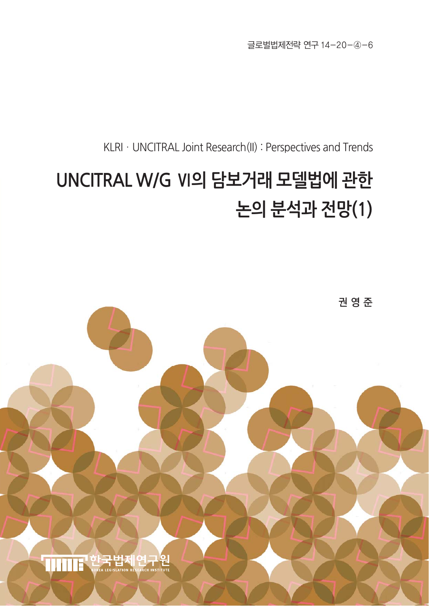글로벌법제전략 연구 14-20-④-6

KLRI · UNCITRAL Joint Research(II) : Perspectives and Trends

# **UNCITRAL W/G Ⅵ의 담보거래 모델법에 관한 논의 분석과 전망(1)**

권 영 준

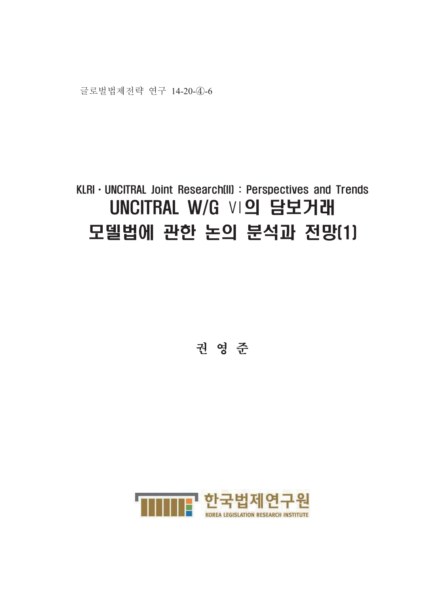

## KLRI · UNCITRAL Joint Research(II) : Perspectives and Trends UNCITRAL W/G VI의 담보거래 모델법에 관한 논의 분석과 전망[1]

권 영 준

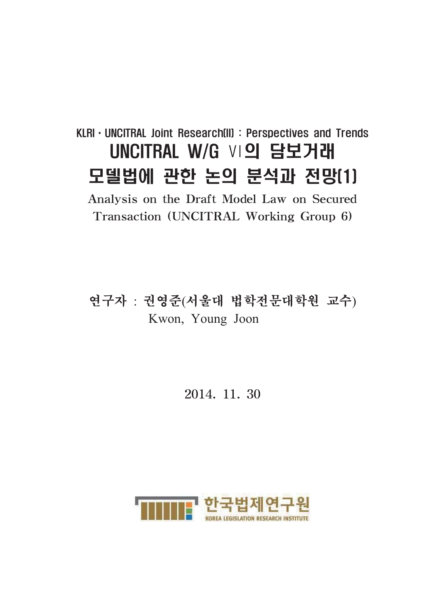## KLRI · UNCITRAL Joint Research(II) : Perspectives and Trends UNCITRAL W/G VI의 담보거래 모델법에 관한 논의 분석과 전망[1]

Analysis on the Draft Model Law on Secured Transaction (UNCITRAL Working Group 6)

연구자 : 권영준(서울대 법학전문대학원 교수) Kwon, Young Joon

2014. 11. 30

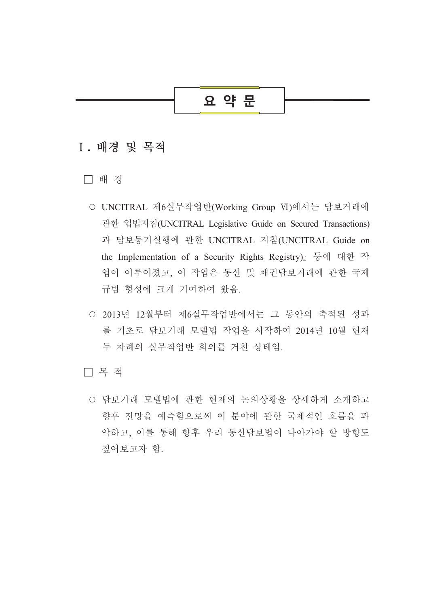## 요 약 문

## I. 배경 및 목적

□ 배경

- UNCITRAL 제6실무작업반(Working Group Ⅵ)에서는 담보거래에 관한 입법지침(UNCITRAL Legislative Guide on Secured Transactions) 과 담보등기실행에 관한 UNCITRAL 지침(UNCITRAL Guide on the Implementation of a Security Rights Registry)』 등에 대한 작 업이 이루어졌고, 이 작업은 동산 및 채권담보거래에 관한 국제 규범 형성에 크게 기여하여 왔음.
- 2013년 12월부터 제6실무작업반에서는 그 동안의 축적된 성과 를 기초로 담보거래 모델법 작업을 시작하여 2014년 10월 현재 두 차례의 실무작업반 회의를 거친 상태임.

□ 목 적

○ 담보거래 모델법에 관한 현재의 논의상황을 상세하게 소개하고 향후 전망을 예측함으로써 이 분야에 관한 국제적인 흐름을 파 악하고, 이를 통해 향후 우리 동산담보법이 나아가야 할 방향도 짚어보고자 함.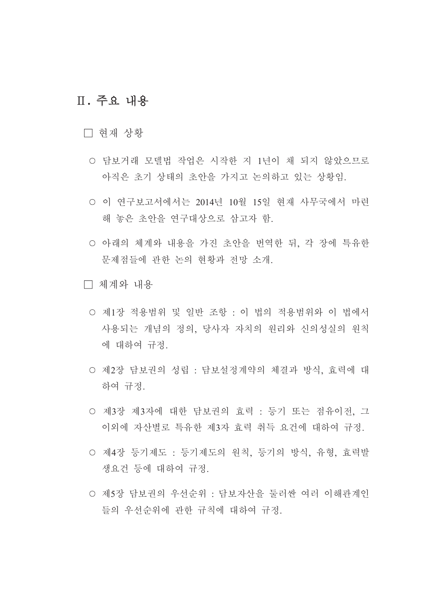## Ⅱ. 주요 내용

- □ 현재 상황
	- 담보거래 모델법 작업은 시작한 지 1년이 채 되지 않았으므로 아직은 초기 상태의 초안을 가지고 논의하고 있는 상황임.
	- 이 연구보고서에서는 2014년 10월 15일 현재 사무국에서 마련 해 놓은 초안을 연구대상으로 삼고자 함.
	- 아래의 체계와 내용을 가진 초안을 번역한 뒤, 각 장에 특유한 문제점들에 관한 논의 현황과 전망 소개.
- □ 체계와 내용
	- 제1장 적용범위 및 일반 조항 : 이 법의 적용범위와 이 법에서 사용되는 개념의 정의 당사자 자치의 워리와 신의성실의 워칙 에 대하여 규정.
	- 제2장 담보권의 성립 : 담보설정계약의 체결과 방식, 효력에 대 하여 규정.
	- 제3장 제3자에 대한 담보권의 효력 : 등기 또는 점유이전, 그 이외에 자산별로 특유한 제3자 효력 취득 요건에 대하여 규정.
	- 제4장 등기제도 : 등기제도의 원칙, 등기의 방식, 유형, 효력발 생요건 등에 대하여 규정.
	- 제5장 담보권의 우선순위 : 담보자산을 둘러싼 여러 이해관계인 들의 우선수위에 관한 규칙에 대하여 규정.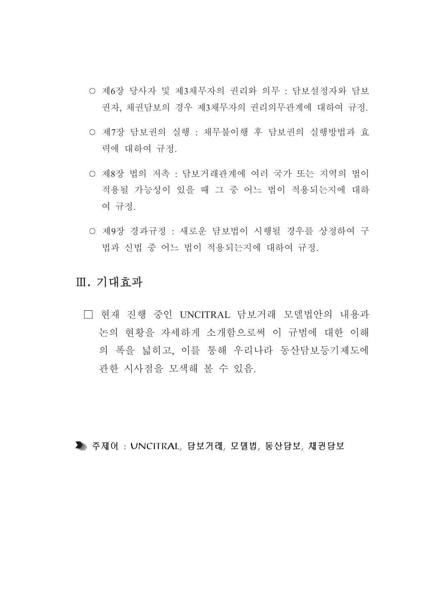- 제6장 당사자 및 제3채무자의 권리와 의무 : 담보설정자와 담보 권자, 채권담보의 경우 제3채무자의 권리의무관계에 대하여 규정.
- 제7장 담보권의 실행 : 채무불이행 후 담보권의 실행방법과 효 력에 대하여 규정.
- 제8장 법의 저촉 : 담보거래관계에 여러 국가 또는 지역의 법이 적용될 가능성이 있을 때 그 중 어느 법이 적용되는지에 대하 여 규정.
- 제9장 경과규정 : 새로운 담보법이 시행될 경우를 상정하여 구 법과 신법 중 어느 법이 적용되는지에 대하여 규정.

## Ⅲ. 기대효과

□ 현재 진행 중인 UNCITRAL 담보거래 모델법안의 내용과 논의 현황을 자세하게 소개함으로써 이 규범에 대한 이해 의 폭을 넓히고 이를 통해 우리나라 동산담보등기제도에 관한 시사점을 모색해 볼 수 있음.

▶ 주제어: UNCITRAL, 담보거래, 모델법, 동산담보, 채권담보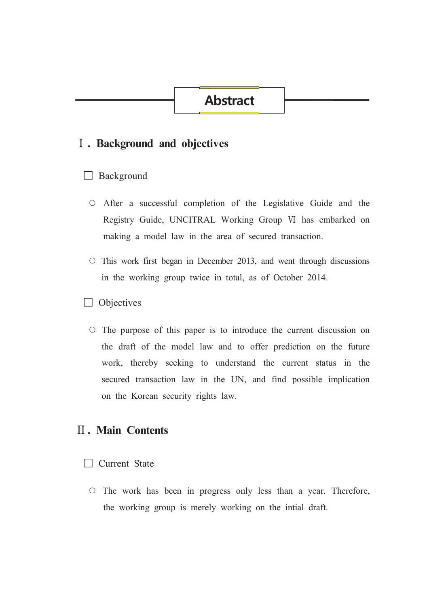## **Abstract**

### I. Background and objectives

#### $\Box$  Background

- $\circ$  After a successful completion of the Legislative Guide and the Registry Guide, UNCITRAL Working Group VI has embarked on making a model law in the area of secured transaction.
- $\circ$  This work first began in December 2013, and went through discussions in the working group twice in total, as of October 2014.
- $\Box$  Objectives
	- $\circ$  The purpose of this paper is to introduce the current discussion on the draft of the model law and to offer prediction on the future work, thereby seeking to understand the current status in the secured transaction law in the UN, and find possible implication on the Korean security rights law.

## **II. Main Contents**

#### $\Box$  Current State

 $\circ$  The work has been in progress only less than a year. Therefore, the working group is merely working on the intial draft.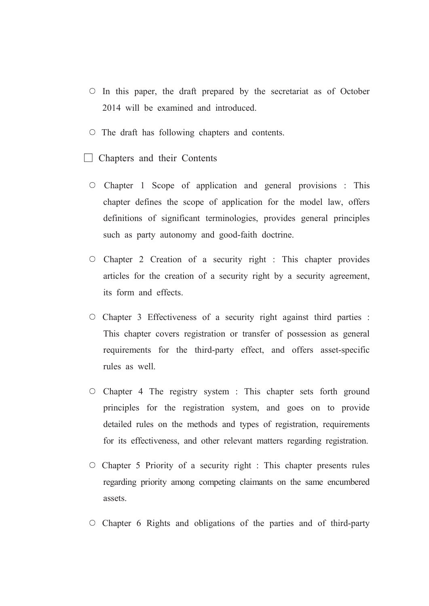- $\circ$  In this paper, the draft prepared by the secretariat as of October 2014 will be examined and introduced.
- $\circ$  The draft has following chapters and contents.
- $\Box$  Chapters and their Contents
	- $\circ$  Chapter 1 Scope of application and general provisions : This chapter defines the scope of application for the model law, offers definitions of significant terminologies, provides general principles such as party autonomy and good-faith doctrine.
	- $\circ$  Chapter 2 Creation of a security right : This chapter provides articles for the creation of a security right by a security agreement, its form and effects.
	- $\circ$  Chapter 3 Effectiveness of a security right against third parties : This chapter covers registration or transfer of possession as general requirements for the third-party effect, and offers asset-specific rules as well.
	- $\circ$  Chapter 4 The registry system : This chapter sets forth ground principles for the registration system, and goes on to provide detailed rules on the methods and types of registration, requirements for its effectiveness, and other relevant matters regarding registration.
	- $\circ$  Chapter 5 Priority of a security right : This chapter presents rules regarding priority among competing claimants on the same encumbered assets.
	- $\circ$  Chapter 6 Rights and obligations of the parties and of third-party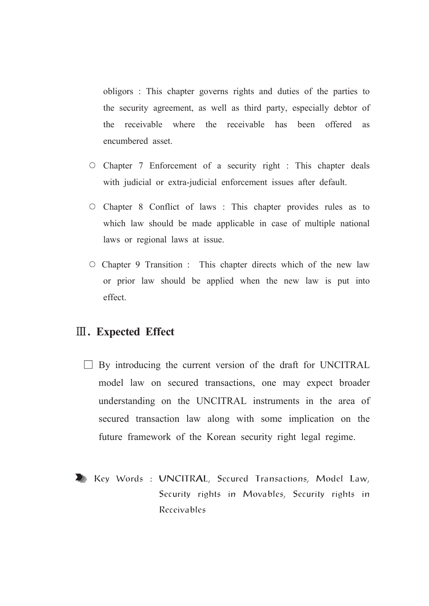obligors: This chapter governs rights and duties of the parties to the security agreement, as well as third party, especially debtor of the receivable where the receivable has been offered as encumbered asset.

- $\circ$  Chapter 7 Enforcement of a security right : This chapter deals with judicial or extra-judicial enforcement issues after default.
- $\circ$  Chapter 8 Conflict of laws: This chapter provides rules as to which law should be made applicable in case of multiple national laws or regional laws at issue.
- $\circ$  Chapter 9 Transition : This chapter directs which of the new law or prior law should be applied when the new law is put into effect

## **III.** Expected Effect

- $\Box$  By introducing the current version of the draft for UNCITRAL model law on secured transactions, one may expect broader understanding on the UNCITRAL instruments in the area of secured transaction law along with some implication on the future framework of the Korean security right legal regime.
- Key Words: UNCITRAL, Secured Transactions, Model Law, Security rights in Movables, Security rights in Receivables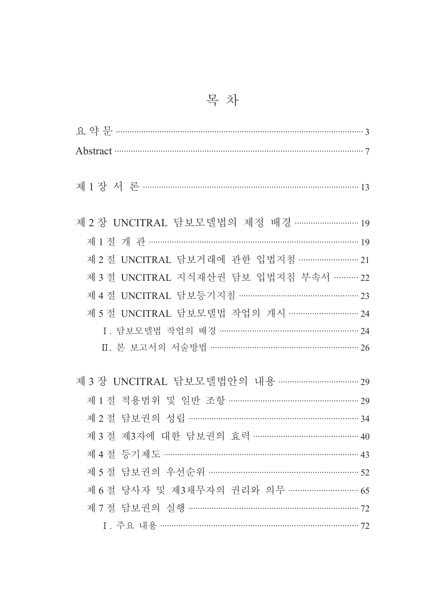| Abstract 37                                |  |
|--------------------------------------------|--|
|                                            |  |
|                                            |  |
| 제 2 장 UNCITRAL 담보모델법의 제정 배경  19            |  |
|                                            |  |
| 제 2 절 UNCITRAL 담보거래에 관한 입법지침 ……………………… 21  |  |
| 제 3 절 UNCITRAL 지식재산권 담보 입법지침 부속서 ……… 22    |  |
|                                            |  |
| 제 5 절 UNCITRAL 담보모델법 작업의 개시 ………………………… 24  |  |
|                                            |  |
| Ⅱ. 본 보고서의 서술방법 ……………………………………………………… 26    |  |
| 제 3 장 UNCITRAL 담보모델법안의 내용 …………………………… 29   |  |
| 제 1 절 적용범위 및 일반 조항 ……………………………………………… 29   |  |
|                                            |  |
| 제 3 절 제 3자에 대한 담보권의 효력 ………………………………………… 40 |  |
|                                            |  |
| 제 5 절 담보권의 우선순위 …………………………………………………… 52    |  |
| 제 6 절 당사자 및 제3채무자의 권리와 의무 ………………………… 65    |  |
| 제 7 절 담보권의 실행 ………………………………………………………………… 72 |  |
|                                            |  |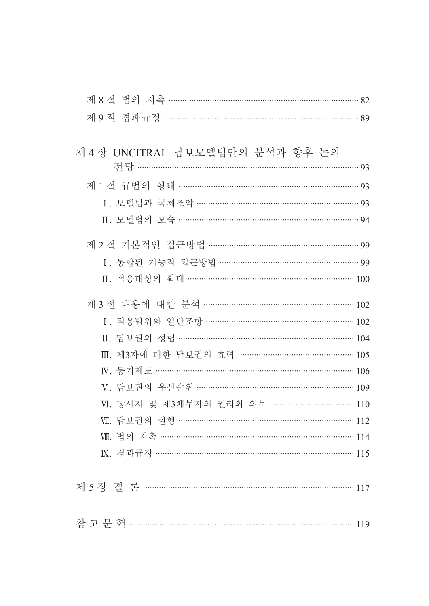| 제 8 절 법의 저촉 …………………………………………………………………… 82 |  |
|-------------------------------------------|--|
|                                           |  |

| 제 4 장 UNCITRAL 담보모델법안의 분석과 향후 논의            |  |
|---------------------------------------------|--|
|                                             |  |
| 제 1 절 규범의 형태 ……………………………………………………………………… 93 |  |
|                                             |  |
| Ⅱ. 모델법의 모습 …………………………………………………………………… 94    |  |
| 제 2 절 기본적인 접근방법 ………………………………………………………… 99   |  |
|                                             |  |
| Ⅱ. 적용대상의 확대 ……………………………………………………………… 100    |  |
| 제 3 절 내용에 대한 분석 ……………………………………………………… 102   |  |
| I. 적용범위와 일반조항 …………………………………………………… 102      |  |
| Ⅱ. 담보권의 성립 ………………………………………………………………… 104    |  |
| Ⅲ. 제3자에 대한 담보권의 효력 ………………………………………… 105     |  |
|                                             |  |
|                                             |  |
|                                             |  |
| Ⅶ. 담보권의 실행 ………………………………………………………………… 112    |  |
| Ⅷ. 법의 저촉 …………………………………………………………………………… 114  |  |
| K. 경과규정 …………………………………………………………………… 115      |  |
|                                             |  |

| ≔ |  |  |
|---|--|--|
|   |  |  |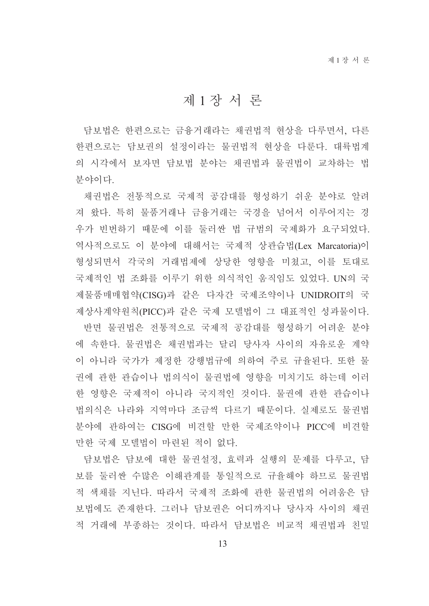## 제1장서론

담보법은 한편으로는 금융거래라는 채권법적 현상을 다루면서, 다른 한편으로는 담보권의 설정이라는 물권법적 현상을 다룬다. 대륙법계 의 시각에서 보자면 담보법 분야는 채권법과 물권법이 교차하는 법 부야이다

채권법은 전통적으로 국제적 공감대를 형성하기 쉬운 분야로 알려 져 왔다. 특히 물품거래나 금융거래는 국경을 넘어서 이루어지는 경 우가 빈번하기 때문에 이를 둘러싼 법 규범의 국제화가 요구되었다. 역사적으로도 이 분야에 대해서는 국제적 상관습법(Lex Marcatoria)이 형성되면서 각국의 거래법제에 상당한 영향을 미쳤고, 이를 토대로 국제적인 법 조화를 이루기 위한 의식적인 움직임도 있었다. UN의 국 제물품매매협약(CISG)과 같은 다자간 국제조약이나 UNIDROIT의 국 제상사계약워칙(PICC)과 같은 국제 모델법이 그 대표적인 성과물이다.

반면 물권법은 전통적으로 국제적 공감대를 형성하기 어려운 분야 에 속한다. 물권법은 채권법과는 달리 당사자 사이의 자유로운 계약 이 아니라 국가가 제정한 강행법규에 의하여 주로 규율된다. 또한 물 권에 관한 관습이나 법의식이 물권법에 영향을 미치기도 하는데 이러 한 영향은 국제적이 아니라 국지적인 것이다. 물권에 관한 관습이나 법의식은 나라와 지역마다 조금씩 다르기 때문이다. 실제로도 물권법 분야에 관하여는 CISG에 비견할 만한 국제조약이나 PICC에 비견할 만한 국제 모델법이 마련된 적이 없다.

담보법은 담보에 대한 물권설정, 효력과 실행의 문제를 다루고, 담 보를 둘러싼 수많은 이해관계를 통일적으로 규율해야 하므로 물권법 적 색채를 지닌다. 따라서 국제적 조화에 관한 물권법의 어려움은 담 보법에도 존재한다. 그러나 담보권은 어디까지나 당사자 사이의 채권 적 거래에 부종하는 것이다. 따라서 담보법은 비교적 채권법과 친밀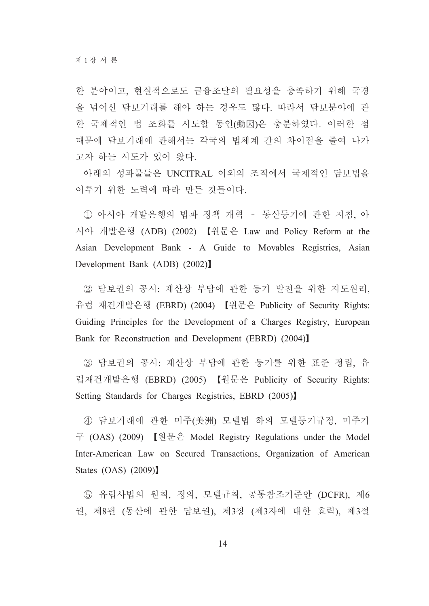한 분야이고, 현실적으로도 금융조달의 필요성을 충족하기 위해 국경 을 넘어선 담보거래를 해야 하는 경우도 많다. 따라서 담보분야에 관 한 국제적인 법 조화를 시도할 동인(動因)은 충분하였다. 이러한 점 때문에 담보거래에 관해서는 각국의 법체계 간의 차이점을 줄여 나가 고자 하는 시도가 있어 왔다.

아래의 성과물들은 UNCITRAL 이외의 조직에서 국제적인 담보법을 이루기 위한 노력에 따라 만든 것들이다.

1) 아시아 개발은행의 법과 정책 개혁 - 동산등기에 관한 지침, 아 시아 개발은행 (ADB) (2002) 【원문은 Law and Policy Reform at the Asian Development Bank - A Guide to Movables Registries, Asian Development Bank (ADB) (2002)

② 담보권의 공시: 재산상 부담에 관한 등기 발전을 위한 지도워리. 유럽 재건개발은행 (EBRD) (2004) 【원문은 Publicity of Security Rights: Guiding Principles for the Development of a Charges Registry, European Bank for Reconstruction and Development (EBRD) (2004)

3 담보권의 공시: 재산상 부담에 관한 등기를 위한 표준 정립, 유 럽재건개발은행 (EBRD) (2005) 【원문은 Publicity of Security Rights: Setting Standards for Charges Registries, EBRD (2005)

4) 담보거래에 관한 미주(美洲) 모델법 하의 모델등기규정, 미주기 구 (OAS) (2009) 【 원문은 Model Registry Regulations under the Model Inter-American Law on Secured Transactions, Organization of American States  $(OAS)$   $(2009)$ 

5 유럽사법의 원칙, 정의, 모델규칙, 공통참조기준안 (DCFR), 제6 권, 제8편 (동산에 관한 담보권), 제3장 (제3자에 대한 효력), 제3절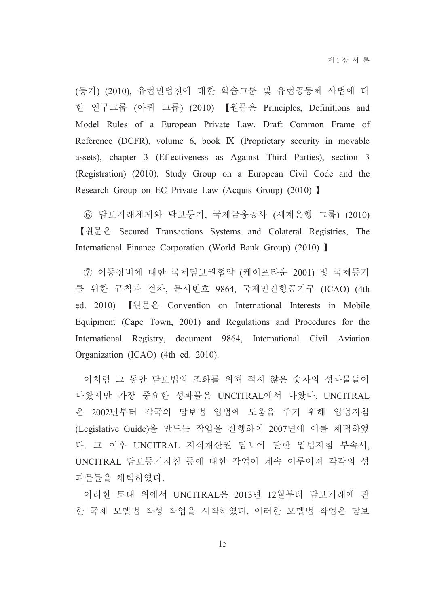(등기) (2010), 유럽민법전에 대한 학습그룹 및 유럽공동체 사법에 대 한 연구그룹 (아퀴 그룹) (2010) 【원문은 Principles, Definitions and Model Rules of a European Private Law, Draft Common Frame of Reference (DCFR), volume 6, book IX (Proprietary security in movable assets), chapter 3 (Effectiveness as Against Third Parties), section 3 (Registration) (2010), Study Group on a European Civil Code and the Research Group on EC Private Law (Acquis Group) (2010) 1

6 담보거래체제와 담보등기, 국제금융공사 (세계은행 그룹) (2010) 【원문은 Secured Transactions Systems and Colateral Registries, The International Finance Corporation (World Bank Group) (2010) I

(7) 이동장비에 대한 국제담보권협약 (케이프타운 2001) 및 국제등기 를 위한 규칙과 절차. 문서번호 9864. 국제민간항공기구 (ICAO) (4th ed. 2010) 【원문은 Convention on International Interests in Mobile Equipment (Cape Town, 2001) and Regulations and Procedures for the International Registry, document 9864, International Civil Aviation Organization (ICAO) (4th ed. 2010).

이처럼 그 동안 담보법의 조화를 위해 적지 않은 숫자의 성과물들이 나왔지만 가장 중요한 성과물은 UNCITRAL에서 나왔다. UNCITRAL 은 2002년부터 각국의 담보법 입법에 도움을 주기 위해 입법지침 (Legislative Guide)을 만드는 작업을 진행하여 2007년에 이를 채택하였 다. 그 이후 UNCITRAL 지식재산권 담보에 관한 입법지침 부속서. UNCITRAL 담보등기지침 등에 대한 작업이 계속 이루어져 각각의 성 과물들을 채택하였다.

이러한 토대 위에서 UNCITRAL은 2013년 12월부터 담보거래에 관 한 국제 모델법 작성 작업을 시작하였다. 이러한 모델법 작업은 담보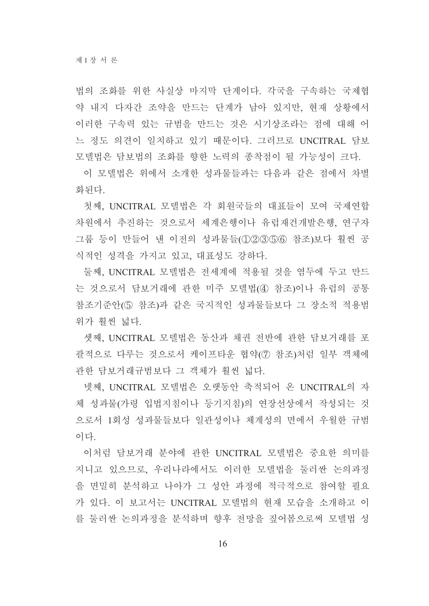법의 조화를 위한 사실상 마지막 단계이다. 각국을 구속하는 국제협 약 내지 다자간 조약을 만드는 단계가 남아 있지만, 현재 상황에서 이러한 구속력 있는 규범을 만드는 것은 시기상조라는 점에 대해 어 느 정도 의견이 일치하고 있기 때문이다. 그러므로 UNCITRAL 담보 모델법은 담보법의 조화를 향한 노력의 종착점이 될 가능성이 크다.

이 모델법은 위에서 소개한 성과물들과는 다음과 같은 점에서 차별 화되다

첫째, UNCITRAL 모델법은 각 회원국들의 대표들이 모여 국제연합 차원에서 추진하는 것으로서 세계은행이나 유럽재건개발은행, 연구자 그룹 등이 만들어 낸 이전의 성과물들(①②③⑤⑥ 참조)보다 훨씬 공 식적인 성격을 가지고 있고, 대표성도 강하다.

둘째, UNCITRAL 모델법은 전세계에 적용될 것을 염두에 두고 만드 는 것으로서 담보거래에 관한 미주 모델법(4) 참조)이나 유럽의 공통 참조기준안(5) 참조)과 같은 국지적인 성과물들보다 그 장소적 적용범 위가 훨씬 넓다.

셋째, UNCITRAL 모델법은 동산과 채권 전반에 관한 담보거래를 포 괄적으로 다루는 것으로서 케이프타운 협약(⑦ 참조)처럼 일부 객체에 관한 담보거래규범보다 그 객체가 훨씬 넓다.

넷째, UNCITRAL 모델법은 오랫동안 축적되어 온 UNCITRAL의 자 체 성과물(가령 입법지침이나 등기지침)의 연장선상에서 작성되는 것 으로서 1회성 성과물들보다 일관성이나 체계성의 면에서 우월한 규범 이다.

이처럼 담보거래 부야에 관한 UNCITRAL 모델법은 중요한 의미를 지니고 있으므로, 우리나라에서도 이러한 모델법을 둘러싼 논의과정 을 면밀히 부석하고 나아가 그 성아 과정에 적극적으로 참여할 필요 가 있다. 이 보고서는 UNCITRAL 모델법의 현재 모습을 소개하고 이 를 둘러싼 논의과정을 분석하며 향후 전망을 짚어봄으로써 모델법 성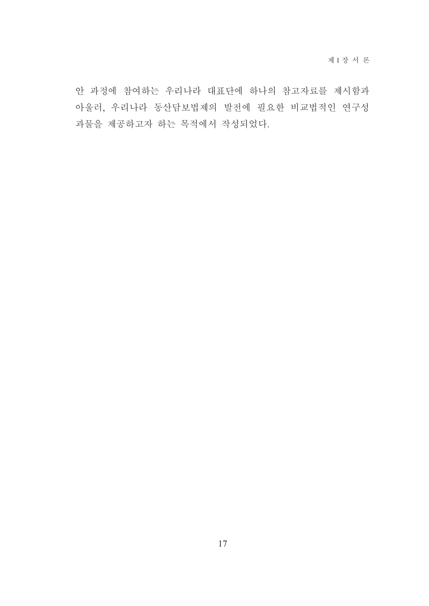안 과정에 참여하는 우리나라 대표단에 하나의 참고자료를 제시함과 아울러, 우리나라 동산담보법제의 발전에 필요한 비교법적인 연구성 과물을 제공하고자 하는 목적에서 작성되었다.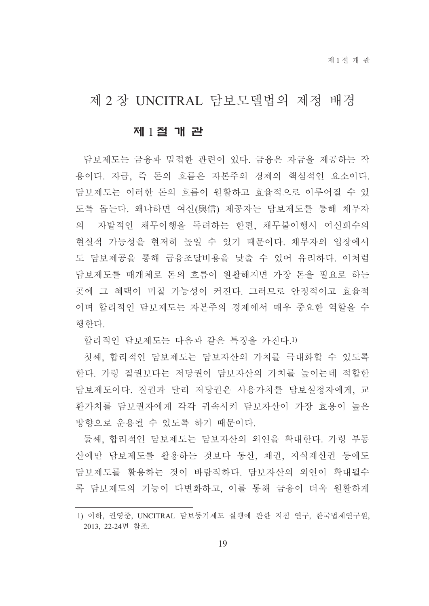## 제 2 장 UNCITRAL 담보모델법의 제정 배경

#### 제 1절 개 관

담보제도는 금융과 밀접한 관련이 있다. 금융은 자금을 제공하는 작 용이다. 자금, 즉 돈의 흐름은 자본주의 경제의 핵심적인 요소이다. 담보제도는 이러한 돈의 흐름이 원활하고 효율적으로 이루어질 수 있 도록 돕는다. 왜냐하면 여신(與信) 제공자는 담보제도를 통해 채무자 의 자발적인 채무이행을 독려하는 한편, 채무불이행시 여신회수의 현실적 가능성을 현저히 높일 수 있기 때문이다. 채무자의 입장에서 도 담보제공을 통해 금융조달비용을 낮출 수 있어 유리하다. 이처럼 담보제도를 매개체로 돈의 흐름이 워활해지면 가장 돈을 필요로 하는 곳에 그 혜택이 미칠 가능성이 커진다. 그러므로 안정적이고 효율적 이며 합리적인 담보제도는 자본주의 경제에서 매우 중요한 역할을 수 행한다.

합리적인 담보제도는 다음과 같은 특징을 가진다.1)

첫째. 합리적인 담보제도는 담보자산의 가치를 극대화할 수 있도록 한다. 가령 질권보다는 저당권이 담보자산의 가치를 높이는데 적합한 담보제도이다. 질권과 달리 저당권은 사용가치를 담보설정자에게. 교 화가치를 담보권자에게 각각 귀속시켜 담보자산이 가장 효용이 높은 방향으로 운용될 수 있도록 하기 때문이다.

둘째. 합리적인 담보제도는 담보자산의 외연을 확대한다. 가령 부동 산에만 담보제도를 활용하는 것보다 동산, 채권, 지식재산권 등에도 담보제도를 활용하는 것이 바람직하다. 담보자산의 외연이 확대될수 록 담보제도의 기능이 다변화하고, 이를 통해 금융이 더욱 원활하게

<sup>1)</sup> 이하, 권영준, UNCITRAL 담보등기제도 실행에 관한 지침 연구, 한국법제연구원, 2013, 22-24면 참조.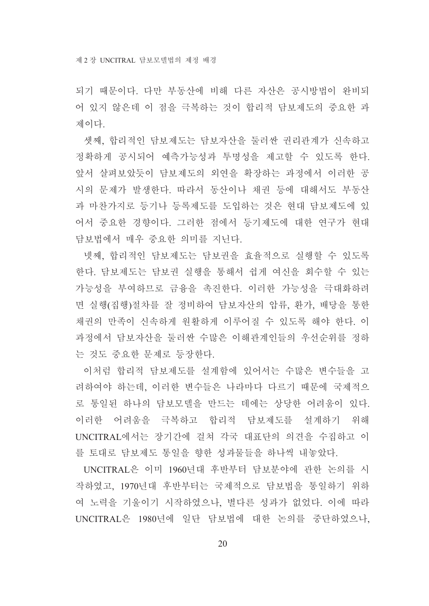되기 때문이다. 다만 부동산에 비해 다른 자산은 공시방법이 완비되 어 있지 않은데 이 점을 극복하는 것이 합리적 담보제도의 중요한 과 제이다

셋째, 합리적인 담보제도는 담보자산을 둘러싼 권리관계가 신속하고 정확하게 공시되어 예측가능성과 투명성을 제고할 수 있도록 한다. 앞서 살펴보았듯이 담보제도의 외연을 확장하는 과정에서 이러한 공 시의 문제가 발생한다. 따라서 동산이나 채권 등에 대해서도 부동산 과 마찬가지로 등기나 등록제도를 도입하는 것은 현대 담보제도에 있 어서 중요한 경향이다. 그러한 점에서 등기제도에 대한 연구가 현대 담보법에서 매우 중요한 의미를 지닌다.

넷째, 합리적인 담보제도는 담보권을 효율적으로 실행할 수 있도록 한다. 담보제도는 담보권 실행을 통해서 쉽게 여신을 회수할 수 있는 가능성을 부여하므로 금융을 촉진한다. 이러한 가능성을 극대화하려 면 실행(집행)절차를 잘 정비하여 담보자산의 압류, 환가, 배당을 통한 채권의 만족이 신속하게 원활하게 이루어질 수 있도록 해야 한다. 이 과정에서 담보자산을 둘러싼 수많은 이해관계인들의 우선수위를 정하 는 것도 중요한 문제로 등장한다.

이처럼 합리적 담보제도를 설계함에 있어서는 수많은 변수들을 고 려하여야 하는데, 이러한 변수들은 나라마다 다르기 때문에 국제적으 로 통일된 하나의 담보모델을 만드는 데에는 상당한 어려움이 있다. 이러한 어려움을 극복하고 합리적 담보제도를 설계하기 위해 UNCITRAL에서는 장기간에 걸쳐 각국 대표단의 의견을 수집하고 이 를 토대로 담보제도 통일을 향한 성과물들을 하나씩 내놓았다.

UNCITRAL은 이미 1960년대 후반부터 담보부야에 관한 논의를 시 작하였고 1970년대 후반부터는 국제적으로 담보법을 통일하기 위하 여 노력을 기울이기 시작하였으나. 별다른 성과가 없었다. 이에 따라 UNCITRAL은 1980년에 일단 담보법에 대한 논의를 중단하였으나,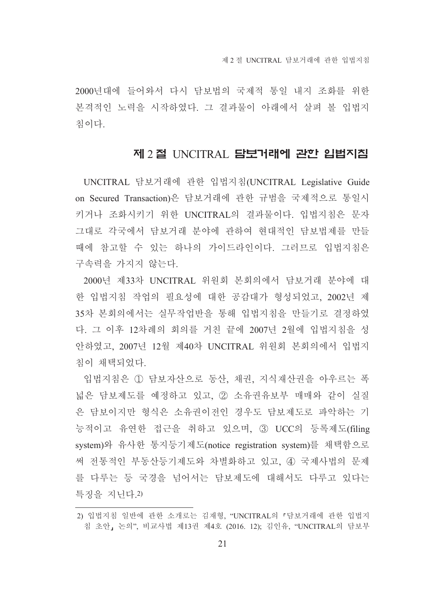2000년대에 들어와서 다시 담보법의 국제적 통일 내지 조화를 위한 본격적인 노력을 시작하였다. 그 결과물이 아래에서 살펴 볼 입법지 침이다

#### 제 2 절 UNCITRAL **담보거래에 관한 입법지침**

UNCITRAL 담보거래에 관한 입법지침(UNCITRAL Legislative Guide on Secured Transaction)은 담보거래에 관한 규범을 국제적으로 통일시 키거나 조화시키기 위한 UNCITRAL의 결과물이다. 입법지침은 문자 그대로 각국에서 담보거래 분야에 관하여 현대적인 담보법제를 만들 때에 참고할 수 있는 하나의 가이드라인이다. 그러므로 입법지침은 구속력을 가지지 않는다.

2000년 제33차 UNCITRAL 위원회 본회의에서 담보거래 분야에 대 한 입법지침 작업의 필요성에 대한 공감대가 형성되었고, 2002년 제 35차 본회의에서는 실무작업반을 통해 입법지침을 만들기로 결정하였 다. 그 이후 12차례의 회의를 거친 끝에 2007년 2월에 입법지침을 성 안하였고, 2007년 12월 제40차 UNCITRAL 위원회 본회의에서 입법지 침이 채택되었다.

입법지침은 ① 담보자산으로 동산, 채권, 지식재산권을 아우르는 폭 넓은 담보제도를 예정하고 있고. 2 소유권유보부 매매와 같이 실질 은 담보이지만 형식은 소유권이전인 경우도 담보제도로 파악하는 기 능적이고 유연한 접근을 취하고 있으며, 3 UCC의 등록제도(filing system)와 유사한 통지등기제도(notice registration system)를 채택함으로 써 전통적인 부동산등기제도와 차별화하고 있고, 4) 국제사법의 문제 를 다루는 등 국경을 넘어서는 담보제도에 대해서도 다루고 있다는 특징을 지닌다.2)

<sup>2)</sup> 입법지침 일반에 관한 소개로는 김재형, "UNCITRAL의 『담보거래에 관한 입법지 침 초안, 논의", 비교사법 제13권 제4호 (2016. 12); 김인유, "UNCITRAL의 담보부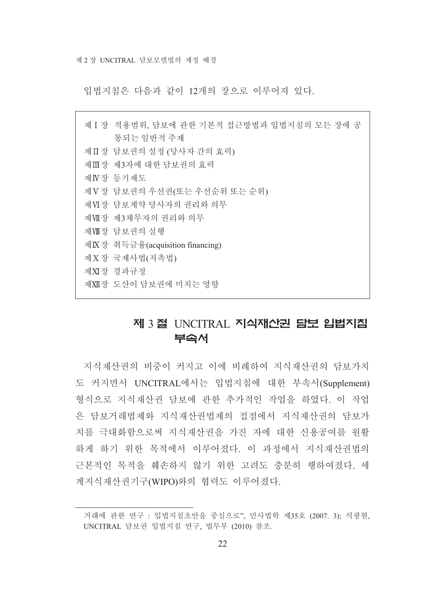입법지침은 다음과 같이 12개의 장으로 이루어져 있다.

제 [ 장 적용범위 담보에 과하 기본적 접근방법과 입법지침의 모든 장에 공 통되는 일반적 주제 제Ⅱ장 담보권의 설정 (당사자 간의 효력) 제Ⅲ장 제3자에 대한 담보권의 효력 제N장 등기제도 제V장 담보권의 우선권(또는 우선순위 또는 순위) 제 VI장 담보계약 당사자의 권리와 의무 제Ⅶ장 제3채무자의 권리와 의무 제때장 담보권의 실행 제K장 취득금융(acquisition financing) 제 X장 국제사법(저촉법) 제XI장 경과규정 제XII장 도사이 담보권에 미치는 영향

## 제 3 절 UNCITRAL 지식재산권 담보 입법지침 부속서

지식재산권의 비중이 커지고 이에 비례하여 지식재산권의 담보가치 도 커지면서 UNCITRAL에서는 입법지침에 대한 부속서(Supplement) 형식으로 지식재산권 담보에 관한 추가적인 작업을 하였다. 이 작업 은 담보거래법제와 지식재산권법제의 접점에서 지식재산권의 담보가 치를 극대화함으로써 지식재산권을 가진 자에 대한 신용공여를 원활 하게 하기 위한 목적에서 이루어졌다. 이 과정에서 지식재산권법의 근본적인 목적을 훼손하지 않기 위한 고려도 충분히 행하여졌다. 세 계지식재산권기구(WIPO)와의 협력도 이루어졌다.

거래에 관한 연구 : 입법지침초안을 중심으로", 민사법학 제35호 (2007. 3): 석광현, UNCITRAL 담보권 입법지침 연구, 법무부 (2010) 참조.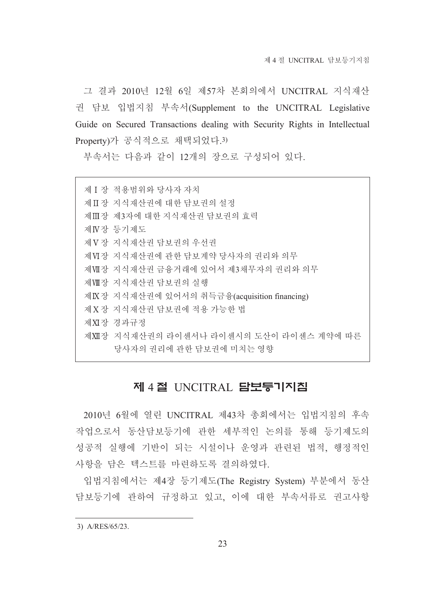그 결과 2010년 12월 6일 제57차 본회의에서 UNCITRAL 지식재산 권 담보 입법지침 부속서(Supplement to the UNCITRAL Legislative Guide on Secured Transactions dealing with Security Rights in Intellectual Property)가 공식적으로 채택되었다.3)

부속서는 다음과 같이 12개의 장으로 구성되어 있다.

제 Ⅰ 장 적용범위와 당사자 자치 제 IT장 지식재산권에 대한 담보권의 설정 제Ⅲ장 제3자에 대한 지식재산권 담보권의 효력 제N장 등기제도 제 V 장 지식재산권 담보권의 우선권 제VI장 지식재산권에 관한 담보계약 당사자의 권리와 의무 제WI장 지식재산권 금융거래에 있어서 제3채무자의 권리와 의무 제때장 지식재산권 담보권의 실행 제K장 지식재산권에 있어서의 취득금융(acquisition financing) 제 X 장 지식재산권 담보권에 적용 가능한 법 제XI장 경과규정 제XII장 지식재산권의 라이센서나 라이센시의 도산이 라이센스 계약에 따른 당사자의 권리에 관한 담보권에 미치는 영향

#### 제 4절 INCITRAL 담보둥기지침

2010년 6월에 열린 UNCITRAL 제43차 총회에서는 입법지침의 후속 작업으로서 동산담보등기에 관한 세부적인 논의를 통해 등기제도의 성공적 실행에 기반이 되는 시설이나 운영과 관련된 법적, 행정적인 사항을 담은 텍스트를 마련하도록 결의하였다.

입법지침에서는 제4장 등기제도(The Registry System) 부분에서 동산 담보등기에 관하여 규정하고 있고, 이에 대한 부속서류로 권고사항

3) A/RES/65/23.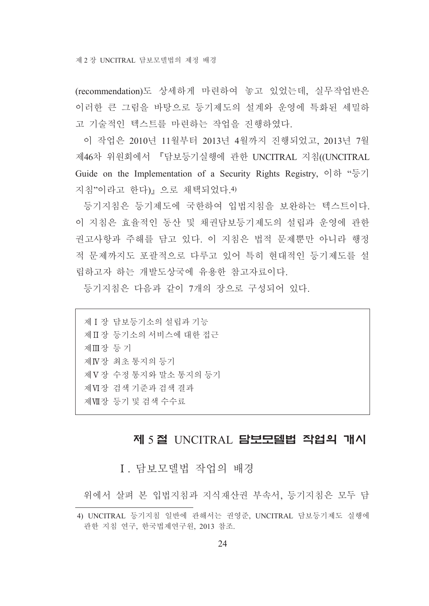(recommendation)도 상세하게 마련하여 놓고 있었는데, 실무작업반은 이러한 큰 그림을 바탕으로 등기제도의 설계와 운영에 특화된 세밀하 고 기술적인 텍스트를 마련하는 작업을 진행하였다.

이 작업은 2010년 11월부터 2013년 4월까지 진행되었고, 2013년 7월 제46차 위원회에서 『담보등기실행에 관한 UNCITRAL 지침((UNCITRAL Guide on the Implementation of a Security Rights Registry,  $\circ$   $\vec{\sigma}$  " $\vec{\sigma}$ 7 지침"이라고 한다) 으로 채택되었다. 4)

등기지침은 등기제도에 국한하여 입법지침을 보완하는 텍스트이다. 이 지침은 효율적인 동산 및 채권담보등기제도의 설립과 운영에 관한 권고사항과 주해를 담고 있다. 이 지침은 법적 문제뿐만 아니라 행정 적 문제까지도 포괄적으로 다루고 있어 특히 현대적인 등기제도를 설 립하고자 하는 개발도상국에 유용한 참고자료이다.

등기지침은 다음과 같이 7개의 장으로 구성되어 있다.

제 I 장 담보등기소의 설립과 기능 제Ⅱ장 등기소의 서비스에 대한 접근 제Ⅲ장 등기 제 IV장 최초 통지의 등기 제 V 장 수정 통지와 말소 통지의 등기 제 VI장 검색 기준과 검색 결과 제때장 등기 및 검색 수수료

## 제 5절 UNCITRAL 담보모델법 작업의 개시

I. 담보모델법 작업의 배경

위에서 살펴 본 입법지침과 지식재산권 부속서, 등기지침은 모두 담

<sup>4)</sup> UNCITRAL 등기지침 일반에 관해서는 권영준, UNCITRAL 담보등기제도 실행에 관한 지침 연구, 한국법제연구원, 2013 참조.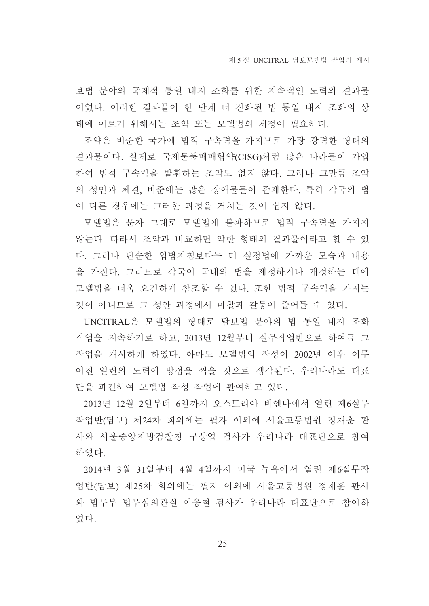보법 분야의 국제적 통일 내지 조화를 위한 지속적인 노력의 결과물 이었다. 이러한 결과물이 한 단계 더 진화된 법 통일 내지 조화의 상 태에 이르기 위해서는 조약 또는 모델법의 제정이 필요하다.

조약은 비준한 국가에 법적 구속력을 가지므로 가장 강력한 형태의 결과물이다. 실제로 국제물품매매협약(CISG)처럼 많은 나라들이 가입 하여 법적 구속력을 발휘하는 조약도 없지 않다. 그러나 그만큼 조약 의 성안과 체결, 비준에는 많은 장애물들이 존재한다. 특히 각국의 법 이 다른 경우에는 그러한 과정을 거치는 것이 쉽지 않다.

모델법은 문자 그대로 모델법에 불과하므로 법적 구속력을 가지지 않는다. 따라서 조약과 비교하면 약한 형태의 결과물이라고 할 수 있 다. 그러나 단순한 입법지침보다는 더 실정법에 가까운 모습과 내용 을 가진다. 그러므로 각국이 국내의 법을 제정하거나 개정하는 데에 모델법을 더욱 요긴하게 참조할 수 있다. 또한 법적 구속력을 가지는 것이 아니므로 그 성안 과정에서 마찰과 갈등이 줄어들 수 있다.

UNCITRAL은 모델법의 형태로 담보법 분야의 법 통일 내지 조화 작업을 지속하기로 하고, 2013년 12월부터 실무작업반으로 하여금 그 작업을 개시하게 하였다. 아마도 모델법의 작성이 2002년 이후 이루 어진 일련의 노력에 방점을 찍을 것으로 생각된다. 우리나라도 대표 단을 파견하여 모델법 작성 작업에 관여하고 있다.

2013년 12월 2일부터 6일까지 오스트리아 비엔나에서 열린 제6실무 작업반(담보) 제24차 회의에는 필자 이외에 서울고등법원 정재훈 판 사와 서울중앙지방검찰청 구상엽 검사가 우리나라 대표단으로 참여 하였다.

2014년 3월 31일부터 4월 4일까지 미국 뉴욕에서 열린 제6실무작 업반(담보) 제25차 회의에는 필자 이외에 서울고등법원 정재훈 판사 와 법무부 법무심의관실 이응철 검사가 우리나라 대표단으로 참여하 였다.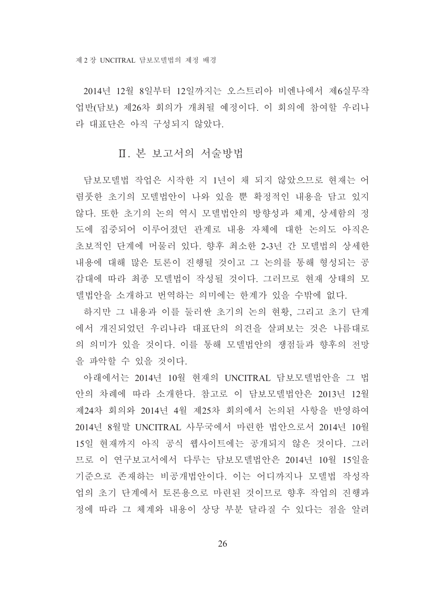2014년 12월 8일부터 12일까지는 오스트리아 비엔나에서 제6실무작 업반(담보) 제26차 회의가 개최될 예정이다. 이 회의에 참여할 우리나 라 대표단은 아직 구성되지 않았다.

#### Ⅱ. 본 보고서의 서술방법

담보모델법 작업은 시작한 지 1년이 채 되지 않았으므로 현재는 어 렴풋한 초기의 모델법안이 나와 있을 뿐 확정적인 내용을 담고 있지 않다. 또한 초기의 논의 역시 모델법안의 방향성과 체계, 상세함의 정 도에 집중되어 이루어졌던 관계로 내용 자체에 대한 논의도 아직은 초보적인 단계에 머물러 있다. 향후 최소한 2-3년 간 모델법의 상세한 내용에 대해 많은 토론이 진행될 것이고 그 논의를 통해 형성되는 공 감대에 따라 최종 모델법이 작성될 것이다. 그러므로 현재 상태의 모 델법안을 소개하고 번역하는 의미에는 한계가 있을 수밖에 없다.

하지만 그 내용과 이를 둘러싼 초기의 논의 현황, 그리고 초기 단계 에서 개진되었던 우리나라 대표단의 의견을 살펴보는 것은 나름대로 의 의미가 있을 것이다. 이를 통해 모델법안의 쟁점들과 향후의 전망 을 파악할 수 있을 것이다.

아래에서는 2014년 10월 현재의 UNCITRAL 담보모델법안을 그 법 안의 차례에 따라 소개한다. 참고로 이 담보모델법안은 2013년 12월 제24차 회의와 2014년 4월 제25차 회의에서 논의된 사항을 반영하여 2014년 8월말 UNCITRAL 사무국에서 마련한 법안으로서 2014년 10월 15일 현재까지 아직 공식 웹사이트에는 공개되지 않은 것이다. 그러 므로 이 연구보고서에서 다루는 담보모델법안은 2014년 10월 15일을 기준으로 존재하는 비공개법안이다. 이는 어디까지나 모델법 작성작 업의 초기 단계에서 토론용으로 마련된 것이므로 향후 작업의 진행과 정에 따라 그 체계와 내용이 상당 부분 달라질 수 있다는 점을 알려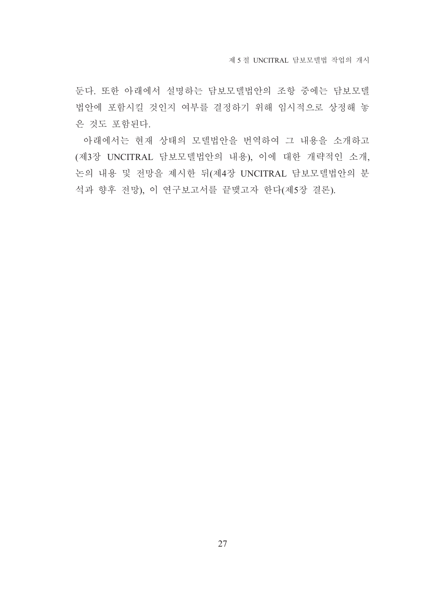둔다. 또한 아래에서 설명하는 담보모델법안의 조항 중에는 담보모델 법안에 포함시킬 것인지 여부를 결정하기 위해 임시적으로 상정해 놓 은 것도 포함된다.

아래에서는 현재 상태의 모델법안을 번역하여 그 내용을 소개하고 (제3장 UNCITRAL 담보모델법안의 내용), 이에 대한 개략적인 소개, 논의 내용 및 전망을 제시한 뒤(제4장 UNCITRAL 담보모델법안의 분 석과 향후 전망), 이 연구보고서를 끝맺고자 한다(제5장 결론).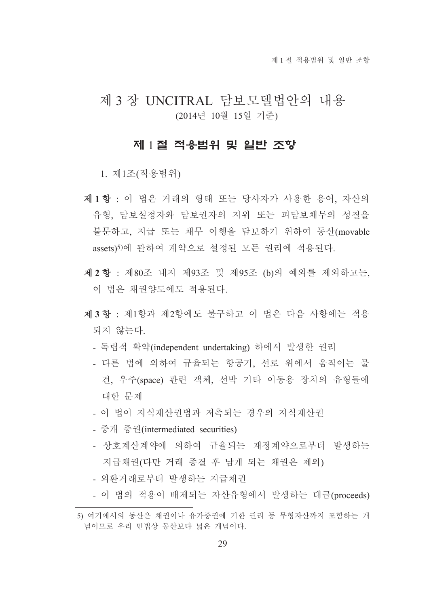## 제 3 장 UNCITRAL 담보모델법안의 내용 (2014년 10월 15일 기준)

#### 제 1절 적용범위 및 일반 조항

1. 제1조(적용범위)

- 제1항 : 이 법은 거래의 형태 또는 당사자가 사용한 용어, 자산의 유형, 담보설정자와 담보권자의 지위 또는 피담보채무의 성질을 불문하고, 지급 또는 채무 이행을 담보하기 위하여 동산(movable assets)5)에 관하여 계약으로 설정된 모든 권리에 적용되다.
- 제 2 항 : 제80조 내지 제93조 및 제95조 (b)의 예외를 제외하고는, 이 법은 채권양도에도 적용되다.
- 제 3 항 · 제1항과 제2항에도 불구하고 이 법은 다음 사항에는 적용 되지 않는다.
	- 독립적 확약(independent undertaking) 하에서 발생한 권리
	- 다른 법에 의하여 규율되는 항공기, 선로 위에서 움직이는 물 건, 우주(space) 관련 객체, 선박 기타 이동용 장치의 유형들에 대한 문제
	- 이 법이 지식재산권법과 저촉되는 경우의 지식재산권
	- 중개 증권(intermediated securities)
	- 상호계산계약에 의하여 규율되는 재정계약으로부터 발생하는 지급채권(다만 거래 종결 후 남게 되는 채권은 제외)
	- 외환거래로부터 발생하는 지급채권
	- 이 법의 적용이 배제되는 자산유형에서 발생하는 대금(proceeds)

<sup>5)</sup> 여기에서의 동산은 채권이나 유가증권에 기한 권리 등 무형자산까지 포함하는 개 념이므로 우리 민법상 동산보다 넓은 개념이다.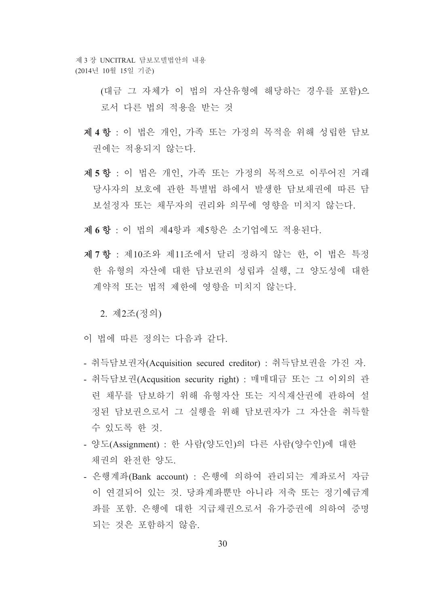제 3 장 UNCITRAL 담보모델법안의 내용 (2014년 10월 15일 기준)

> (대금 그 자체가 이 법의 자산유형에 해당하는 경우를 포함)으 로서 다른 법의 적용을 받는 것

- 제 4 항 : 이 법은 개인, 가족 또는 가정의 목적을 위해 성립한 담보 권에는 적용되지 않는다.
- 제5항 : 이 법은 개인, 가족 또는 가정의 목적으로 이루어진 거래 당사자의 보호에 관한 특별법 하에서 발생한 담보채권에 따른 담 보설정자 또는 채무자의 권리와 의무에 영향을 미치지 않는다.
- 제 6 항 · 이 법의 제4항과 제5항은 소기업에도 적용되다.
- 제 7 항 : 제10조와 제11조에서 달리 정하지 않는 한, 이 법은 특정 한 유형의 자산에 대한 담보권의 성립과 실행, 그 양도성에 대한 계약적 또는 법적 제한에 영향을 미치지 않는다.

2. 제2조(정의)

- 이 법에 따른 정의는 다음과 같다.
- 취득담보권자(Acquisition secured creditor) : 취득담보권을 가진 자.
- 취득담보권(Acqusition security right) : 매매대금 또는 그 이외의 관 련 채무를 담보하기 위해 유형자산 또는 지식재산권에 관하여 설 정된 담보권으로서 그 실행을 위해 담보권자가 그 자산을 취득할 수 있도록 한 것.
- 양도(Assignment) : 한 사람(양도인)의 다른 사람(양수인)에 대한 채권의 완전한 양도.
- 은행계좌(Bank account) : 은행에 의하여 관리되는 계좌로서 자금 이 연결되어 있는 것. 당좌계좌뿐만 아니라 저축 또는 정기예금계 좌를 포함. 은행에 대한 지급채권으로서 유가증권에 의하여 증명 되는 것은 포함하지 않음.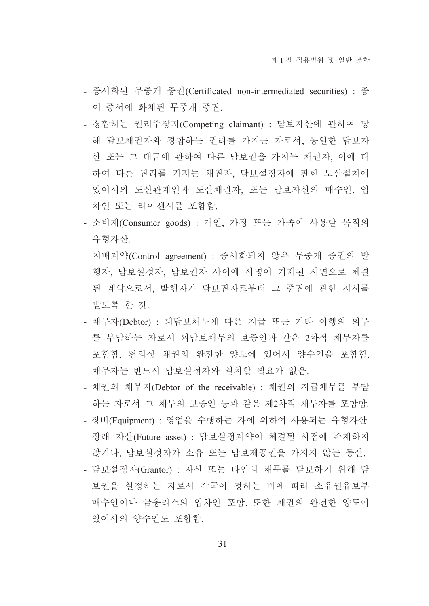- 증서화된 무중개 증권(Certificated non-intermediated securities) : 종 이 증서에 화체된 무중개 증권.
- 경합하는 권리주장자(Competing claimant) : 담보자산에 관하여 당 해 담보채권자와 경합하는 권리를 가지는 자로서, 동일한 담보자 산 또는 그 대금에 관하여 다른 담보권을 가지는 채권자, 이에 대 하여 다른 권리를 가지는 채권자, 담보설정자에 관한 도산절차에 있어서의 도산관재인과 도산채권자, 또는 담보자산의 매수인, 임 차인 또는 라이센시를 포함함.
- 소비재(Consumer goods) : 개인, 가정 또는 가족이 사용할 목적의 유형자산.
- 지배계약(Control agreement) : 증서화되지 않은 무중개 증권의 발 행자, 담보설정자, 담보권자 사이에 서명이 기재된 서면으로 체결 된 계약으로서, 발행자가 담보권자로부터 그 증권에 관한 지시를 받도록 한 것.
- 채무자(Debtor) : 피담보채무에 따른 지급 또는 기타 이행의 의무 를 부담하는 자로서 피담보채무의 보증인과 같은 2차적 채무자를 포함함. 편의상 채권의 완전한 양도에 있어서 양수인을 포함함. 채무자는 반드시 담보설정자와 일치할 필요가 없음.
- 채권의 채무자(Debtor of the receivable) : 채권의 지급채무를 부담 하는 자로서 그 채무의 보증인 등과 같은 제2차적 채무자를 포함함.
- 장비(Equipment) : 영업을 수행하는 자에 의하여 사용되는 유형자산.
- 장래 자산(Future asset) : 담보설정계약이 체결될 시점에 존재하지 않거나, 담보설정자가 소유 또는 담보제공권을 가지지 않는 동산.
- 담보설정자(Grantor) : 자신 또는 타인의 채무를 담보하기 위해 담 보권을 설정하는 자로서 각국이 정하는 바에 따라 소유권유보부 매수인이나 금융리스의 임차인 포함. 또한 채권의 완전한 양도에 있어서의 양수인도 포함함.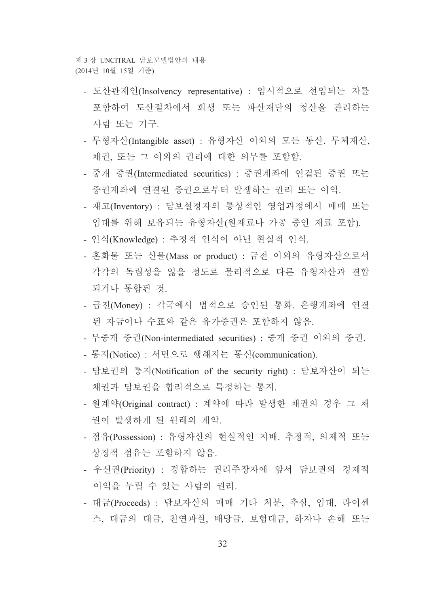제 3 장 INCITRAL 담보모델법안의 내용 (2014년 10월 15일 기준)

- 도산관재인(Insolvency representative) : 임시적으로 선임되는 자를 포함하여 도산절차에서 회생 또는 파산재단의 청산을 관리하는 사람 또는 기구.
- 무형자산(Intangible asset) : 유형자산 이외의 모든 동산. 무체재산, 채권, 또는 그 이외의 권리에 대한 의무를 포함함.
- 중개 증권(Intermediated securities) : 증권계좌에 연결된 증권 또는 증권계좌에 연결된 증권으로부터 발생하는 권리 또는 이익.
- 재고(Inventory) : 담보설정자의 통상적인 영업과정에서 매매 또는 임대를 위해 보유되는 유형자산(원재료나 가공 중인 재료 포함).
- 인식(Knowledge) : 추정적 인식이 아닌 현실적 인식.
- 혼화물 또는 산물(Mass or product) : 금전 이외의 유형자산으로서 각각의 독립성을 잃을 정도로 물리적으로 다른 유형자산과 결합 되거나 통합된 것.
- 금전(Money) : 각국에서 법적으로 승인된 통화. 은행계좌에 연결 된 자금이나 수표와 같은 유가증권은 포함하지 않음.
- 무중개 증권(Non-intermediated securities) : 중개 증권 이외의 증권.
- 통지(Notice) : 서면으로 행해지는 통신(communication).
- 담보권의 통지(Notification of the security right) : 담보자산이 되는 채권과 담보권을 합리적으로 특정하는 통지.
- 원계약(Original contract) : 계약에 따라 발생한 채권의 경우 그 채 권이 발생하게 된 원래의 계약.
- 점유(Possession) : 유형자산의 혁실적인 지배. 추정적. 의제적 또는 상징적 점유는 포함하지 않음.
- 우선권(Priority) : 경합하는 권리주장자에 앞서 담보권의 경제적 이익을 누릴 수 있는 사람의 권리.
- 대금(Proceeds) : 담보자산의 매매 기타 처분, 추심, 임대, 라이센 스, 대금의 대금, 천연과실, 배당금, 보험대금, 하자나 손해 또는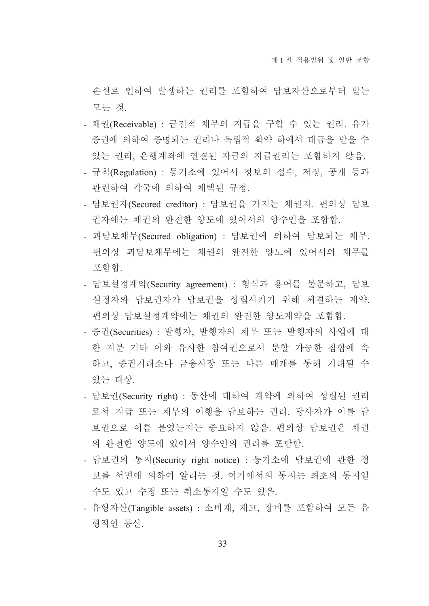손실로 인하여 발생하는 권리를 포함하여 담보자산으로부터 받는 모든 것.

- 채권(Receivable) : 금전적 채무의 지급을 구할 수 있는 권리. 유가 증권에 의하여 증명되는 권리나 독립적 확약 하에서 대금을 받을 수 있는 권리, 은행계좌에 연결된 자금의 지급권리는 포함하지 않음.
- 규칙(Regulation) : 등기소에 있어서 정보의 접수, 저장, 공개 등과 관련하여 각국에 의하여 채택된 규정.
- 담보권자(Secured creditor) : 담보권을 가지는 채권자. 편의상 담보 권자에는 채권의 완전한 양도에 있어서의 양수인을 포함함.
- 피담보채무(Secured obligation) : 담보권에 의하여 담보되는 채무. 편의상 피담보채무에는 채권의 완전한 양도에 있어서의 채무를 포함함.
- 담보설정계약(Security agreement) : 형식과 용어를 불문하고, 담보 설정자와 담보권자가 담보권을 성립시키기 위해 체결하는 계약. 편의상 담보설정계약에는 채권의 완전한 양도계약을 포함함.
- 증권(Securities) : 발행자, 발행자의 채무 또는 발행자의 사업에 대 한 지분 기타 이와 유사한 참여권으로서 분할 가능한 집합에 속 하고, 증권거래소나 금융시장 또는 다른 매개를 통해 거래될 수 있는 대상.
- 담보권(Security right) : 동산에 대하여 계약에 의하여 성립된 권리 로서 지급 또는 채무의 이행을 담보하는 권리. 당사자가 이를 담 보권으로 이름 붙였는지는 중요하지 않음. 편의상 담보권은 채권 의 완전한 양도에 있어서 양수인의 권리를 포함함.
- 담보권의 통지(Security right notice) : 등기소에 담보권에 관한 정 보를 서면에 의하여 알리는 것. 여기에서의 통지는 최초의 통지일 수도 있고 수정 또는 취소통지일 수도 있음.
- 유형자산(Tangible assets) : 소비재, 재고, 장비를 포함하여 모든 유 형적인 동산.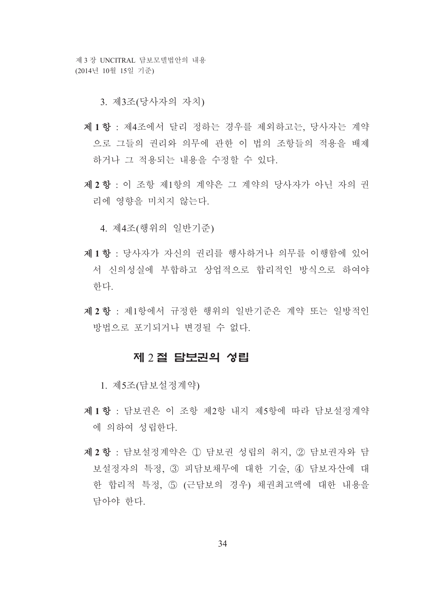제 3 장 UNCITRAL 담보모델법안의 내용 (2014년 10월 15일 기준)

3. 제3조(당사자의 자치)

- 제1항 : 제4조에서 달리 정하는 경우를 제외하고는, 당사자는 계약 으로 그들의 권리와 의무에 관한 이 법의 조항들의 적용을 배제 하거나 그 적용되는 내용을 수정할 수 있다.
- 제 2 항 : 이 조항 제1항의 계약은 그 계약의 당사자가 아닌 자의 권 리에 영향을 미치지 않는다.

4. 제4조(행위의 일반기주)

- 제1항 : 당사자가 자신의 권리를 행사하거나 의무를 이행함에 있어 서 신의성실에 부합하고 상업적으로 합리적인 방식으로 하여야 한다.
- 제 2 항 : 제1항에서 규정한 행위의 일반기준은 계약 또는 일방적인 방법으로 포기되거나 변경될 수 없다.

#### 제 2절 담보권의 성립

1. 제5조(담보설정계약)

- 제1항 : 담보권은 이 조항 제2항 내지 제5항에 따라 담보설정계약 에 의하여 성립하다.
- 제 2 항 : 담보설정계약은 1 담보권 성립의 취지, 2 담보권자와 담 보설정자의 특정, 3 피담보채무에 대한 기술, 4 담보자산에 대 한 합리적 특정, 5 (근담보의 경우) 채권최고액에 대한 내용을 담아야 한다.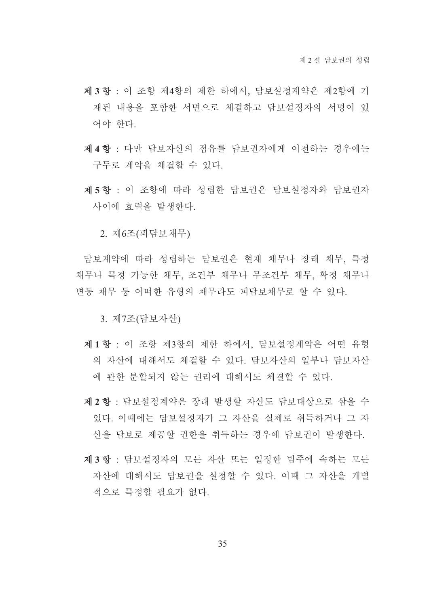- 제3항 : 이 조항 제4항의 제한 하에서 담보설정계약은 제2항에 기 재된 내용을 포함한 서면으로 체결하고 담보설정자의 서명이 있 어야 하다
- 제 4 항 : 다만 담보자산의 점유를 담보권자에게 이전하는 경우에는 구두로 계약을 체결할 수 있다.
- 제5항 : 이 조항에 따라 성립한 담보권은 담보설정자와 담보권자 사이에 효력을 발생한다.

2. 제6조(피담보채무)

담보계약에 따라 성립하는 담보권은 현재 채무나 장래 채무, 특정 채무나 특정 가능한 채무. 조건부 채무나 무조건부 채무. 확정 채무나 변동 채무 등 어떠한 유형의 채무라도 피담보채무로 할 수 있다.

3. 제7조(담보자산)

- 제1항 : 이 조항 제3항의 제한 하에서 담보설정계약은 어떤 유형 의 자산에 대해서도 체결할 수 있다. 담보자산의 일부나 담보자산 에 관한 분할되지 않는 권리에 대해서도 체결할 수 있다.
- 제 2 항 : 담보설정계약은 장래 발생할 자산도 담보대상으로 삼을 수 있다. 이때에는 담보설정자가 그 자산을 실제로 취득하거나 그 자 산을 담보로 제공할 권한을 취득하는 경우에 담보권이 발생한다.
- 제3항 : 담보설정자의 모든 자산 또는 일정한 범주에 속하는 모든 자산에 대해서도 담보권을 설정할 수 있다. 이때 그 자산을 개별 적으로 특정할 필요가 없다.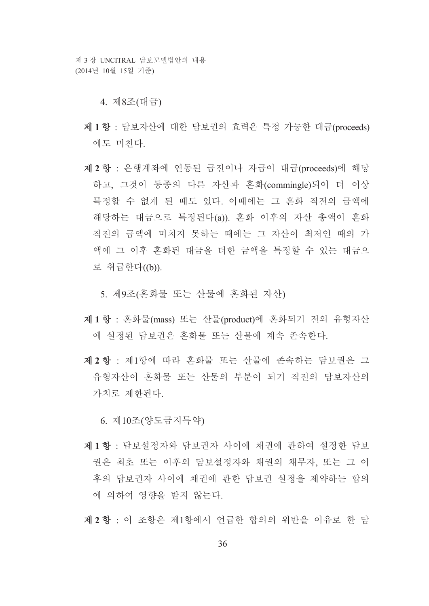제 3 장 UNCITRAL 담보모델법안의 내용 (2014년 10월 15일 기준)

4. 제8조(대금)

- 제1항 : 담보자산에 대한 담보권의 효력은 특정 가능한 대금(proceeds) 에도 미치다.
- 제 2 항 : 은행계좌에 연동된 금전이나 자금이 대금(proceeds)에 해당 하고, 그것이 동종의 다른 자산과 혼화(commingle)되어 더 이상 특정할 수 없게 된 때도 있다. 이때에는 그 혼화 직전의 금액에 해당하는 대금으로 특정된다(a)). 혼화 이후의 자산 총액이 혼화 직전의 금액에 미치지 못하는 때에는 그 자산이 최저인 때의 가 액에 그 이후 혼화된 대금을 더한 금액을 특정할 수 있는 대금으 로 취급한다((b)).

5. 제9조(혼화물 또는 산물에 혼화된 자산)

- 제1항 : 혼화물(mass) 또는 산물(product)에 혼화되기 전의 유형자산 에 설정된 담보권은 혼화물 또는 산물에 계속 존속하다.
- 제 2 항 : 제1항에 따라 혼화물 또는 산물에 존속하는 담보권은 그 유형자산이 혼화물 또는 산물의 부분이 되기 직전의 담보자산의 가치로 제한되다.

6. 제10조(양도금지특약)

- 제1항 · 담보설정자와 담보권자 사이에 채권에 과하여 설정하 담보 권은 최초 또는 이후의 담보설정자와 채권의 채무자, 또는 그 이 후의 담보권자 사이에 채권에 관한 담보권 설정을 제약하는 합의 에 의하여 영향을 받지 않는다.
- 제 2 항 : 이 조항은 제1항에서 언급한 합의의 위반을 이유로 한 담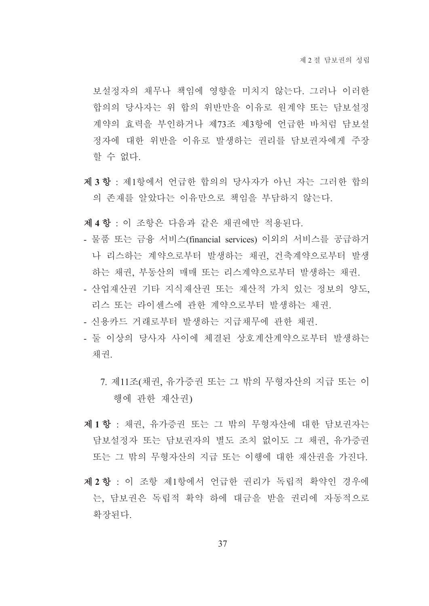보설정자의 채무나 책임에 영향을 미치지 않는다. 그러나 이러한 합의의 당사자는 위 합의 위반만을 이유로 원계약 또는 담보설정 계약의 효력을 부인하거나 제73조 제3항에 언급한 바처럼 담보설 정자에 대한 위반을 이유로 발생하는 권리를 담보권자에게 주장 할 수 없다.

제3항 : 제1항에서 언급한 합의의 당사자가 아닌 자는 그러한 합의 의 존재를 알았다는 이유만으로 책임을 부담하지 않는다.

제 4 항 : 이 조항은 다음과 같은 채권에만 적용된다.

- 물품 또는 금융 서비스(financial services) 이외의 서비스를 공급하거 나 리스하는 계약으로부터 발생하는 채권, 건축계약으로부터 발생 하는 채권, 부동산의 매매 또는 리스계약으로부터 발생하는 채권.
- 산업재산권 기타 지식재산권 또는 재산적 가치 있는 정보의 양도, 리스 또는 라이센스에 관한 계약으로부터 발생하는 채권.
- 신용카드 거래로부터 발생하는 지급채무에 관한 채권.
- 둘 이상의 당사자 사이에 체결된 상호계산계약으로부터 발생하는 채권
	- 7. 제11조(채권, 유가증권 또는 그 밖의 무형자산의 지급 또는 이 행에 관한 재산권)
- 제1항 : 채권, 유가증권 또는 그 밖의 무형자산에 대한 담보권자는 담보설정자 또는 담보권자의 별도 조치 없이도 그 채권, 유가증권 또는 그 밖의 무형자산의 지급 또는 이행에 대한 재산권을 가진다.
- 제 2 항 : 이 조항 제1항에서 언급한 권리가 독립적 확약인 경우에 는, 담보권은 독립적 확약 하에 대금을 받을 권리에 자동적으로 확장된다.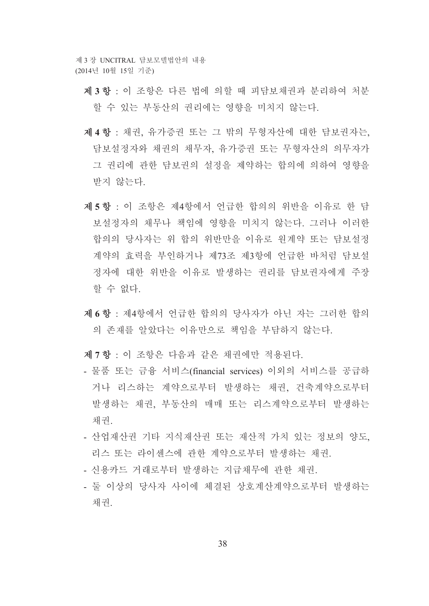제 3 장 INCITRAL 담보모델법안의 내용 (2014년 10월 15일 기준)

- 제3항 : 이 조항은 다른 법에 의할 때 피담보채권과 부리하여 처부 할 수 있는 부동산의 권리에는 영향을 미치지 않는다.
- 제 4 항 : 채권, 유가증권 또는 그 밖의 무형자산에 대한 담보권자는, 담보설정자와 채권의 채무자, 유가증권 또는 무형자산의 의무자가 그 권리에 관한 담보권의 설정을 제약하는 합의에 의하여 영향을 받지 않는다.
- 제5항 : 이 조항은 제4항에서 언급한 합의의 위반을 이유로 한 담 보설정자의 채무나 책임에 영향을 미치지 않는다. 그러나 이러한 합의의 당사자는 위 합의 위반만을 이유로 워계약 또는 담보설정 계약의 효력을 부인하거나 제73조 제3항에 언급한 바처럼 담보설 정자에 대한 위반을 이유로 발생하는 권리를 담보권자에게 주장 할 수 없다.
- 제 6 항 : 제4항에서 언급한 합의의 당사자가 아닌 자는 그러한 합의 의 존재를 알았다는 이유만으로 책임을 부담하지 않는다.
- 제 7 항 : 이 조항은 다음과 같은 채권에만 적용된다.
- 물품 또는 금융 서비스(financial services) 이외의 서비스를 공급하 거나 리스하는 계약으로부터 발생하는 채권, 건축계약으로부터 발생하는 채권, 부동산의 매매 또는 리스계약으로부터 발생하는 채권.
- 산업재산권 기타 지식재산권 또는 재산적 가치 있는 정보의 양도, 리스 또는 라이세스에 과하 계약으로부터 발생하는 채권
- 신용카드 거래로부터 발생하는 지급채무에 관한 채권.
- 둘 이상의 당사자 사이에 체결된 상호계산계약으로부터 발생하는 채권.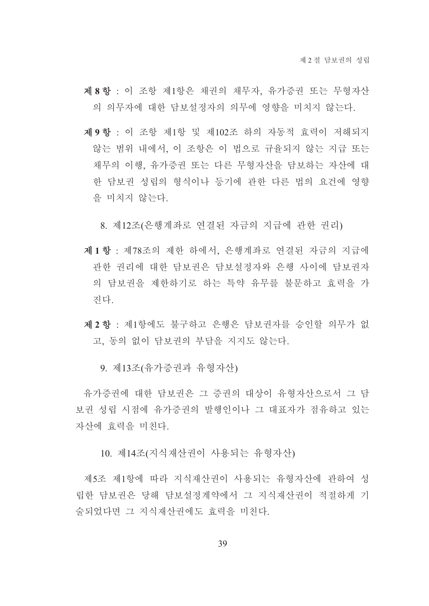- 제 8 항 : 이 조항 제1항은 채권의 채무자, 유가증권 또는 무형자산 의 의무자에 대한 담보설정자의 의무에 영향을 미치지 않는다.
- 제9항 : 이 조항 제1항 및 제102조 하의 자동적 효력이 저해되지 않는 범위 내에서, 이 조항은 이 법으로 규율되지 않는 지급 또는 채무의 이행, 유가증권 또는 다른 무형자산을 담보하는 자산에 대 한 담보권 성립의 형식이나 등기에 관한 다른 법의 요건에 영향 을 미치지 않는다.

8. 제12조(은행계좌로 연결된 자금의 지급에 관한 권리)

- 제1항 : 제78조의 제한 하에서, 은행계좌로 연결된 자금의 지급에 관한 권리에 대한 담보권은 담보설정자와 은행 사이에 담보권자 의 담보권을 제한하기로 하는 특약 유무를 불문하고 효력을 가 진다.
- 제 2 항 : 제1항에도 불구하고 은행은 담보권자를 승인할 의무가 없 고, 동의 없이 담보권의 부담을 지지도 않는다.

9. 제13조(유가증권과 유형자산)

유가증권에 대한 담보권은 그 증권의 대상이 유형자산으로서 그 담 보권 성립 시점에 유가증권의 발행인이나 그 대표자가 점유하고 있는 자산에 효력을 미치다

10. 제14조(지식재산권이 사용되는 유형자산)

제5조 제1항에 따라 지식재산권이 사용되는 유형자산에 관하여 성 립한 담보권은 당해 담보설정계약에서 그 지식재산권이 적절하게 기 술되었다면 그 지식재산권에도 효력을 미친다.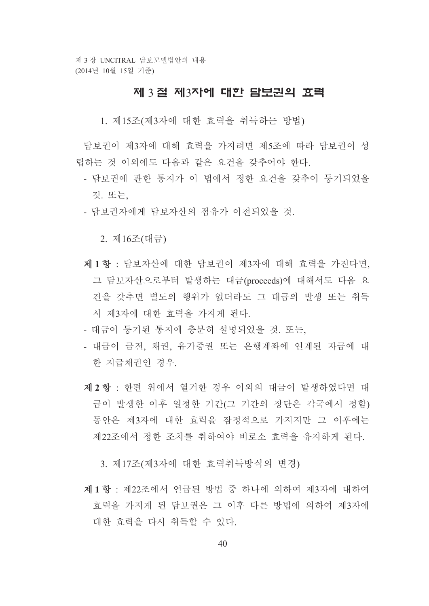## 제 3 절 제3자에 대한 담보권의 효력

1. 제15조(제3자에 대한 효력을 취득하는 방법)

담보권이 제3자에 대해 효력을 가지려면 제5조에 따라 담보권이 성 립하는 것 이외에도 다음과 같은 요건을 갖추어야 한다.

- 담보권에 관한 통지가 이 법에서 정한 요건을 갖추어 등기되었을 것 또는
- 담보권자에게 담보자산의 점유가 이전되었을 것.

2. 제16조(대금)

- 제1항 : 담보자산에 대한 담보권이 제3자에 대해 효력을 가진다면. 그 담보자산으로부터 발생하는 대금(proceeds)에 대해서도 다음 요 건을 갖추면 별도의 행위가 없더라도 그 대금의 발생 또는 취득 시 제3자에 대한 효력을 가지게 된다.
- 대금이 등기된 통지에 충분히 설명되었을 것. 또는,
- 대금이 금전, 채권, 유가증권 또는 은행계좌에 연계된 자금에 대 한 지급채권인 경우
- 제 2 항 : 한편 위에서 열거한 경우 이외의 대금이 발생하였다면 대 금이 발생한 이후 일정한 기간(그 기간의 장단은 각국에서 정함) 동안은 제3자에 대한 효력을 잠정적으로 가지지만 그 이후에는 제22조에서 정한 조치를 취하여야 비로소 효력을 유지하게 되다.

3. 제17조(제3자에 대한 효력취득방식의 변경)

제1항 : 제22조에서 언급된 방법 중 하나에 의하여 제3자에 대하여 효력을 가지게 된 담보권은 그 이후 다른 방법에 의하여 제3자에 대한 효력을 다시 취득할 수 있다.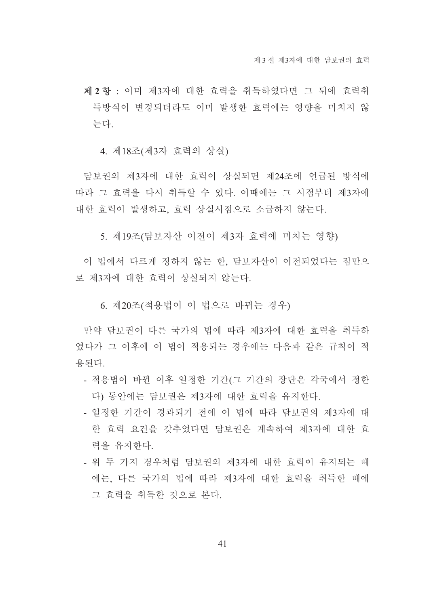제 2 항 : 이미 제3자에 대한 효력을 취득하였다면 그 뒤에 효력취 득방식이 변경되더라도 이미 발생한 효력에는 영향을 미치지 않 는다

4. 제18조(제3자 효력의 상실)

담보권의 제3자에 대한 효력이 상실되면 제24조에 언급된 방식에 따라 그 효력을 다시 취득할 수 있다. 이때에는 그 시점부터 제3자에 대한 효력이 발생하고, 효력 상실시점으로 소급하지 않는다.

5. 제19조(담보자산 이전이 제3자 효력에 미치는 영향)

이 법에서 다르게 정하지 않는 한, 담보자산이 이전되었다는 점만으 로 제3자에 대한 효력이 상실되지 않는다.

6. 제20조(적용법이 이 법으로 바뀌는 경우)

만약 담보권이 다른 국가의 법에 따라 제3자에 대한 효력을 취득하 였다가 그 이후에 이 법이 적용되는 경우에는 다음과 같은 규칙이 적 용된다.

- 적용법이 바뀐 이후 일정한 기간(그 기간의 장단은 각국에서 정한 다) 동안에는 담보권은 제3자에 대한 효력을 유지한다.
- 일정한 기간이 경과되기 전에 이 법에 따라 담보권의 제3자에 대 한 효력 요건을 갖추었다면 담보권은 계속하여 제3자에 대한 효 력을 유지하다.
- 위 두 가지 경우처럼 담보권의 제3자에 대한 효력이 유지되는 때 에는 다른 국가의 법에 따라 제3자에 대한 효력을 취득한 때에 그 효력을 취득한 것으로 본다.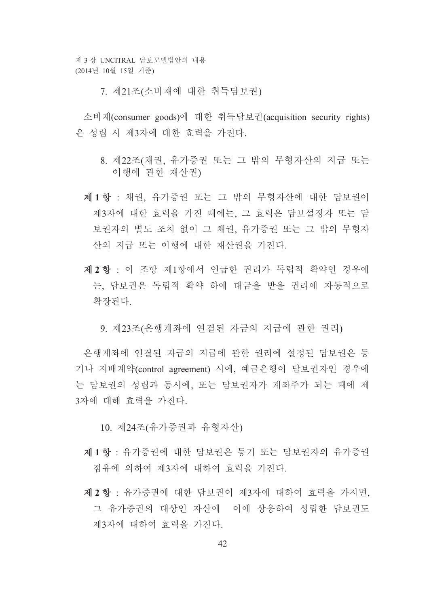7. 제21조(소비재에 대한 취득담보권)

소비재(consumer goods)에 대한 취득담보권(acquisition security rights) 은 성립 시 제3자에 대한 효력을 가진다.

- 8. 제22조(채권, 유가증권 또는 그 밖의 무형자산의 지급 또는 이행에 과한 재사권)
- 제1항 : 채권, 유가증권 또는 그 밖의 무형자산에 대한 담보권이 제3자에 대한 효력을 가진 때에는, 그 효력은 담보설정자 또는 담 보권자의 별도 조치 없이 그 채권, 유가증권 또는 그 밖의 무형자 산의 지급 또는 이행에 대한 재산권을 가진다.
- 제 2 항 : 이 조항 제1항에서 언급한 권리가 독립적 확약인 경우에 는. 담보권은 독립적 확약 하에 대금을 받을 권리에 자동적으로 확장된다.
	- 9. 제23조(은행계좌에 연결된 자금의 지급에 관한 권리)

은행계좌에 연결된 자금의 지급에 관한 권리에 설정된 담보권은 등 기나 지배계약(control agreement) 시에, 예금은행이 담보권자인 경우에 는 담보권의 성립과 동시에, 또는 담보권자가 계좌주가 되는 때에 제 3자에 대해 효력을 가진다.

10. 제24조(유가증권과 유형자산)

- 제1항 : 유가증권에 대한 담보권은 등기 또는 담보권자의 유가증권 점유에 의하여 제3자에 대하여 효력을 가진다.
- 제 2 항 : 유가증권에 대한 담보권이 제3자에 대하여 효력을 가지면, 그 유가증권의 대상인 자산에 이에 상응하여 성립한 담보권도 제3자에 대하여 효력을 가진다.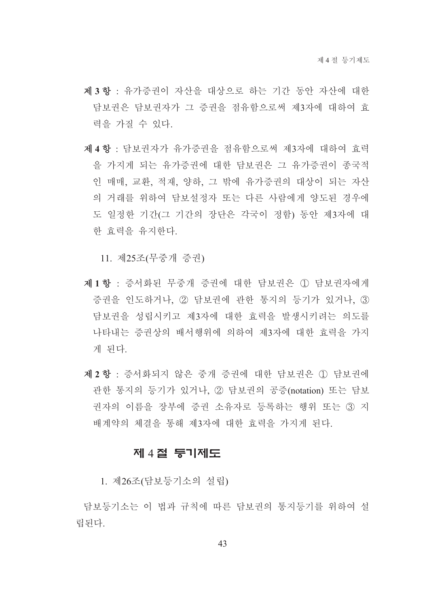- 제3항 : 유가증권이 자산을 대상으로 하는 기간 동안 자산에 대한 담보권은 담보권자가 그 증권을 점유함으로써 제3자에 대하여 효 력을 가질 수 있다.
- 제 4 항 : 담보권자가 유가증권을 점유함으로써 제3자에 대하여 효력 을 가지게 되는 유가증권에 대한 담보권은 그 유가증권이 종국적 인 매매, 교환, 적재, 양하, 그 밖에 유가증권의 대상이 되는 자산 의 거래를 위하여 담보설정자 또는 다른 사람에게 양도된 경우에 도 일정한 기간(그 기간의 장단은 각국이 정함) 동안 제3자에 대 한 효력을 유지하다.

11. 제25조(무중개 증권)

- 제1항 : 증서화된 무중개 증권에 대한 담보권은 ① 담보권자에게 증권을 인도하거나. ② 담보권에 관한 통지의 등기가 있거나. ③ 담보권을 성립시키고 제3자에 대한 효력을 발생시키려는 의도를 나타내는 증권상의 배서행위에 의하여 제3자에 대한 효력을 가지 게 된다.
- 제 2 항 : 증서화되지 않은 증개 증권에 대한 담보권은 ① 담보권에 관한 통지의 등기가 있거나. 2 담보권의 공증(notation) 또는 담보 권자의 이름을 장부에 증권 소유자로 등록하는 행위 또는 3 지 배계약의 체결을 통해 제3자에 대한 효력을 가지게 된다.

## 제 4절 등기제도

1. 제26조(담보등기소의 설립)

담보등기소는 이 법과 규칙에 따른 담보권의 통지등기를 위하여 설 립된다.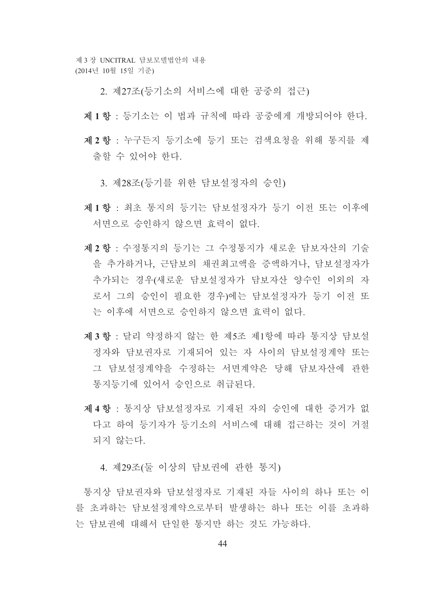- 2. 제27조(등기소의 서비스에 대한 공중의 접근)
- 제1항 : 등기소는 이 법과 규칙에 따라 공중에게 개방되어야 하다.
- 제 2 항 : 누구든지 등기소에 등기 또는 검색요청을 위해 통지를 제 출할 수 있어야 한다.
	- 3. 제28조(등기를 위한 담보설정자의 승인)
- 제1항 : 최초 통지의 등기는 담보설정자가 등기 이전 또는 이후에 서면으로 승인하지 않으면 효력이 없다.
- 제 2 항 : 수정통지의 등기는 그 수정통지가 새로운 담보자산의 기술 을 추가하거나. 근담보의 채권최고액을 증액하거나. 담보설정자가 추가되는 경우(새로운 담보설정자가 담보자산 양수인 이외의 자 로서 그의 승인이 필요한 경우)에는 담보설정자가 등기 이전 또 는 이후에 서면으로 승인하지 않으면 효력이 없다.
- 제3 항 · 달리 약정하지 않는 한 제5조 제1항에 따라 통지상 담보설 정자와 담보권자로 기재되어 있는 자 사이의 담보설정계약 또는 그 담보설정계약을 수정하는 서면계약은 당해 담보자산에 관한 통지등기에 있어서 승인으로 취급되다.
- 제 4 항 : 통지상 담보설정자로 기재된 자의 승인에 대한 증거가 없 다고 하여 등기자가 등기소의 서비스에 대해 접근하는 것이 거절 되지 않는다.

4. 제29조(둘 이상의 담보권에 관한 통지)

통지상 담보권자와 담보설정자로 기재된 자들 사이의 하나 또는 이 를 초과하는 담보설정계약으로부터 발생하는 하나 또는 이를 초과하 는 담보권에 대해서 다일한 통지만 하는 것도 가능하다.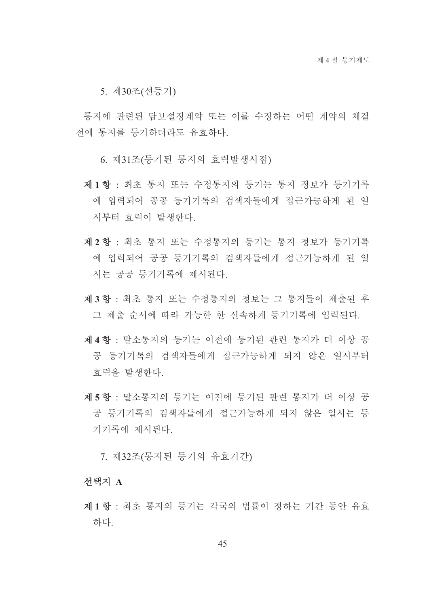5. 제30조(선등기)

통지에 관련된 담보설정계약 또는 이를 수정하는 어떤 계약의 체결 전에 통지를 등기하더라도 유효하다.

6. 제31조(등기된 통지의 효력발생시점)

- 제1항 : 최초 통지 또는 수정통지의 등기는 통지 정보가 등기기록 에 입력되어 공공 등기기록의 검색자들에게 접근가능하게 된 일 시부터 효력이 발생하다.
- 제2항 : 최초 통지 또는 수정통지의 등기는 통지 정보가 등기기록 에 입력되어 공공 등기기록의 검색자들에게 접근가능하게 된 일 시는 공공 등기기록에 제시된다.
- 제3항 : 최초 통지 또는 수정통지의 정보는 그 통지들이 제출된 후 그 제출 순서에 따라 가능한 한 신속하게 등기기록에 입력된다.
- 제4항 : 말소통지의 등기는 이전에 등기된 관련 통지가 더 이상 공 공 등기기록의 검색자들에게 접근가능하게 되지 않은 일시부터 효력을 발생한다.
- 제5항 : 말소통지의 등기는 이전에 등기된 관련 통지가 더 이상 공 공 등기기록의 검색자들에게 접근가능하게 되지 않은 일시는 등 기기록에 제시되다.

7. 제32조(통지된 등기의 유효기간)

선택지 A

제1항 : 최초 통지의 등기는 각국의 법률이 정하는 기간 동안 유효 하다.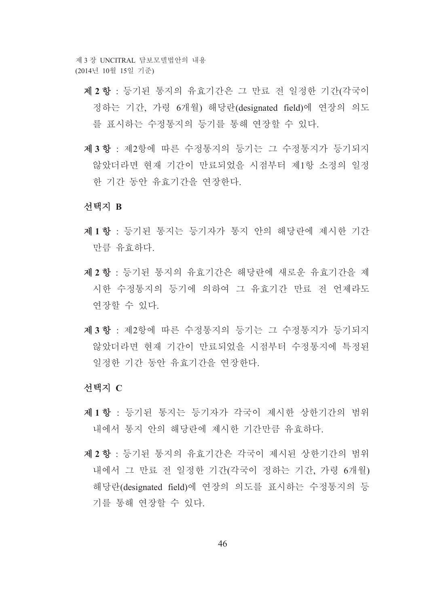- 제 2 항 : 등기된 통지의 유효기간은 그 만료 전 일정한 기간(각국이 정하는 기간, 가령 6개월) 해당란(designated field)에 연장의 의도 를 표시하는 수정통지의 등기를 통해 연장할 수 있다.
- 제3항 : 제2항에 따른 수정통지의 등기는 그 수정통지가 등기되지 않았더라면 현재 기간이 만료되었을 시점부터 제1항 소정의 일정 한 기간 동안 유효기간을 연장한다.

#### 선택지 B

- 제1항 : 등기된 통지는 등기자가 통지 안의 해당란에 제시한 기간 만큼 유효하다.
- 제 2 항 : 등기된 통지의 유효기간은 해당란에 새로운 유효기간을 제 시한 수정통지의 등기에 의하여 그 유효기간 만료 전 언제라도 연장할 수 있다.
- 제3항 : 제2항에 따른 수정통지의 등기는 그 수정통지가 등기되지 않았더라면 현재 기간이 만료되었을 시점부터 수정통지에 특정된 일정한 기간 동안 유효기간을 연장한다.

#### 선택지 C

- 제1항 : 등기된 통지는 등기자가 각국이 제시한 상한기간의 범위 내에서 통지 안의 해당란에 제시한 기간만큼 유효하다.
- 제 2 항 : 등기된 통지의 유효기간은 각국이 제시된 상한기간의 범위 내에서 그 만료 전 일정한 기간(각국이 정하는 기간, 가령 6개월) 해당란(designated field)에 연장의 의도를 표시하는 수정통지의 등 기를 통해 연장할 수 있다.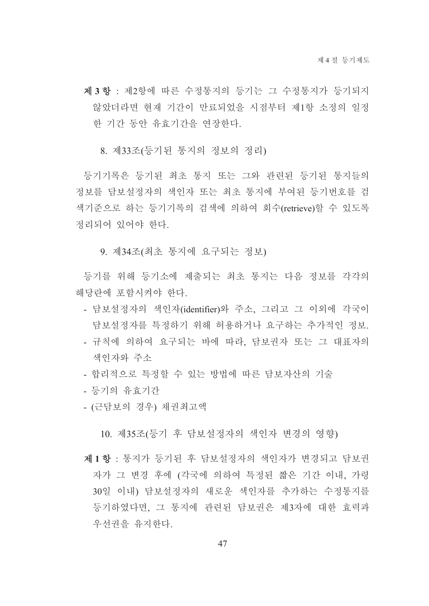- 제3항 : 제2항에 따른 수정통지의 등기는 그 수정통지가 등기되지 않았더라면 현재 기간이 만료되었을 시점부터 제1항 소정의 일정 한 기간 동안 유효기간을 여장한다.
	- 8. 제33조(등기된 통지의 정보의 정리)

등기기록은 등기된 최초 통지 또는 그와 관련된 등기된 통지들의 정보를 담보설정자의 색인자 또는 최초 통지에 부여된 등기번호를 검 색기준으로 하는 등기기록의 검색에 의하여 회수(retrieve)할 수 있도록 정리되어 있어야 하다

9. 제34조(최초 통지에 요구되는 정보)

등기를 위해 등기소에 제출되는 최초 통지는 다음 정보를 각각의 해당란에 포함시켜야 한다.

- 담보설정자의 색인자(identifier)와 주소, 그리고 그 이외에 각국이 담보설정자를 특정하기 위해 허용하거나 요구하는 추가적인 정보.
- 규칙에 의하여 요구되는 바에 따라. 담보권자 또는 그 대표자의 색인자와 주소
- 합리적으로 특정할 수 있는 방법에 따른 담보자산의 기술
- 등기의 유효기간
- (근담보의 경우) 채권최고액

10. 제35조(등기 후 담보설정자의 색인자 변경의 영향)

제1항 : 통지가 등기된 후 담보설정자의 색인자가 변경되고 담보권 자가 그 변경 후에 (각국에 의하여 특정된 짧은 기간 이내, 가령 30일 이내) 담보설정자의 새로운 색인자를 추가하는 수정통지를 등기하였다면, 그 통지에 관련된 담보권은 제3자에 대한 효력과 우선권을 유지하다.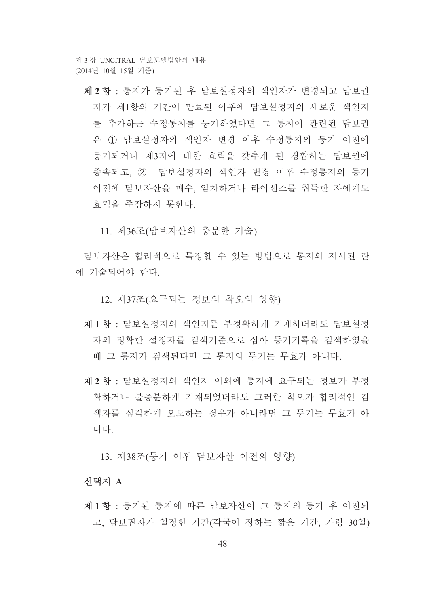제 2 항 : 통지가 등기된 후 담보설정자의 색인자가 변경되고 담보권 자가 제1항의 기간이 만료된 이후에 담보설정자의 새로운 색인자 를 추가하는 수정통지를 등기하였다면 그 통지에 관련된 담보권 은 ① 담보설정자의 색인자 변경 이후 수정통지의 등기 이전에 등기되거나 제3자에 대한 효력을 갖추게 된 경합하는 담보권에 종속되고, 2 담보설정자의 색인자 변경 이후 수정통지의 등기 이전에 담보자산을 매수, 임차하거나 라이센스를 취득한 자에게도 효력을 주장하지 못한다.

11. 제36조(담보자산의 충분한 기술)

담보자산은 합리적으로 특정할 수 있는 방법으로 통지의 지시된 라 에 기술되어야 한다.

12. 제37조(요구되는 정보의 착오의 영향)

- 제1항 : 담보설정자의 색인자를 부정확하게 기재하더라도 담보설정 자의 정확한 설정자를 검색기준으로 삼아 등기기록을 검색하였을 때 그 통지가 검색된다면 그 통지의 등기는 무효가 아니다.
- 제 2 항 : 담보설정자의 색인자 이외에 통지에 요구되는 정보가 부정 확하거나 불충분하게 기재되었더라도 그러한 착오가 합리적인 검 색자를 심각하게 오도하는 경우가 아니라면 그 등기는 무효가 아 니다

13. 제38조(등기 이후 담보자산 이전의 영향)

## 선택지 A

제1항 : 등기된 통지에 따른 담보자산이 그 통지의 등기 후 이전되 고, 담보권자가 일정한 기간(각국이 정하는 짧은 기간, 가령 30일)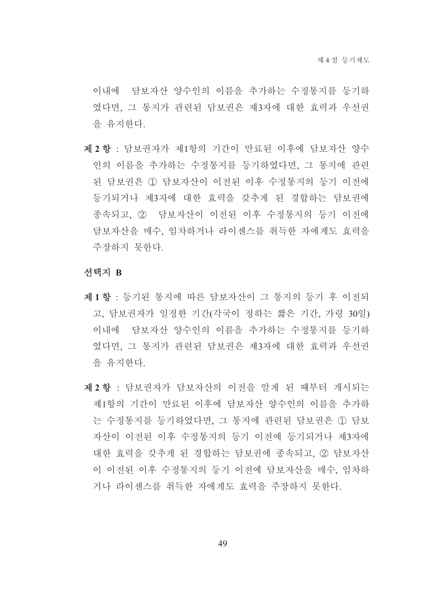이내에 담보자산 양수인의 이름을 추가하는 수정통지를 등기하 였다면, 그 통지가 관련된 담보권은 제3자에 대한 효력과 우선권 을 유지하다.

제 2 항 : 담보권자가 제1항의 기간이 만료된 이후에 담보자산 양수 인의 이름을 추가하는 수정통지를 등기하였다면, 그 통지에 관련 된 담보권은 ① 담보자산이 이전된 이후 수정통지의 등기 이전에 등기되거나 제3자에 대한 효력을 갖추게 된 경합하는 담보권에 종속되고, ② 담보자산이 이전된 이후 수정통지의 등기 이전에 담보자산을 매수, 임차하거나 라이센스를 취득한 자에게도 효력을 주장하지 못한다.

#### 선택지 B

- 제1항 : 등기된 통지에 따른 담보자산이 그 통지의 등기 후 이전되 고, 담보권자가 일정한 기간(각국이 정하는 짧은 기간, 가령 30일) 이내에 담보자산 양수인의 이름을 추가하는 수정통지를 등기하 였다면, 그 통지가 관련된 담보권은 제3자에 대한 효력과 우선권 을 유지한다.
- 제 2 항 : 담보권자가 담보자산의 이전을 알게 된 때부터 개시되는 제1항의 기간이 만료된 이후에 담보자산 양수인의 이름을 추가하 는 수정통지를 등기하였다면, 그 통지에 관련된 담보권은 ① 담보 자산이 이전된 이후 수정통지의 등기 이전에 등기되거나 제3자에 대한 효력을 갖추게 된 경합하는 담보권에 종속되고, 2 담보자산 이 이전된 이후 수정통지의 등기 이전에 담보자산을 매수, 임차하 거나 라이세스를 취득한 자에게도 효력을 주장하지 못하다.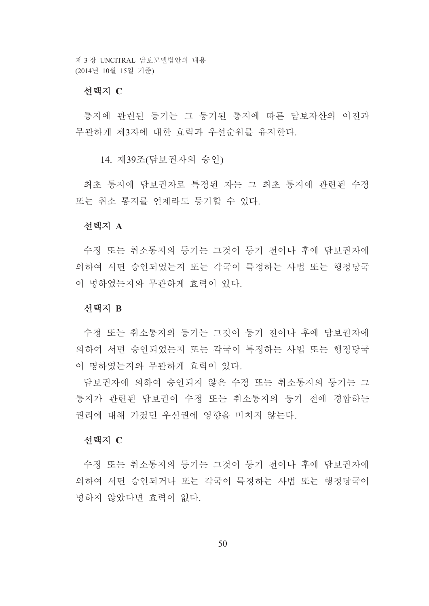## 서택지 C

통지에 관련된 등기는 그 등기된 통지에 따른 담보자산의 이전과 무과하게 제3자에 대한 효력과 우선수위를 유지하다.

14. 제39조(담보권자의 승인)

최초 통지에 담보권자로 특정된 자는 그 최초 통지에 관련된 수정 또는 취소 통지를 언제라도 등기할 수 있다.

## 서택지 A

수정 또는 취소통지의 등기는 그것이 등기 전이나 후에 담보권자에 의하여 서면 승인되었는지 또는 각국이 특정하는 사법 또는 행정당국 이 명하였는지와 무관하게 효력이 있다.

## 선택지 B

수정 또는 취소통지의 등기는 그것이 등기 전이나 후에 담보권자에 의하여 서면 승인되었는지 또는 각국이 특정하는 사법 또는 행정당국 이 명하였는지와 무관하게 효력이 있다.

담보권자에 의하여 승인되지 않은 수정 또는 취소통지의 등기는 그 통지가 관련된 담보권이 수정 또는 취소통지의 등기 전에 경합하는 권리에 대해 가졌던 우선권에 영향을 미치지 않는다.

## 선택지 C

수정 또는 취소통지의 등기는 그것이 등기 전이나 후에 담보권자에 의하여 서면 승인되거나 또는 각국이 특정하는 사법 또는 행정당국이 명하지 않았다면 효력이 없다.

 $50$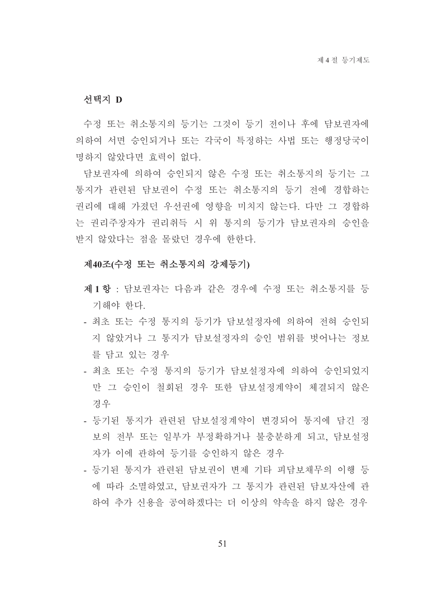#### 서택지 D

수정 또는 취소통지의 등기는 그것이 등기 전이나 후에 담보권자에 의하여 서면 승인되거나 또는 각국이 특정하는 사법 또는 행정당국이 명하지 않았다면 효력이 없다.

담보권자에 의하여 승인되지 않은 수정 또는 취소통지의 등기는 그 통지가 관련된 담보권이 수정 또는 취소통지의 등기 전에 경합하는 권리에 대해 가졌던 우선권에 영향을 미치지 않는다. 다만 그 경합하 는 권리주장자가 권리취득 시 위 통지의 등기가 담보권자의 승인을 받지 않았다는 점을 몰랐던 경우에 한한다.

## 제40조(수정 또는 취소통지의 강제등기)

- 제1항 : 담보권자는 다음과 같은 경우에 수정 또는 취소통지를 등 기해야 한다.
- 최초 또는 수정 통지의 등기가 담보설정자에 의하여 전혀 승인되 지 않았거나 그 통지가 담보설정자의 승인 범위를 벗어나는 정보 를 닦고 있는 경우
- 최초 또는 수정 통지의 등기가 담보설정자에 의하여 승인되었지 만 그 승인이 철회된 경우 또한 담보설정계약이 체결되지 않은 경우
- 등기되 통지가 과려되 담보설정계약이 변경되어 통지에 담긴 정 보의 저부 또는 일부가 부정확하거나 불충분하게 되고 담보설정 자가 이에 관하여 등기를 승인하지 않은 경우
- 등기된 통지가 과려된 담보권이 변제 기타 피담보채무의 이행 등 에 따라 소멸하였고. 담보권자가 그 통지가 관련된 담보자산에 관 하여 추가 신용을 공여하겠다는 더 이상의 약속을 하지 않은 경우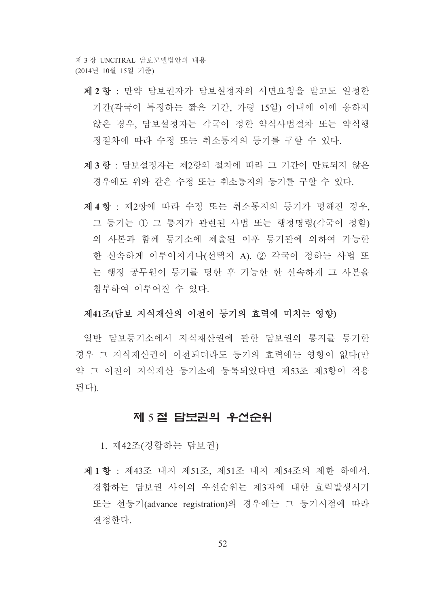- 제 2 항 : 만약 담보권자가 담보설정자의 서면요청을 받고도 일정한 기간(각국이 특정하는 짧은 기간, 가령 15일) 이내에 이에 응하지 않은 경우, 담보설정자는 각국이 정한 약식사법절차 또는 약식행 정절차에 따라 수정 또는 취소통지의 등기를 구할 수 있다.
- 제3항 : 담보설정자는 제2항의 절차에 따라 그 기간이 만료되지 않은 경우에도 위와 같은 수정 또는 취소통지의 등기를 구할 수 있다.
- 제4항 : 제2항에 따라 수정 또는 취소통지의 등기가 명해진 경우, 그 등기는 ① 그 통지가 관련된 사법 또는 행정명령(각국이 정함) 의 사본과 함께 등기소에 제출된 이후 등기관에 의하여 가능한 한 신속하게 이루어지거나(선택지 A). 2 각국이 정하는 사법 또 는 행정 공무워이 등기를 명한 후 가능한 한 신속하게 그 사본을 첨부하여 이루어질 수 있다.

#### 제41조(담보 지식재산의 이전이 등기의 효력에 미치는 영향)

일반 담보등기소에서 지식재산권에 관한 담보권의 통지를 등기한 경우 그 지식재산권이 이전되더라도 등기의 효력에는 영향이 없다(만 약 그 이전이 지식재산 등기소에 등록되었다면 제53조 제3항이 적용 된다).

# 제 5절 담보권의 우선순위

1. 제42조(경합하는 담보권)

제1항 : 제43조 내지 제51조, 제51조 내지 제54조의 제한 하에서, 경합하는 담보권 사이의 우선수위는 제3자에 대한 효력발생시기 또는 선등기(advance registration)의 경우에는 그 등기시점에 따라 결정하다.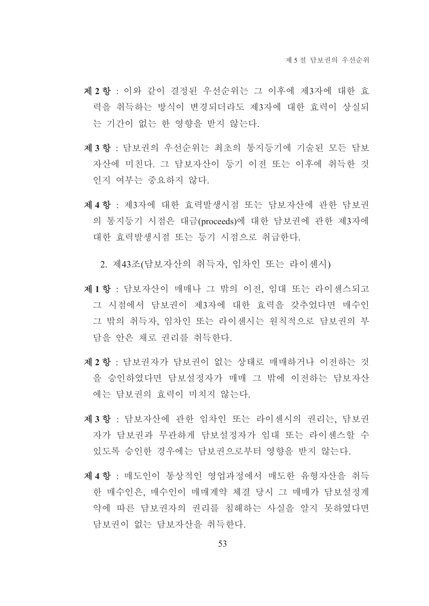- 제 2 항 : 이와 같이 결정된 우선순위는 그 이후에 제3자에 대한 효 력을 취득하는 방식이 변경되더라도 제3자에 대한 효력이 상실되 는 기간이 없는 한 영향을 받지 않는다.
- 제3항 : 담보권의 우선수위는 최초의 통지등기에 기술된 모든 담보 자산에 미친다. 그 담보자산이 등기 이전 또는 이후에 취득한 것 인지 여부는 중요하지 않다.
- 제 4 항 : 제3자에 대한 효력발생시점 또는 담보자산에 관한 담보권 의 통지등기 시점은 대금(proceeds)에 대한 담보권에 관한 제3자에 대한 효력발생시점 또는 등기 시점으로 취급한다.

2. 제43조(담보자산의 취득자, 임차인 또는 라이센시)

- 제1항 : 담보자산이 매매나 그 밖의 이전, 임대 또는 라이센스되고 그 시점에서 담보권이 제3자에 대한 효력을 갖추었다면 매수인 그 밖의 취득자, 임차인 또는 라이센시는 원칙적으로 담보권의 부 담을 안은 채로 권리를 취득한다.
- 제 2 항 : 담보권자가 담보권이 없는 상태로 매매하거나 이전하는 것 을 승인하였다면 담보설정자가 매매 그 밖에 이전하는 담보자산 에는 담보권의 효력이 미치지 않는다.
- 제3항 : 담보자산에 관한 임차인 또는 라이센시의 권리는, 담보권 자가 담보권과 무관하게 담보설정자가 임대 또는 라이센스할 수 있도록 승인한 경우에는 담보권으로부터 영향을 받지 않는다.
- 제4항 : 매도인이 통상적인 영업과정에서 매도한 유형자산을 취득 한 매수인은 매수인이 매매계약 체결 당시 그 매매가 담보설정계 약에 따른 담보권자의 권리를 침해하는 사실을 알지 못하였다면 담보권이 없는 담보자산을 취득하다.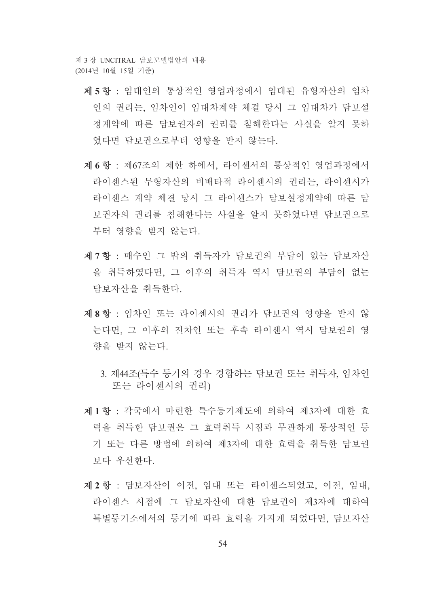- 제 5 항 : 임대인의 통상적인 영업과정에서 임대된 유형자산의 임차 인의 권리는, 임차인이 임대차계약 체결 당시 그 임대차가 담보설 정계약에 따른 담보권자의 권리를 침해한다는 사실을 알지 못하 였다면 담보권으로부터 영향을 받지 않는다.
- 제 6 항 : 제67조의 제한 하에서, 라이센서의 통상적인 영업과정에서 라이센스된 무형자산의 비배타적 라이센시의 권리는, 라이센시가 라이센스 계약 체결 당시 그 라이센스가 담보설정계약에 따른 담 보권자의 권리를 침해한다는 사실을 알지 못하였다면 담보권으로 부터 영향을 받지 않는다.
- 제 7 항 : 매수인 그 밖의 취득자가 담보권의 부담이 없는 담보자산 을 취득하였다면. 그 이후의 취득자 역시 담보권의 부담이 없는 담보자산을 취득하다
- 제8항 : 임차인 또는 라이센시의 권리가 담보권의 영향을 받지 않 는다면, 그 이후의 전차인 또는 후속 라이센시 역시 담보권의 영 향을 받지 않는다.
	- 3. 제44조(특수 등기의 경우 경합하는 담보권 또는 취득자, 임차인 또는 라이센시의 권리)
- 제1항 : 각국에서 마련한 특수등기제도에 의하여 제3자에 대한 효 력을 취득한 담보권은 그 효력취득 시점과 무관하게 통상적인 등 기 또는 다른 방법에 의하여 제3자에 대한 효력을 취득한 담보권 보다 우선하다.
- 제 2 항 : 담보자산이 이전, 임대 또는 라이센스되었고, 이전, 임대, 라이센스 시점에 그 담보자산에 대한 담보권이 제3자에 대하여 특별등기소에서의 등기에 따라 효력을 가지게 되었다면. 닦보자산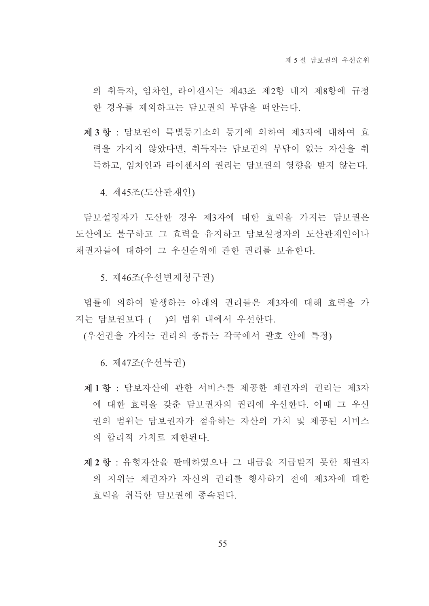의 취득자, 임차인, 라이센시는 제43조 제2항 내지 제8항에 규정 한 경우를 제외하고는 담보권의 부담을 떠아는다.

제3항 · 담보권이 특별등기소의 등기에 의하여 제3자에 대하여 효 력을 가지지 않았다면, 취득자는 담보권의 부담이 없는 자산을 취 득하고, 임차인과 라이센시의 권리는 담보권의 영향을 받지 않는다.

4. 제45조(도산관재인)

담보설정자가 도산한 경우 제3자에 대한 효력을 가지는 담보권은 도산에도 불구하고 그 효력을 유지하고 담보설정자의 도산관재인이나 채권자들에 대하여 그 우선수위에 관한 권리를 보유한다.

5. 제46조(우선변제청구권)

법률에 의하여 발생하는 아래의 권리들은 제3자에 대해 효력을 가 지는 담보권보다 ( )의 범위 내에서 우선한다.

(우선권을 가지는 권리의 종류는 각국에서 괄호 안에 특정)

6. 제47조(우선특권)

- 제1항 : 담보자산에 관한 서비스를 제공한 채권자의 권리는 제3자 에 대한 효력을 갖춘 담보권자의 권리에 우선한다. 이때 그 우선 권의 범위는 담보권자가 점유하는 자산의 가치 및 제공된 서비스 의 합리적 가치로 제하되다.
- 제 2 항 : 유형자산을 판매하였으나 그 대금을 지급받지 못한 채권자 의 지위는 채권자가 자신의 권리를 행사하기 전에 제3자에 대한 효력을 취득한 담보권에 종속되다.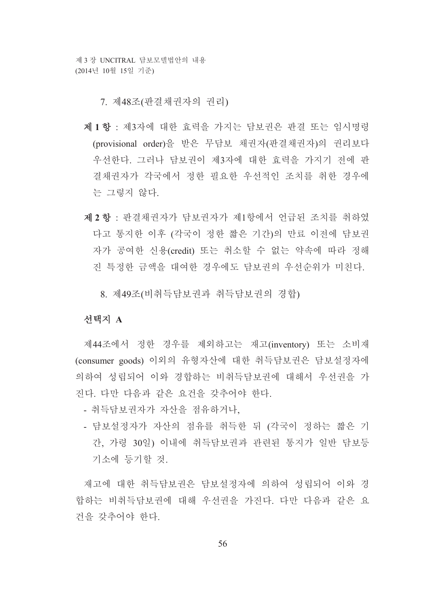7. 제48조(판결채권자의 권리)

- 제1항 : 제3자에 대한 효력을 가지는 담보권은 판결 또는 임시명령 (provisional order)을 받은 무담보 채권자(판결채권자)의 권리보다 우선한다. 그러나 담보권이 제3자에 대한 효력을 가지기 전에 판 결채권자가 각국에서 정한 필요한 우선적인 조치를 취한 경우에 는 그렇지 않다.
- 제 2 항 : 판결채권자가 담보권자가 제1항에서 언급된 조치를 취하였 다고 통지한 이후 (각국이 정한 짧은 기간)의 만료 이전에 담보권 자가 공여한 신용(credit) 또는 취소할 수 없는 약속에 따라 정해 진 특정한 금액을 대여한 경우에도 담보권의 우선순위가 미친다.

8. 제49조(비취득담보권과 취득담보권의 경합)

## 서택지 A

제44조에서 정한 경우를 제외하고는 재고(inventory) 또는 소비재 (consumer goods) 이외의 유형자산에 대한 취득담보권은 담보설정자에 의하여 성립되어 이와 경합하는 비취득담보권에 대해서 우선권을 가 진다. 다만 다음과 같은 요건을 갖추어야 한다.

- 취득담보권자가 자산을 점유하거나,
- 담보설정자가 자산의 점유를 취득한 뒤 (각국이 정하는 짧은 기 간, 가령 30일) 이내에 취득담보권과 관련된 통지가 일반 담보등 기소에 등기할 것.

재고에 대한 취득담보권은 담보설정자에 의하여 성립되어 이와 경 합하는 비취득담보권에 대해 우선권을 가진다. 다만 다음과 같은 요 건을 갖추어야 한다.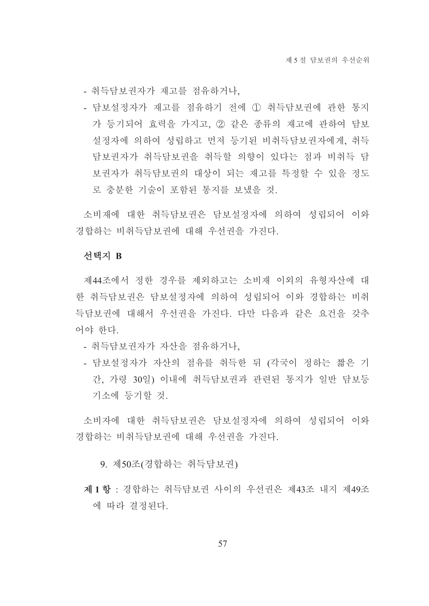- 취득담보권자가 재고를 점유하거나.

- 담보설정자가 재고를 점유하기 전에 ① 취득담보권에 관한 통지 가 등기되어 효력을 가지고, 2 같은 종류의 재고에 관하여 담보 설정자에 의하여 성립하고 먼저 등기된 비취득담보권자에게, 취득 담보권자가 취득담보권을 취득할 의향이 있다는 점과 비취득 담 보권자가 취득담보권의 대상이 되는 재고를 특정할 수 있을 정도 로 충분한 기술이 포함된 통지를 보냈을 것.

소비재에 대한 취득담보권은 담보설정자에 의하여 성립되어 이와 경합하는 비취득담보권에 대해 우선권을 가진다.

#### 선택지 B

제44조에서 정한 경우를 제외하고는 소비재 이외의 유형자산에 대 한 취득담보권은 담보설정자에 의하여 성립되어 이와 경합하는 비취 득담보권에 대해서 우선권을 가진다. 다만 다음과 같은 요건을 갖추 어야 한다.

- 취득담보권자가 자산을 점유하거나,
- 담보설정자가 자산의 점유를 취득한 뒤 (각국이 정하는 짧은 기 간, 가령 30일) 이내에 취득담보권과 관련된 통지가 일반 담보등 기소에 등기할 것.

소비자에 대한 취득담보권은 담보설정자에 의하여 성립되어 이와 경합하는 비취득담보권에 대해 우선권을 가진다.

9. 제50조(경합하는 취득담보권)

제1항 : 경합하는 취득담보권 사이의 우선권은 제43조 내지 제49조 에 따라 결정된다.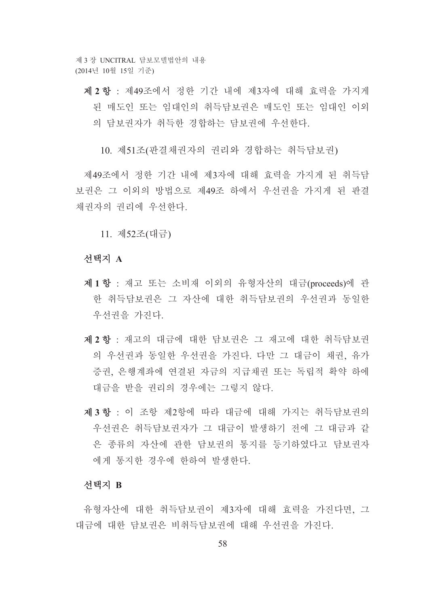제 2 항 : 제49조에서 정한 기간 내에 제3자에 대해 효력을 가지게 된 매도인 또는 임대인의 취득담보권은 매도인 또는 임대인 이외 의 담보권자가 취득한 경합하는 담보권에 우선한다.

10. 제51조(판결채권자의 권리와 경합하는 취득담보권)

제49조에서 정한 기간 내에 제3자에 대해 효력을 가지게 된 취득담 보권은 그 이외의 방법으로 제49조 하에서 우선권을 가지게 된 판결 채권자의 권리에 우선한다.

11. 제52조(대금)

#### 선택지 A

- 제1항 : 재고 또는 소비재 이외의 유형자산의 대금(proceeds)에 관 한 취득담보권은 그 자산에 대한 취득담보권의 우선권과 동일한 우선권을 가진다.
- 제 2 항 : 재고의 대금에 대한 담보권은 그 재고에 대한 취득담보권 의 우선권과 동일한 우선권을 가진다. 다만 그 대금이 채권, 유가 증권, 은행계좌에 연결된 자금의 지급채권 또는 독립적 확약 하에 대금을 받을 권리의 경우에는 그렇지 않다.
- 제3항 : 이 조항 제2항에 따라 대금에 대해 가지는 취득담보권의 우선권은 취득담보권자가 그 대금이 발생하기 전에 그 대금과 같 은 종류의 자산에 관한 담보권의 통지를 등기하였다고 담보권자 에게 통지한 경우에 한하여 발생한다.

## 선택지 B

유형자산에 대한 취득담보권이 제3자에 대해 효력을 가진다면, 그 대금에 대한 담보권은 비취득담보권에 대해 우선권을 가진다.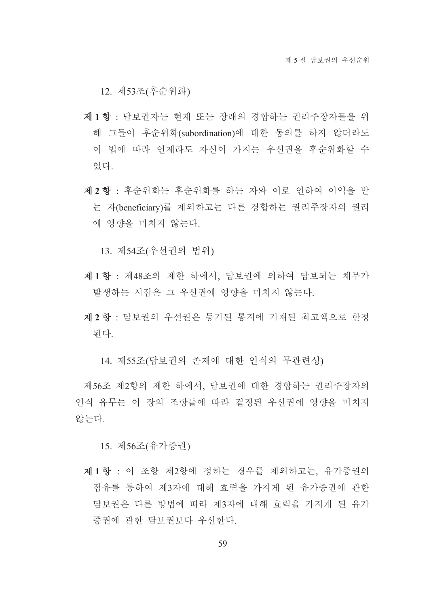12. 제53조(후순위화)

- 제1항 : 담보권자는 현재 또는 장래의 경합하는 권리주장자들을 위 해 그들이 후순위화(subordination)에 대한 동의를 하지 않더라도 이 법에 따라 언제라도 자신이 가지는 우선권을 후순위화할 수 있다.
- 제 2 항 : 후순위화는 후순위화를 하는 자와 이로 인하여 이익을 받 는 자(beneficiary)를 제외하고는 다른 경합하는 권리주장자의 권리 에 영향을 미치지 않는다.

13. 제54조(우선권의 범위)

- 제1항 : 제48조의 제한 하에서, 담보권에 의하여 담보되는 채무가 발생하는 시점은 그 우선권에 영향을 미치지 않는다.
- 제 2 항 : 담보권의 우선권은 등기된 통지에 기재된 최고액으로 한정 된다.
	- 14. 제55조(담보권의 존재에 대한 인식의 무관련성)

제56조 제2항의 제한 하에서, 담보권에 대한 경합하는 권리주장자의 인식 유무는 이 장의 조항들에 따라 결정된 우선권에 영향을 미치지 않는다.

15. 제56조(유가증권)

제1항 : 이 조항 제2항에 정하는 경우를 제외하고는, 유가증권의 점유를 통하여 제3자에 대해 효력을 가지게 된 유가증권에 관한 담보권은 다른 방법에 따라 제3자에 대해 효력을 가지게 된 유가 증권에 관한 담보권보다 우선한다.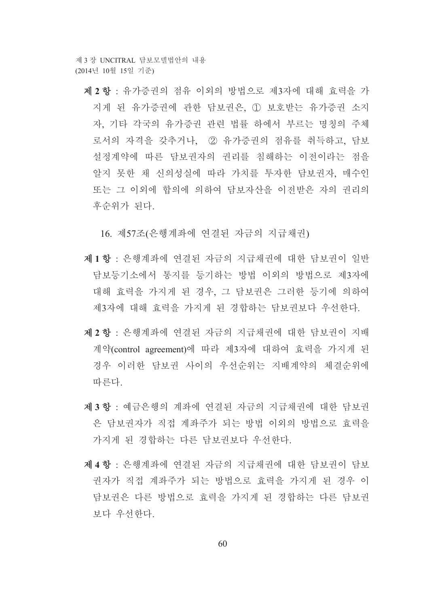제 2 항 : 유가증권의 점유 이외의 방법으로 제3자에 대해 효력을 가 지게 된 유가증권에 관한 담보권은, ① 보호받는 유가증권 소지 자, 기타 각국의 유가증권 관련 법률 하에서 부르는 명칭의 주체 로서의 자격을 갖추거나, 2 유가증권의 점유를 취득하고, 담보 설정계약에 따른 담보권자의 권리를 침해하는 이전이라는 점을 알지 못한 채 신의성실에 따라 가치를 투자한 담보권자, 매수인 또는 그 이외에 합의에 의하여 담보자산을 이전받은 자의 권리의 후순위가 된다.

16. 제57조(은행계좌에 연결된 자금의 지급채권)

- 제1항 : 은행계좌에 연결된 자금의 지급채권에 대한 담보권이 일반 담보등기소에서 통지를 등기하는 방법 이외의 방법으로 제3자에 대해 효력을 가지게 된 경우, 그 담보권은 그러한 등기에 의하여 제3자에 대해 효력을 가지게 된 경합하는 담보권보다 우선한다.
- 제 2 항 : 은행계좌에 연결된 자금의 지급채권에 대한 담보권이 지배 계약(control agreement)에 따라 제3자에 대하여 효력을 가지게 된 경우 이러한 담보권 사이의 우선순위는 지배계약의 체결순위에 따른다
- 제3항 : 예금은행의 계좌에 연결된 자금의 지급채권에 대한 담보권 은 담보권자가 직접 계좌주가 되는 방법 이외의 방법으로 효력을 가지게 된 경합하는 다른 담보권보다 우선하다.
- 제 4 항 : 은행계좌에 연결된 자금의 지급채권에 대한 담보권이 담보 권자가 직접 계좌주가 되는 방법으로 효력을 가지게 된 경우 이 담보권은 다른 방법으로 효력을 가지게 된 경합하는 다른 담보권 보다 우선한다.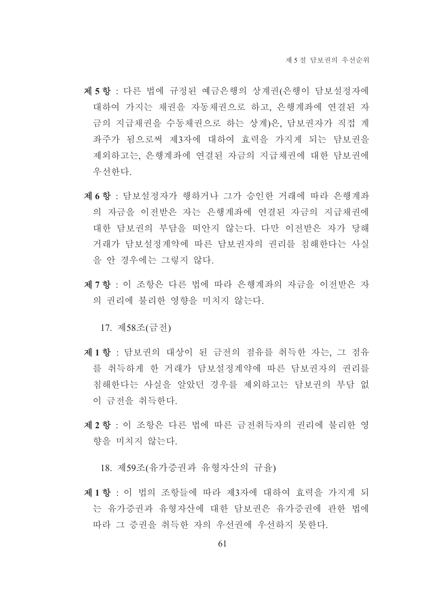- 제 5 항 : 다른 법에 규정된 예금은행의 상계권(은행이 담보설정자에 대하여 가지는 채권을 자동채권으로 하고, 은행계좌에 연결된 자 금의 지급채권을 수동채권으로 하는 상계)은, 담보권자가 직접 계 좌주가 됨으로써 제3자에 대하여 효력을 가지게 되는 담보권을 제외하고는 은행계좌에 연결된 자금의 지급채권에 대한 담보권에 우선한다
- 제 6 항 : 담보설정자가 행하거나 그가 승인한 거래에 따라 은행계좌 의 자금을 이전받은 자는 은행계좌에 연결된 자금의 지급채권에 대한 담보권의 부담을 떠안지 않는다. 다만 이전받은 자가 당해 거래가 담보설정계약에 따른 담보권자의 권리를 침해한다는 사실 을 안 경우에는 그렇지 않다.
- 제 7 항 : 이 조항은 다른 법에 따라 은행계좌의 자금을 이전받은 자 의 권리에 불리한 영향을 미치지 않는다.

17. 제58조(금전)

- 제1항 : 담보권의 대상이 된 금전의 점유를 취득한 자는, 그 점유 를 취득하게 한 거래가 담보설정계약에 따른 담보권자의 권리를 침해한다는 사실을 알았던 경우를 제외하고는 담보권의 부담 없 이 금전을 취득한다.
- 제 2 항 : 이 조항은 다른 법에 따른 금전취득자의 권리에 불리한 영 향을 미치지 않는다.

18. 제59조(유가증권과 유형자산의 규율)

제1항 : 이 법의 조항들에 따라 제3자에 대하여 효력을 가지게 되 는 유가증권과 유형자산에 대한 담보권은 유가증권에 관한 법에 따라 그 증권을 취득한 자의 우선권에 우선하지 못한다.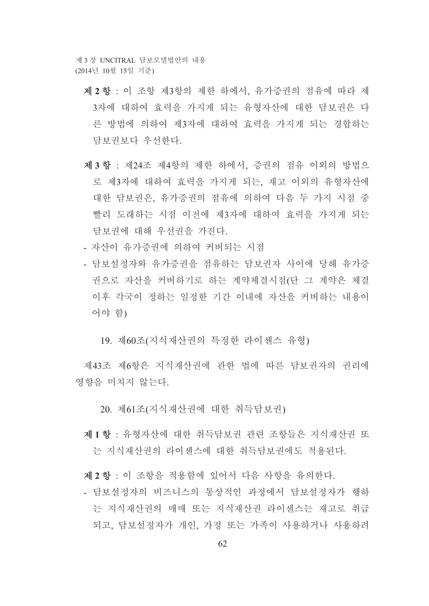- 제 2 항 : 이 조항 제3항의 제한 하에서 유가증권의 점유에 따라 제 3자에 대하여 효력을 가지게 되는 유형자산에 대한 담보권은 다 른 방법에 의하여 제3자에 대하여 효력을 가지게 되는 경합하는 담보권보다 우선한다.
- 제3항 : 제24조 제4항의 제한 하에서, 증권의 점유 이외의 방법으 로 제3자에 대하여 효력을 가지게 되는, 재고 이외의 유형자산에 대한 담보권은, 유가증권의 점유에 의하여 다음 두 가지 시점 중 빨리 도래하는 시점 이전에 제3자에 대하여 효력을 가지게 되는 담보권에 대해 우선권을 가진다.
- 자산이 유가증권에 의하여 커버되는 시점
- 담보설정자와 유가증권을 점유하는 담보권자 사이에 당해 유가증 권으로 자산을 커버하기로 하는 계약체결시점(단 그 계약은 체결 이후 각국이 정하는 일정한 기간 이내에 자산을 커버하는 내용이 어야 함)

19. 제60조(지식재산권의 특정한 라이센스 유형)

제43조 제6항은 지식재산권에 관한 법에 따른 담보권자의 권리에 영향을 미치지 않는다.

20. 제61조(지식재산권에 대한 취득담보권)

제1항 : 유형자산에 대한 취득담보권 관련 조항들은 지식재산권 또 는 지식재산권의 라이센스에 대한 취득담보권에도 적용된다.

제 2 항 : 이 조항을 적용함에 있어서 다음 사항을 유의한다.

- 담보설정자의 비즈니스의 통상적인 과정에서 담보설정자가 행하 는 지식재산권의 매매 또는 지식재산권 라이센스는 재고로 취급 되고, 담보설정자가 개인, 가정 또는 가족이 사용하거나 사용하려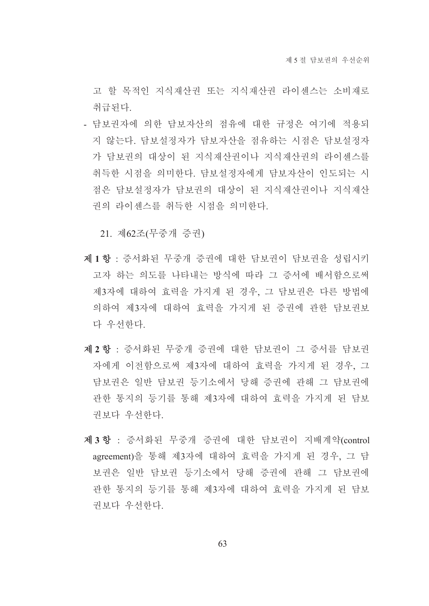고 할 목적인 지식재산권 또는 지식재산권 라이센스는 소비재로 취급되다.

- 담보권자에 의한 담보자산의 점유에 대한 규정은 여기에 적용되 지 않는다. 담보설정자가 담보자산을 점유하는 시점은 담보설정자 가 담보권의 대상이 된 지식재산권이나 지식재산권의 라이센스를 취득한 시점을 의미한다. 담보설정자에게 담보자산이 인도되는 시 점은 담보설정자가 담보권의 대상이 된 지식재산권이나 지식재산 권의 라이센스를 취득한 시점을 의미한다.

21. 제62조(무중개 증권)

- 제1항 : 증서화된 무중개 증권에 대한 담보권이 담보권을 성립시키 고자 하는 의도를 나타내는 방식에 따라 그 증서에 배서함으로써 제3자에 대하여 효력을 가지게 된 경우, 그 담보권은 다른 방법에 의하여 제3자에 대하여 효력을 가지게 된 증권에 관한 담보권보 다 우선한다.
- 제 2 항 : 증서화된 무중개 증권에 대한 담보권이 그 증서를 담보권 자에게 이전함으로써 제3자에 대하여 효력을 가지게 된 경우, 그 담보권은 일반 담보권 등기소에서 당해 증권에 관해 그 담보권에 관한 통지의 등기를 통해 제3자에 대하여 효력을 가지게 된 담보 권보다 우선한다.
- 제3항 : 증서화된 무중개 증권에 대한 담보권이 지배계약(control agreement)을 통해 제3자에 대하여 효력을 가지게 된 경우, 그 담 보권은 일반 담보권 등기소에서 당해 증권에 관해 그 담보권에 관한 통지의 등기를 통해 제3자에 대하여 효력을 가지게 된 담보 권보다 우선한다.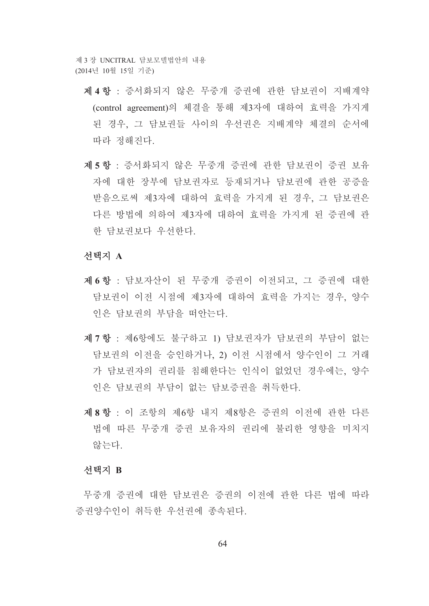- 제 4 항 : 증서화되지 않은 무중개 증권에 관한 담보권이 지배계약 (control agreement)의 체결을 통해 제3자에 대하여 효력을 가지게 된 경우, 그 담보권들 사이의 우선권은 지배계약 체결의 순서에 따라 정해진다.
- 제5항 : 증서화되지 않은 무중개 증권에 관한 담보권이 증권 보유 자에 대한 장부에 담보권자로 등재되거나 담보권에 관한 공증을 받음으로써 제3자에 대하여 효력을 가지게 된 경우. 그 담보권은 다른 방법에 의하여 제3자에 대하여 효력을 가지게 된 증권에 관 한 담보권보다 우선한다.

#### 선택지 A

- 제 6 항 : 담보자산이 된 무중개 증권이 이전되고, 그 증권에 대한 담보권이 이전 시점에 제3자에 대하여 효력을 가지는 경우, 양수 인은 담보권의 부담을 떠안는다.
- 제 7 항 : 제6항에도 불구하고 1) 담보권자가 담보권의 부담이 없는 담보권의 이전을 승인하거나. 2) 이전 시점에서 양수인이 그 거래 가 담보권자의 권리를 침해한다는 인식이 없었던 경우에는, 양수 인은 담보권의 부담이 없는 담보증권을 취득한다.
- 제 8 항 : 이 조항의 제6항 내지 제8항은 증권의 이전에 과한 다른 법에 따른 무중개 증권 보유자의 권리에 불리한 영향을 미치지 않는다

#### 서택지 B

무중개 증권에 대한 담보권은 증권의 이전에 관한 다른 법에 따라 증권양수인이 취득한 우선권에 종속된다.

64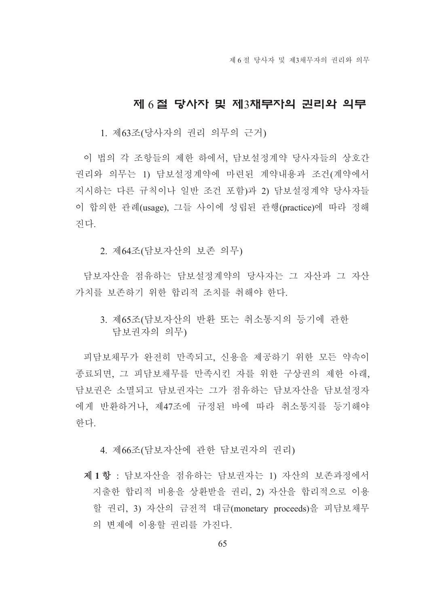## 제 6절 당사자 및 제3채무자의 권리와 의무

1. 제63조(당사자의 권리 의무의 근거)

이 법의 각 조항들의 제한 하에서, 담보설정계약 당사자들의 상호간 권리와 의무는 1) 담보설정계약에 마련된 계약내용과 조건(계약에서 지시하는 다른 규칙이나 일반 조건 포함)과 2) 담보설정계약 당사자들 이 합의한 관례(usage). 그들 사이에 성립된 관행(practice)에 따라 정해 진다.

2. 제64조(담보자산의 보존 의무)

담보자산을 점유하는 담보설정계약의 당사자는 그 자산과 그 자산 가치를 보존하기 위한 합리적 조치를 취해야 한다.

3. 제65조(담보자산의 반화 또는 취소통지의 등기에 과하 담보권자의 의무)

피담보채무가 와전히 만족되고, 신용을 제공하기 위한 모든 약속이 종료되면, 그 피담보채무를 만족시킨 자를 위한 구상권의 제한 아래, 담보권은 소멸되고 담보권자는 그가 점유하는 담보자산을 담보설정자 에게 반환하거나, 제47조에 규정된 바에 따라 취소통지를 등기해야 하다

4. 제66조(담보자산에 관한 담보권자의 권리)

제1항 : 담보자산을 점유하는 담보권자는 1) 자산의 보존과정에서 지출한 합리적 비용을 상환받을 권리, 2) 자산을 합리적으로 이용 할 권리, 3) 자산의 금전적 대금(monetary proceeds)을 피담보채무 의 변제에 이용할 권리를 가진다.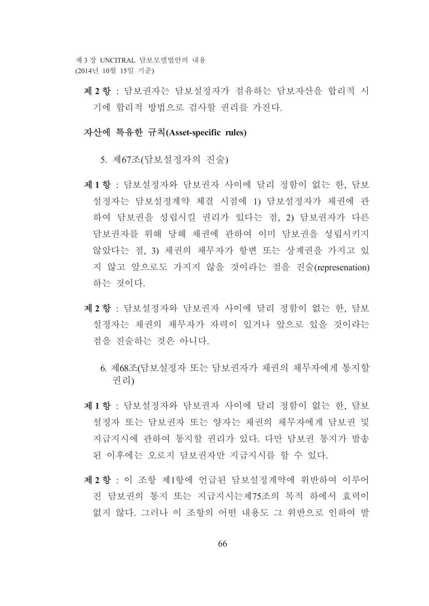제 2 항 : 담보권자는 담보설정자가 점유하는 담보자산을 합리적 시 기에 합리적 방법으로 검사할 권리를 가진다.

## 자산에 특유한 규칙(Asset-specific rules)

5. 제67조(담보설정자의 진술)

- 제1항 : 담보설정자와 담보권자 사이에 달리 정함이 없는 한, 담보 설정자는 담보설정계약 체결 시점에 1) 담보설정자가 채권에 과 하여 담보권을 성립시킬 권리가 있다는 점, 2) 담보권자가 다른 담보권자를 위해 당해 채권에 관하여 이미 담보권을 성립시키지 않았다는 점, 3) 채권의 채무자가 항변 또는 상계권을 가지고 있 지 않고 앞으로도 가지지 않을 것이라는 점을 진술(represenation) 하는 것이다.
- 제 2 항 : 담보설정자와 담보권자 사이에 달리 정함이 없는 한, 담보 설정자는 채권의 채무자가 자력이 있거나 앞으로 있을 것이라는 점을 진술하는 것은 아니다.
	- 6. 제68조(담보설정자 또는 담보권자가 채권의 채무자에게 통지할 권리)
- 제1항 : 담보설정자와 담보권자 사이에 달리 정함이 없는 한, 담보 설정자 또는 담보권자 또는 양자는 채권의 채무자에게 담보권 및 지급지시에 관하여 통지할 권리가 있다. 다만 담보권 통지가 발송 된 이후에는 오로지 담보권자만 지급지시를 할 수 있다.
- 제 2 항 : 이 조항 제1항에 언급된 담보설정계약에 위반하여 이루어 진 담보권의 통지 또는 지급지시는제75조의 목적 하에서 효력이 없지 않다. 그러나 이 조항의 어떤 내용도 그 위반으로 인하여 발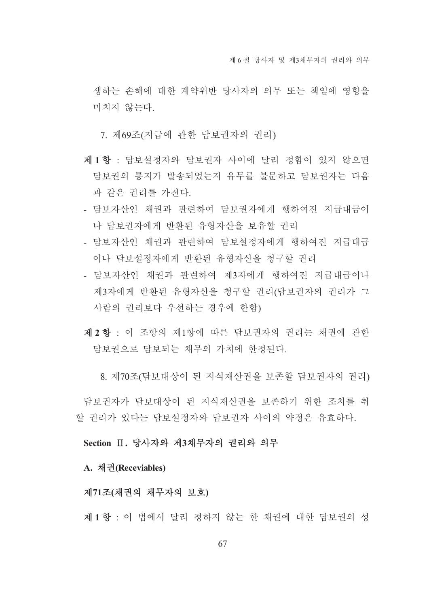생하는 손해에 대한 계약위반 당사자의 의무 또는 책임에 영향을 미치지 않는다.

7. 제69조(지급에 관한 담보권자의 권리)

- 제1항 : 담보설정자와 담보권자 사이에 달리 정함이 있지 않으면 담보권의 통지가 발송되었는지 유무를 불문하고 담보권자는 다음 과 같은 권리를 가진다.
- 담보자산인 채권과 관련하여 담보권자에게 행하여진 지급대금이 나 담보권자에게 반화된 유형자산을 보유할 권리
- 담보자산인 채권과 관련하여 담보설정자에게 행하여진 지급대금 이나 담보설정자에게 반환된 유형자산을 청구할 권리
- 담보자산인 채권과 관련하여 제3자에게 행하여진 지급대금이나 제3자에게 반환된 유형자산을 청구할 권리(담보권자의 권리가 그 사람의 권리보다 우선하는 경우에 한함)
- 제 2 항 : 이 조항의 제1항에 따른 담보권자의 권리는 채권에 관한 담보권으로 담보되는 채무의 가치에 하정된다.

8. 제70조(담보대상이 된 지식재산권을 보존할 담보권자의 권리)

담보권자가 담보대상이 된 지식재산권을 보존하기 위한 조치를 취 할 권리가 있다는 담보설정자와 담보권자 사이의 약정은 유효하다.

## Section II. 당사자와 제3채무자의 권리와 의무

## A. 채권(Receviables)

## 제71조(채권의 채무자의 보호)

제1항 : 이 법에서 달리 정하지 않는 한 채권에 대한 담보권의 성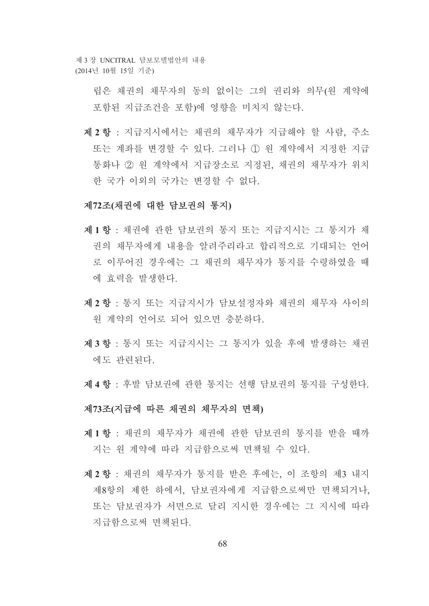> 립은 채권의 채무자의 동의 없이는 그의 권리와 의무(원 계약에 포함된 지급조건을 포함)에 영향을 미치지 않는다.

제 2 항 : 지급지시에서는 채권의 채무자가 지급해야 할 사람, 주소 또는 계좌를 변경할 수 있다. 그러나 ① 워 계약에서 지정한 지급 통화나 2 원 계약에서 지급장소로 지정된, 채권의 채무자가 위치 한 국가 이외의 국가는 변경할 수 없다.

#### 제72조(채권에 대한 담보권의 통지)

- 제1항 : 채권에 관한 담보권의 통지 또는 지급지시는 그 통지가 채 권의 채무자에게 내용을 알려주리라고 합리적으로 기대되는 언어 로 이루어진 경우에는 그 채권의 채무자가 통지를 수령하였을 때 에 효력을 발생하다.
- 제2항 : 통지 또는 지급지시가 담보설정자와 채권의 채무자 사이의 워 계약의 어어로 되어 있으면 충분하다.
- 제3항 : 통지 또는 지급지시는 그 통지가 있을 후에 발생하는 채권 에도 과려되다.
- 제 4 항 : 후발 담보권에 관한 통지는 선행 담보권의 통지를 구성한다.

#### 제73조(지급에 따른 채권의 채무자의 면책)

- 제1항 : 채권의 채무자가 채권에 관한 담보권의 통지를 받을 때까 지는 워 계약에 따라 지급함으로써 면책될 수 있다.
- 제 2 항 : 채권의 채무자가 통지를 받은 후에는, 이 조항의 제3 내지 제8항의 제한 하에서, 담보권자에게 지급함으로써만 면책되거나, 또는 담보궈자가 서면으로 달리 지시한 경우에는 그 지시에 따라 지급함으로써 면책되다.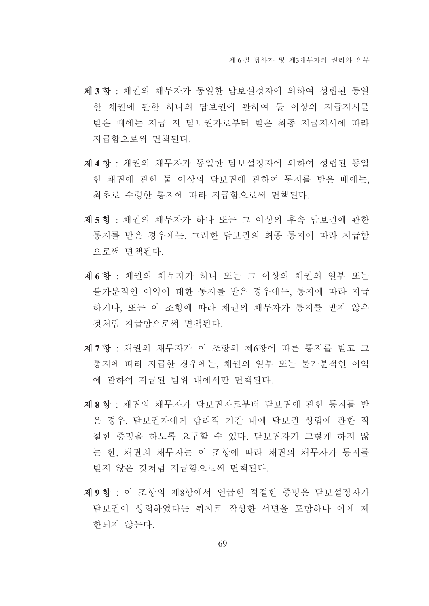- 제3항 : 채권의 채무자가 동일한 담보설정자에 의하여 성립된 동일 한 채권에 관한 하나의 담보권에 관하여 둘 이상의 지급지시를 받은 때에는 지급 전 담보권자로부터 받은 최종 지급지시에 따라 지급함으로써 면책된다.
- 제 4 항 : 채권의 채무자가 동일한 담보설정자에 의하여 성립된 동일 한 채권에 관한 둘 이상의 담보권에 관하여 통지를 받은 때에는, 최초로 수령한 통지에 따라 지급함으로써 면책되다.
- 제 5 항 : 채권의 채무자가 하나 또는 그 이상의 후속 담보권에 관한 통지를 받은 경우에는, 그러한 담보권의 최종 통지에 따라 지급함 으로써 면책되다.
- 제 6 항 : 채권의 채무자가 하나 또는 그 이상의 채권의 일부 또는 불가분적인 이익에 대한 통지를 받은 경우에는. 통지에 따라 지급 하거나, 또는 이 조항에 따라 채권의 채무자가 통지를 받지 않은 것처럼 지급함으로써 면책된다.
- 제 7 항 : 채권의 채무자가 이 조항의 제6항에 따른 통지를 받고 그 통지에 따라 지급한 경우에는, 채권의 일부 또는 불가분적인 이익 에 관하여 지급된 범위 내에서만 면책된다.
- 제8항 : 채권의 채무자가 담보권자로부터 담보권에 관한 통지를 받 은 경우. 담보권자에게 합리적 기간 내에 담보권 성립에 관한 적 절한 증명을 하도록 요구할 수 있다. 담보권자가 그렇게 하지 않 는 한. 채권의 채무자는 이 조항에 따라 채권의 채무자가 통지를 받지 않은 것처럼 지급함으로써 면책된다.
- 제 9 항 : 이 조항의 제8항에서 언급한 적절한 증명은 담보설정자가 담보권이 성립하였다는 취지로 작성하 서면을 포함하나 이에 제 한되지 않는다.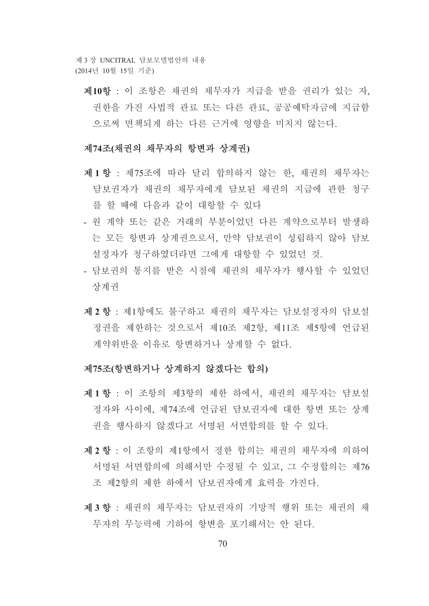제10항 : 이 조항은 채권의 채무자가 지급을 받을 권리가 있는 자. 권한을 가진 사법적 관료 또는 다른 관료, 공공예탁자금에 지급함 으로써 면책되게 하는 다른 근거에 영향을 미치지 않는다.

#### 제74조(채권의 채무자의 항변과 상계권)

- 제1항 : 제75조에 따라 달리 합의하지 않는 한, 채권의 채무자는 담보권자가 채권의 채무자에게 담보된 채권의 지급에 관한 청구 를 할 때에 다음과 같이 대항할 수 있다
- 원 계약 또는 같은 거래의 부분이었던 다른 계약으로부터 발생하 는 모든 항변과 상계권으로서, 만약 담보권이 성립하지 않아 담보 설정자가 청구하였더라면 그에게 대항할 수 있었던 것.
- 담보권의 통지를 받은 시점에 채권의 채무자가 행사할 수 있었던 상계권
- 제 2 항 · 제1항에도 불구하고 채권의 채무자는 담보설정자의 담보설 정권을 제한하는 것으로서 제10조 제2항. 제11조 제5항에 언급되 계약위반을 이유로 항변하거나 상계할 수 없다.

#### 제75조(항변하거나 상계하지 않겠다는 합의)

- 제1항 : 이 조항의 제3항의 제한 하에서 채권의 채무자는 담보설 정자와 사이에. 제74조에 언급된 담보권자에 대한 항변 또는 상계 권을 행사하지 않겠다고 서명된 서면합의를 할 수 있다.
- 제 2 항 : 이 조항의 제1항에서 정한 합의는 채권의 채무자에 의하여 서명된 서면합의에 의해서만 수정될 수 있고, 그 수정합의는 제76 조 제2항의 제한 하에서 담보권자에게 효력을 가진다.
- 제3항 : 채권의 채무자는 담보권자의 기망적 행위 또는 채권의 채 무자의 무능력에 기하여 항변을 포기해서는 안 된다.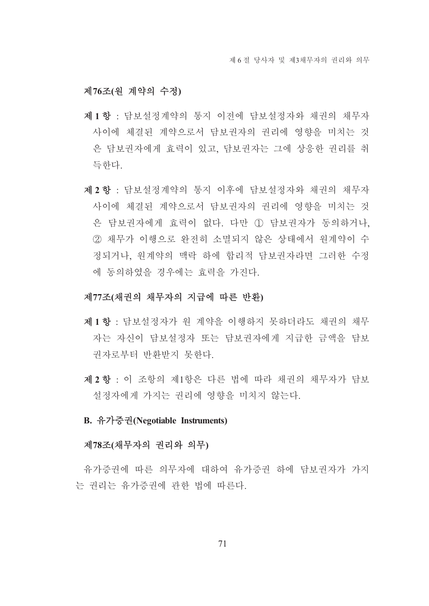## 제76조(원 계약의 수정)

- 제1항 : 담보설정계약의 통지 이전에 담보설정자와 채권의 채무자 사이에 체결된 계약으로서 담보권자의 권리에 영향을 미치는 것 은 담보권자에게 효력이 있고 담보권자는 그에 상응한 권리를 취 득하다.
- 제 2 항 : 담보설정계약의 통지 이후에 담보설정자와 채권의 채무자 사이에 체결된 계약으로서 담보권자의 권리에 영향을 미치는 것 은 담보권자에게 효력이 없다. 다만 ① 담보권자가 동의하거나. ② 채무가 이행으로 완전히 소멸되지 않은 상태에서 워계약이 수 정되거나. 워계약의 맥락 하에 합리적 담보권자라면 그러한 수정 에 동의하였을 경우에는 효력을 가진다.

## 제77조(채권의 채무자의 지급에 따른 반환)

- 제1항 : 담보설정자가 원 계약을 이행하지 못하더라도 채권의 채무 자는 자신이 담보설정자 또는 담보권자에게 지급한 금액을 담보 권자로부터 반화받지 못하다.
- 제 2 항 : 이 조항의 제1항은 다른 법에 따라 채권의 채무자가 담보 설정자에게 가지는 권리에 영향을 미치지 않는다.

#### B. 유가증권(Negotiable Instruments)

#### 제78조(채무자의 권리와 의무)

유가증권에 따른 의무자에 대하여 유가증권 하에 담보권자가 가지 는 권리는 유가증권에 관한 법에 따른다.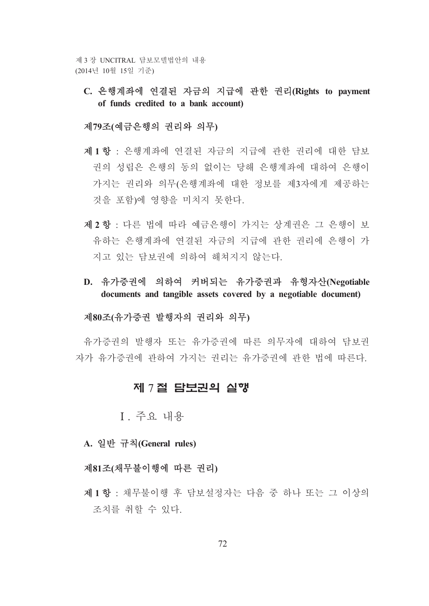C. 은행계좌에 연결된 자금의 지급에 관한 권리(Rights to payment of funds credited to a bank account)

## 제79조(예금은행의 권리와 의무)

- 제1항 : 은행계좌에 연결된 자금의 지급에 관한 권리에 대한 담보 권의 성립은 은행의 동의 없이는 당해 은행계좌에 대하여 은행이 가지는 권리와 의무(은행계좌에 대한 정보를 제3자에게 제공하는 것을 포함)에 영향을 미치지 못한다.
- 제 2 항 : 다른 법에 따라 예금은행이 가지는 상계권은 그 은행이 보 유하는 은행계좌에 연결된 자금의 지급에 관한 권리에 은행이 가 지고 있는 담보권에 의하여 해쳐지지 않는다.
- D. 유가증권에 의하여 커버되는 유가증권과 유형자산(Negotiable documents and tangible assets covered by a negotiable document)

## 제80조(유가증권 발행자의 권리와 의무)

유가증권의 발행자 또는 유가증권에 따른 의무자에 대하여 담보권 자가 유가증권에 관하여 가지는 권리는 유가증권에 관한 법에 따른다.

# 제 7절 담보권의 실행

I. 주요 내용

A. 일반 규칙(General rules)

#### 제81조(채무불이행에 따른 권리)

제1항 : 채무불이행 후 담보설정자는 다음 중 하나 또는 그 이상의 조치를 취할 수 있다.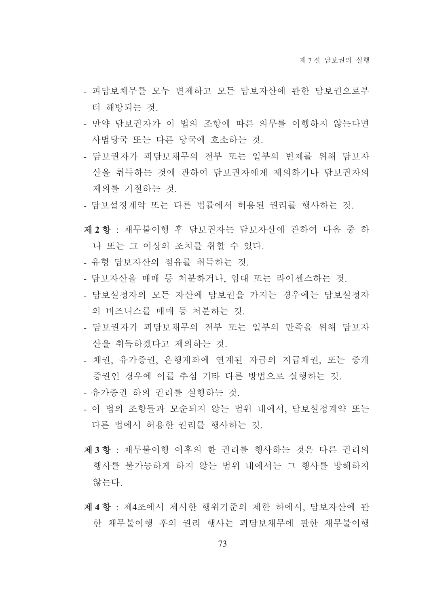- 피담보채무를 모두 변제하고 모든 담보자산에 관한 담보권으로부 터 해방되는 것.
- 만약 담보권자가 이 법의 조항에 따른 의무를 이행하지 않는다면 사법당국 또는 다른 당국에 호소하는 것.
- 담보권자가 피담보채무의 전부 또는 일부의 변제를 위해 담보자 산을 취득하는 것에 관하여 담보권자에게 제의하거나 담보권자의 제의를 거절하는 것.
- 담보설정계약 또는 다른 법률에서 허용되 권리를 행사하는 것.
- 제 2 항 : 채무불이행 후 담보권자는 담보자산에 관하여 다음 중 하 나 또는 그 이상의 조치를 취할 수 있다.
- 유형 담보자산의 점유를 취득하는 것.
- 담보자산을 매매 등 처분하거나, 임대 또는 라이센스하는 것.
- 담보설정자의 모든 자산에 담보권을 가지는 경우에는 담보설정자 의 비즈니스를 매매 등 처부하는 것.
- 담보권자가 피담보채무의 전부 또는 일부의 만족을 위해 담보자 산을 취득하겠다고 제의하는 것.
- 채권, 유가증권, 은행계좌에 연계된 자금의 지급채권, 또는 중개 증권인 경우에 이를 추심 기타 다른 방법으로 실행하는 것.
- 유가증권 하의 권리를 실행하는 것.
- 이 법의 조항들과 모순되지 않는 범위 내에서, 담보설정계약 또는 다른 법에서 허용한 권리를 행사하는 것.
- 제3항 : 채무불이행 이후의 한 권리를 행사하는 것은 다른 권리의 행사를 불가능하게 하지 않는 범위 내에서는 그 행사를 방해하지 않는다.
- 제4항 : 제4조에서 제시한 행위기준의 제한 하에서, 담보자산에 관 한 채무불이행 후의 권리 행사는 피담보채무에 관한 채무불이행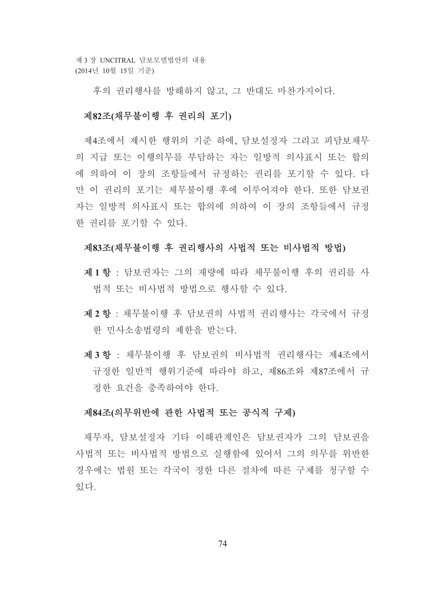후의 권리행사를 방해하지 않고, 그 반대도 마차가지이다.

## 제82조(채무불이행 후 권리의 포기)

제4조에서 제시한 행위의 기주 하에. 담보설정자 그리고 피담보채무 의 지급 또는 이행의무를 부담하는 자는 일방적 의사표시 또는 합의 에 의하여 이 장의 조항들에서 규정하는 권리를 포기할 수 있다. 다 만 이 권리의 포기는 채무불이행 후에 이루어져야 한다. 또한 담보권 자는 일방적 의사표시 또는 합의에 의하여 이 장의 조항들에서 규정 한 권리를 포기할 수 있다.

#### 제83조(채무불이행 후 권리행사의 사법적 또는 비사법적 방법)

- 제1항 : 담보권자는 그의 재량에 따라 채무불이행 후의 권리를 사 법적 또는 비사법적 방법으로 행사할 수 있다.
- 제 2 항 : 채무불이행 후 담보권의 사법적 권리행사는 각국에서 규정 한 민사소송법령의 제한을 받는다.
- 제3항 : 채무불이행 후 담보권의 비사법적 권리행사는 제4조에서 규정한 일반적 행위기주에 따라야 하고, 제86조와 제87조에서 규 정한 요건을 충족하여야 한다.

#### 제84조(의무위반에 관한 사법적 또는 공식적 구제)

채무자, 담보설정자 기타 이해관계인은 담보권자가 그의 담보권을 사법적 또는 비사법적 방법으로 실행함에 있어서 그의 의무를 위반한 경우에는 법원 또는 각국이 정한 다른 절차에 따른 구제를 청구할 수 있다.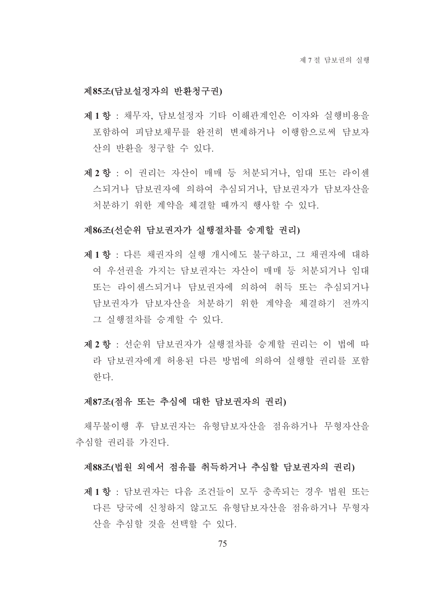## 제85조(담보설정자의 반환청구권)

- 제1항 : 채무자, 담보설정자 기타 이해관계인은 이자와 실행비용을 포함하여 피담보채무를 완전히 변제하거나 이행함으로써 담보자 산의 반화을 청구할 수 있다.
- 제2항 : 이 권리는 자산이 매매 등 처분되거나, 임대 또는 라이센 스되거나 담보권자에 의하여 추심되거나, 담보권자가 담보자산을 처분하기 위한 계약을 체결할 때까지 행사할 수 있다.

## 제86조(선순위 담보권자가 실행절차를 승계할 권리)

- 제1항 : 다른 채권자의 실행 개시에도 불구하고, 그 채권자에 대하 여 우선권을 가지는 담보권자는 자산이 매매 등 처분되거나 임대 또는 라이센스되거나 담보권자에 의하여 취득 또는 추심되거나 담보권자가 담보자산을 처분하기 위한 계약을 체결하기 전까지 그 실행절차를 승계할 수 있다.
- 제 2 항 · 선수위 담보권자가 실행절차를 승계할 권리는 이 법에 따 라 담보권자에게 허용된 다른 방법에 의하여 실행할 권리를 포함 한다.

#### 제87조(점유 또는 추심에 대한 담보권자의 권리)

채무불이행 후 담보권자는 유형담보자산을 점유하거나 무형자산을 추심할 권리를 가진다.

#### 제88조(법원 외에서 점유를 취득하거나 추심할 담보권자의 권리)

제1항 : 담보권자는 다음 조건들이 모두 충족되는 경우 법원 또는 다른 당국에 신청하지 않고도 유형담보자산을 점유하거나 무형자 산을 추심할 것을 선택할 수 있다.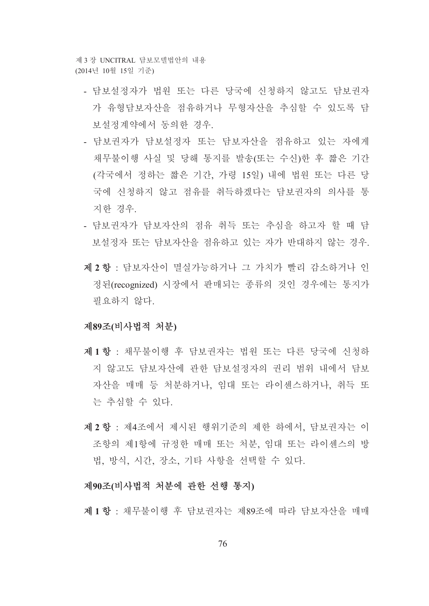제 3 장 UNCITRAL 담보모델법안의 내용 (2014년 10월 15일 기준)

- 담보설정자가 법원 또는 다른 당국에 신청하지 않고도 담보권자 가 유형담보자산을 점유하거나 무형자산을 추심할 수 있도록 담 보설정계약에서 동의한 경우
- 담보권자가 담보설정자 또는 담보자산을 점유하고 있는 자에게 채무불이행 사실 및 당해 통지를 발송(또는 수신)한 후 짧은 기간 (각국에서 정하는 짧은 기간, 가령 15일) 내에 법원 또는 다른 당 국에 신청하지 않고 점유를 취득하겠다는 담보권자의 의사를 통 지한 경우
- 담보권자가 담보자산의 점유 취득 또는 추심을 하고자 할 때 담 보설정자 또는 담보자산을 점유하고 있는 자가 반대하지 않는 경우.
- 제 2 항 : 담보자산이 멸실가능하거나 그 가치가 빨리 감소하거나 인 정된(recognized) 시장에서 판매되는 종류의 것인 경우에는 통지가 필요하지 않다.

#### 제89조(비사법적 처분)

- 제1항 : 채무불이행 후 담보권자는 법원 또는 다른 당국에 신청하 지 않고도 담보자산에 관한 담보설정자의 권리 범위 내에서 담보 자산을 매매 등 처분하거나, 임대 또는 라이센스하거나, 취득 또 는 추심할 수 있다.
- 제 2 항 : 제4조에서 제시된 행위기준의 제한 하에서, 담보권자는 이 조항의 제1항에 규정한 매매 또는 처분, 임대 또는 라이센스의 방 법, 방식, 시간, 장소, 기타 사항을 선택할 수 있다.

#### 제90조(비사법적 처분에 관한 선행 통지)

제1항 : 채무불이행 후 담보권자는 제89조에 따라 담보자산을 매매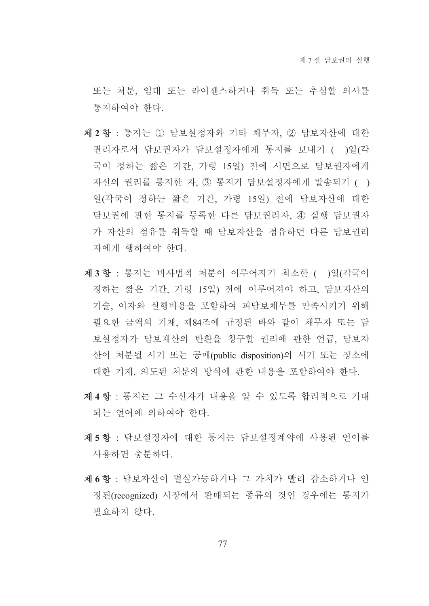또는 처부 임대 또는 라이세스하거나 취득 또는 추심할 의사를 통지하여야 한다.

- 제 2 항 : 통지는 1 담보설정자와 기타 채무자, 2 담보자산에 대한 권리자로서 담보권자가 담보설정자에게 통지를 보내기 ( )일(각 국이 정하는 짧은 기간, 가령 15일) 전에 서면으로 담보권자에게 자신의 권리를 통지한 자, 3 통지가 담보설정자에게 발송되기 () 일(각국이 정하는 짧은 기간, 가령 15일) 전에 담보자산에 대한 담보권에 관한 통지를 등록한 다른 담보권리자, 4) 실행 담보권자 가 자산의 점유를 취득할 때 담보자산을 점유하던 다른 담보권리 자에게 행하여야 한다.
- 제3항 : 통지는 비사법적 처분이 이루어지기 최소한 ( )일(각국이 정하는 짧은 기간, 가령 15일) 전에 이루어져야 하고, 담보자산의 기술, 이자와 실행비용을 포함하여 피담보채무를 만족시키기 위해 필요한 금액의 기재, 제84조에 규정된 바와 같이 채무자 또는 담 보설정자가 담보재산의 반환을 청구할 권리에 관한 언급, 담보자 산이 처분될 시기 또는 공매(public disposition)의 시기 또는 장소에 대한 기재, 의도된 처분의 방식에 관한 내용을 포함하여야 한다.
- 제4항 : 통지는 그 수신자가 내용을 알 수 있도록 합리적으로 기대 되는 언어에 의하여야 한다.
- 제 5 항 · 담보설정자에 대한 통지는 담보설정계약에 사용된 언어를 사용하면 충분하다.
- 제 6 항 : 담보자산이 멸실가능하거나 그 가치가 빨리 감소하거나 인 정된(recognized) 시장에서 판매되는 종류의 것인 경우에는 통지가 필요하지 않다.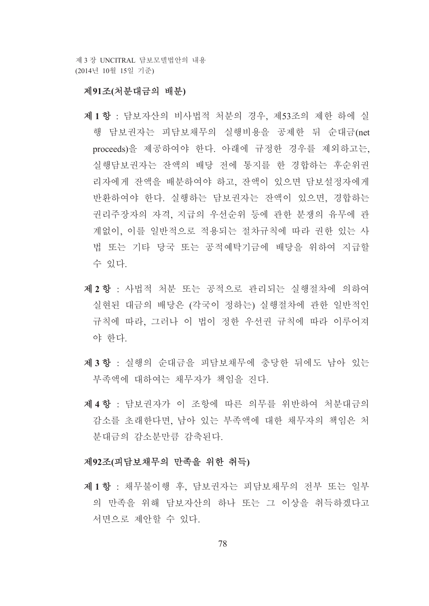제 3 장 INCITRAL 담보모델법안의 내용 (2014년 10월 15일 기준)

#### 제91조(처분대금의 배분)

- 제1항 : 담보자산의 비사법적 처분의 경우, 제53조의 제한 하에 실 행 담보권자는 피담보채무의 실행비용을 공제한 뒤 수대금(net proceeds)을 제공하여야 한다. 아래에 규정한 경우를 제외하고는, 실행담보권자는 잔액의 배당 전에 통지를 한 경합하는 후순위권 리자에게 잔액을 배분하여야 하고, 잔액이 있으면 담보설정자에게 반환하여야 한다. 실행하는 담보권자는 잔액이 있으면, 경합하는 권리주장자의 자격, 지급의 우선순위 등에 관한 분쟁의 유무에 관 계없이, 이를 일반적으로 적용되는 절차규칙에 따라 권한 있는 사 법 또는 기타 당국 또는 공적예탁기금에 배당을 위하여 지급할 수 있다.
- 제 2 항 : 사법적 처분 또는 공적으로 관리되는 실행절차에 의하여 실현된 대금의 배당은 (각국이 정하는) 실행절차에 관한 일반적인 규칙에 따라, 그러나 이 법이 정한 우선권 규칙에 따라 이루어져 야 한다.
- 제3항 : 실행의 순대금을 피담보채무에 충당한 뒤에도 남아 있는 부족액에 대하여는 채무자가 책임을 진다.
- 제4항 : 담보권자가 이 조항에 따른 의무를 위반하여 처분대금의 감소를 초래한다면, 남아 있는 부족액에 대한 채무자의 책임은 처 분대금의 감소부만큼 감축되다.

#### 제92조(피담보채무의 만족을 위한 취득)

제1항 : 채무불이행 후, 담보권자는 피담보채무의 전부 또는 일부 의 만족을 위해 담보자산의 하나 또는 그 이상을 취득하겠다고 서면으로 제안할 수 있다.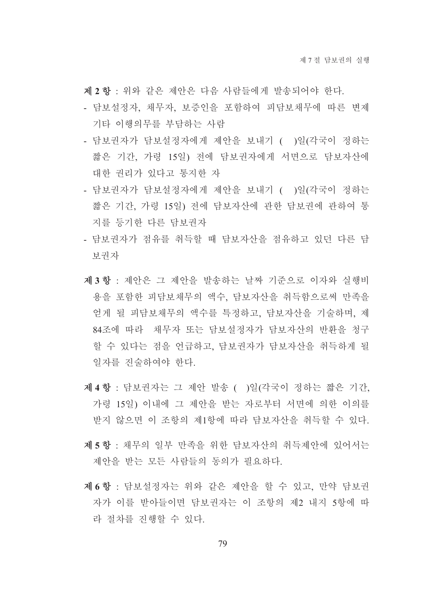제 2 항 : 위와 같은 제안은 다음 사람들에게 발송되어야 한다.

- 담보설정자, 채무자, 보증인을 포함하여 피담보채무에 따른 변제 기타 이행의무를 부담하는 사람
- 담보권자가 담보설정자에게 제안을 보내기 ( )일(각국이 정하는 짧은 기간, 가령 15일) 전에 담보권자에게 서면으로 담보자산에 대한 권리가 있다고 통지한 자
- 담보권자가 담보설정자에게 제안을 보내기 ( )일(각국이 정하는 짧은 기간, 가령 15일) 전에 담보자산에 관한 담보권에 관하여 통 지를 등기한 다른 담보권자
- 담보권자가 점유를 취득할 때 담보자산을 점유하고 있던 다른 담 보권자
- 제3항 : 제안은 그 제안을 발송하는 날짜 기주으로 이자와 실행비 용을 포함한 피담보채무의 액수. 담보자산을 취득함으로써 만족을 얻게 될 피담보채무의 액수를 특정하고, 담보자산을 기술하며, 제 84조에 따라 채무자 또는 담보설정자가 담보자산의 반환을 청구 할 수 있다는 점을 언급하고, 담보권자가 담보자산을 취득하게 될 일자를 진술하여야 한다.
- 제 4 항 : 담보권자는 그 제안 발송 ( )일(각국이 정하는 짧은 기간, 가령 15일) 이내에 그 제안을 받는 자로부터 서면에 의한 이의를 받지 않으면 이 조항의 제1항에 따라 담보자산을 취득할 수 있다.
- 제 5 항 : 채무의 일부 만족을 위한 담보자산의 취득제안에 있어서는 제아을 받는 모든 사람들의 동의가 필요하다.
- 제 6 항 : 담보설정자는 위와 같은 제안을 할 수 있고, 만약 담보권 자가 이를 받아들이면 담보권자는 이 조항의 제2 내지 5항에 따 라 절차를 진행할 수 있다.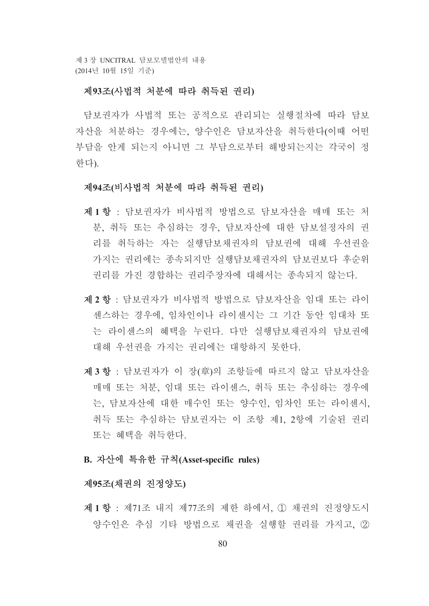제 3 장 UNCITRAL 담보모델법안의 내용 (2014년 10월 15일 기준)

#### 제93조(사법적 처분에 따라 취득된 권리)

담보권자가 사법적 또는 공적으로 관리되는 실행절차에 따라 담보 자산을 처분하는 경우에는, 양수인은 담보자산을 취득한다(이때 어떤 부담을 안게 되는지 아니면 그 부담으로부터 해방되는지는 각국이 정 한다).

#### 제94조(비사법적 처분에 따라 취득된 권리)

- 제1항 : 담보권자가 비사법적 방법으로 담보자산을 매매 또는 처 분, 취득 또는 추심하는 경우, 담보자산에 대한 담보설정자의 권 리를 취득하는 자는 실행담보채권자의 담보권에 대해 우선권을 가지는 권리에는 종속되지만 실행담보채권자의 담보권보다 후수위 권리를 가진 경합하는 권리주장자에 대해서는 종속되지 않는다.
- 제2항 : 담보권자가 비사법적 방법으로 담보자산을 임대 또는 라이 센스하는 경우에, 임차인이나 라이센시는 그 기간 동안 임대차 또 는 라이센스의 혜택을 누린다. 다만 실행담보채권자의 담보권에 대해 우선권을 가지는 권리에는 대항하지 못한다.
- 제3항 : 담보권자가 이 장(章)의 조항들에 따르지 않고 담보자산을 매매 또는 처분, 임대 또는 라이센스, 취득 또는 추심하는 경우에 는, 담보자산에 대한 매수인 또는 양수인, 임차인 또는 라이센시, 취득 또는 추심하는 담보권자는 이 조항 제1, 2항에 기술된 권리 또는 혜택을 취득한다.
- B. 자산에 특유한 규칙(Asset-specific rules)

#### 제95조(채권의 진정양도)

제1항 : 제71조 내지 제77조의 제한 하에서. ① 채권의 진정양도시 양수인은 추심 기타 방법으로 채권을 실행할 권리를 가지고 2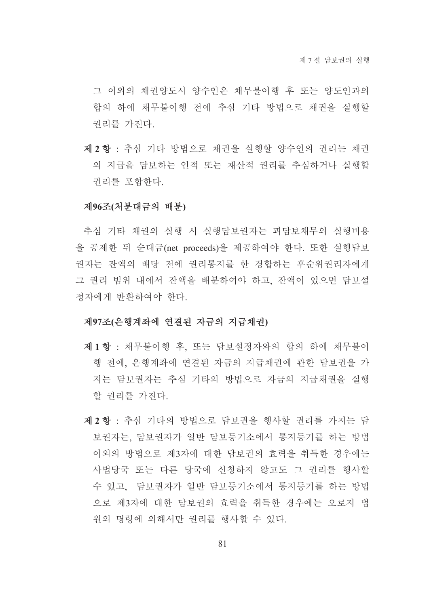그 이외의 채권양도시 양수인은 채무불이행 후 또는 양도인과의 합의 하에 채무불이행 전에 추심 기타 방법으로 채권을 실행할 권리를 가진다.

제 2 항 : 추심 기타 방법으로 채권을 실행할 양수인의 권리는 채권 의 지급을 담보하는 인적 또는 재산적 권리를 추심하거나 실행할 권리를 포함하다.

#### 제96조(처분대금의 배분)

추심 기타 채권의 실행 시 실행담보권자는 피담보채무의 실행비용 을 공제한 뒤 순대금(net proceeds)을 제공하여야 한다. 또한 실행담보 권자는 잔액의 배당 전에 권리통지를 한 경합하는 후수위권리자에게 그 권리 범위 내에서 잔액을 배분하여야 하고, 잔액이 있으면 담보설 정자에게 반환하여야 한다.

#### 제97조(은행계좌에 연결된 자금의 지급채권)

- 제1항 : 채무불이행 후, 또는 담보설정자와의 합의 하에 채무불이 행 전에, 은행계좌에 연결된 자금의 지급채권에 관한 담보권을 가 지는 담보권자는 추심 기타의 방법으로 자금의 지급채권을 실행 할 권리를 가진다.
- 제 2 항 : 추심 기타의 방법으로 담보권을 행사할 권리를 가지는 담 보권자는, 담보권자가 일반 담보등기소에서 통지등기를 하는 방법 이외의 방법으로 제3자에 대한 담보권의 효력을 취득한 경우에는 사법당국 또는 다른 당국에 신청하지 않고도 그 권리를 행사할 수 있고, 담보권자가 일반 담보등기소에서 통지등기를 하는 방법 으로 제3자에 대한 담보권의 효력을 취득한 경우에는 오로지 법 원의 명령에 의해서만 권리를 행사할 수 있다.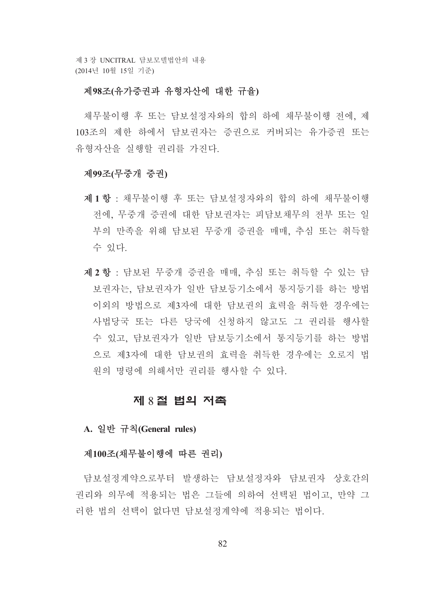제 3 장 UNCITRAL 담보모델법안의 내용 (2014년 10월 15일 기준)

#### 제98조(유가증권과 유형자산에 대한 규율)

채무불이행 후 또는 담보설정자와의 합의 하에 채무불이행 전에, 제 103조의 제한 하에서 담보권자는 증권으로 커버되는 유가증권 또는 유형자산을 실행할 권리를 가진다.

#### 제99조(무중개 중권)

- 제1항 : 채무불이행 후 또는 담보설정자와의 합의 하에 채무불이행 전에, 무중개 증권에 대한 담보권자는 피담보채무의 전부 또는 일 부의 만족을 위해 담보된 무중개 증권을 매매, 추심 또는 취득할 수 있다.
- 제 2 항 : 담보된 무중개 증권을 매매, 추심 또는 취득할 수 있는 담 보권자는, 담보권자가 일반 담보등기소에서 통지등기를 하는 방법 이외의 방법으로 제3자에 대한 담보권의 효력을 취득한 경우에는 사법당국 또는 다른 당국에 신청하지 않고도 그 권리를 행사할 수 있고, 담보권자가 일반 담보등기소에서 통지등기를 하는 방법 으로 제3자에 대한 담보권의 효력을 취득한 경우에는 오로지 법 워의 명령에 의해서만 권리를 행사할 수 있다.

#### 제 8 절 법의 저촉

A. 일반 규칙(General rules)

#### 제100조(채무불이행에 따른 권리)

담보설정계약으로부터 발생하는 담보설정자와 담보권자 상호간의 권리와 의무에 적용되는 법은 그들에 의하여 선택된 법이고, 만약 그 러한 법의 선택이 없다면 담보설정계약에 적용되는 법이다.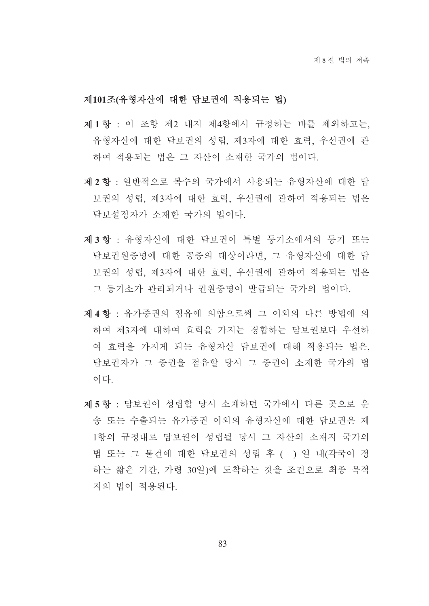#### 제101조(유형자산에 대한 담보권에 적용되는 법)

- 제1항 : 이 조항 제2 내지 제4항에서 규정하는 바를 제외하고는. 유형자산에 대한 담보권의 성립, 제3자에 대한 효력, 우선권에 관 하여 적용되는 법은 그 자사이 소재한 국가의 법이다.
- 제 2 항 : 일반적으로 복수의 국가에서 사용되는 유형자산에 대한 담 보권의 성립, 제3자에 대한 효력, 우선권에 관하여 적용되는 법은 담보설정자가 소재한 국가의 법이다.
- 제3항 : 유형자산에 대한 담보권이 특별 등기소에서의 등기 또는 담보권원증명에 대한 공증의 대상이라면, 그 유형자산에 대한 담 보권의 성립, 제3자에 대한 효력, 우선권에 관하여 적용되는 법은 그 등기소가 관리되거나 권원증명이 발급되는 국가의 법이다.
- 제4항 : 유가증권의 점유에 의함으로써 그 이외의 다른 방법에 의 하여 제3자에 대하여 효력을 가지는 경합하는 담보권보다 우선하 여 효력을 가지게 되는 유형자산 담보권에 대해 적용되는 법은, 담보권자가 그 증권을 점유할 당시 그 증권이 소재한 국가의 법 이다.
- 제5항 : 담보권이 성립할 당시 소재하던 국가에서 다른 곳으로 우 송 또는 수출되는 유가증권 이외의 유형자산에 대한 담보권은 제 1항의 규정대로 담보권이 성립될 당시 그 자산의 소재지 국가의 법 또는 그 물건에 대한 담보권의 성립 후 ( ) 일 내(각국이 정 하는 짧은 기간, 가령 30일)에 도착하는 것을 조건으로 최종 목적 지의 법이 적용되다.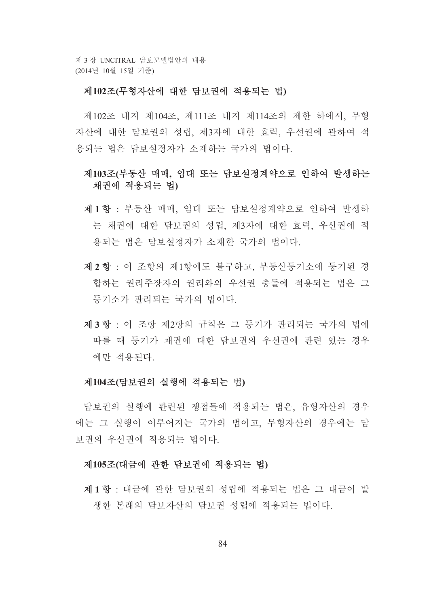제 3 장 UNCITRAL 담보모델법안의 내용 (2014년 10월 15일 기준)

#### 제102조(무형자산에 대한 담보권에 적용되는 법)

제102조 내지 제104조, 제111조 내지 제114조의 제한 하에서, 무형 자산에 대한 담보권의 성립, 제3자에 대한 효력, 우선권에 관하여 적 용되는 법은 담보설정자가 소재하는 국가의 법이다.

### 제103조(부동산 매매, 임대 또는 담보설정계약으로 인하여 발생하는 채권에 적용되는 법)

- 제1항 : 부동산 매매, 임대 또는 담보설정계약으로 인하여 발생하 는 채권에 대한 담보권의 성립, 제3자에 대한 효력, 우선권에 적 용되는 법은 담보설정자가 소재한 국가의 법이다.
- 제 2 항 : 이 조항의 제1항에도 불구하고, 부동산등기소에 등기된 경 합하는 권리주장자의 권리와의 우선권 충돌에 적용되는 법은 그 등기소가 관리되는 국가의 법이다.
- 제3항 : 이 조항 제2항의 규칙은 그 등기가 관리되는 국가의 법에 따를 때 등기가 채권에 대한 담보권의 우선권에 관련 있는 경우 에만 적용되다.

#### 제104조(담보권의 실행에 적용되는 법)

담보권의 실행에 관련된 쟁점들에 적용되는 법은, 유형자산의 경우 에는 그 실행이 이루어지는 국가의 법이고, 무형자산의 경우에는 담 보권의 우선권에 적용되는 법이다.

#### 제105조(대금에 관한 담보권에 적용되는 법)

제1항 : 대금에 관한 담보권의 성립에 적용되는 법은 그 대금이 발 생한 본래의 담보자산의 담보권 성립에 적용되는 법이다.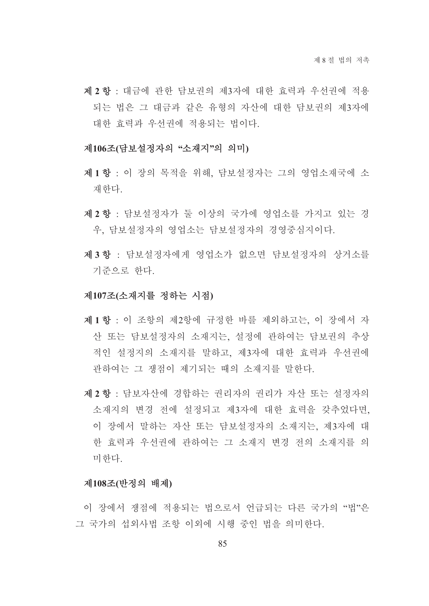제 2 항 : 대금에 과한 담보권의 제3자에 대한 효력과 우선권에 적용 되는 법은 그 대금과 같은 유형의 자산에 대한 담보권의 제3자에 대한 효력과 우선권에 적용되는 법이다.

#### 제106조(담보설정자의 "소재지"의 의미)

- 제1항 : 이 장의 목적을 위해. 담보설정자는 그의 영업소재국에 소 재한다.
- 제 2 항 : 담보설정자가 둘 이상의 국가에 영업소를 가지고 있는 경 우, 담보설정자의 영업소는 담보설정자의 경영중심지이다.
- 제3항 : 담보설정자에게 영업소가 없으면 담보설정자의 상거소를 기주으로 하다.

#### 제107조(소재지를 정하는 시점)

- 제1항 : 이 조항의 제2항에 규정한 바를 제외하고는. 이 장에서 자 산 또는 담보설정자의 소재지는, 설정에 관하여는 담보권의 추상 적인 설정지의 소재지를 말하고 제3자에 대한 효력과 우선권에 관하여는 그 쟁점이 제기되는 때의 소재지를 말한다.
- 제 2 항 : 담보자산에 경합하는 권리자의 권리가 자산 또는 설정자의 소재지의 변경 전에 설정되고 제3자에 대한 효력을 갖추었다면, 이 장에서 말하는 자산 또는 담보설정자의 소재지는, 제3자에 대 한 효력과 우선권에 관하여는 그 소재지 변경 전의 소재지를 의 미하다

#### 제108조(반정의 배제)

이 장에서 쟁점에 적용되는 법으로서 어급되는 다른 국가의 "법"은 그 국가의 섭외사법 조항 이외에 시행 중인 법을 의미하다.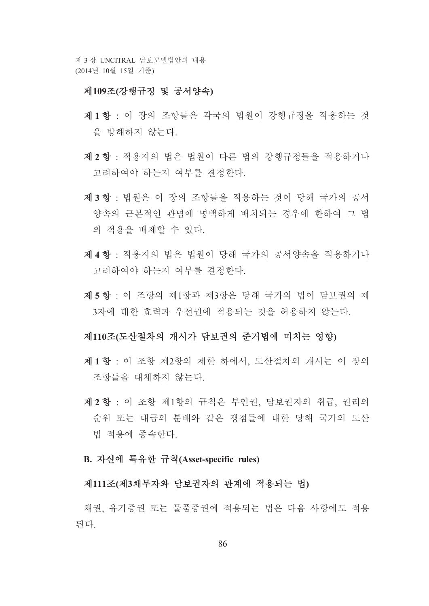제 3 장 UNCITRAL 담보모델법안의 내용 (2014년 10월 15일 기준)

#### 제109조(강행규정 및 공서양속)

- 제1항 : 이 장의 조항들은 각국의 법원이 강행규정을 적용하는 것 을 방해하지 않는다.
- 제 2 항 : 적용지의 법은 법워이 다른 법의 강행규정들을 적용하거나 고려하여야 하는지 여부를 결정한다.
- 제3항 : 법워은 이 장의 조항들을 적용하는 것이 당해 국가의 공서 양속의 근본적인 관념에 명백하게 배치되는 경우에 한하여 그 법 의 적용을 배제할 수 있다.
- 제4항 : 적용지의 법은 법원이 당해 국가의 공서양속을 적용하거나 고려하여야 하는지 여부를 결정하다.
- 제 5 항 : 이 조항의 제1항과 제3항은 당해 국가의 법이 담보권의 제 3자에 대한 효력과 우선권에 적용되는 것을 허용하지 않는다.

#### 제110조(도산절차의 개시가 담보궈의 준거법에 미치는 영향)

- 제1항 · 이 조항 제2항의 제한 하에서 도사절차의 개시는 이 장의 조항들을 대체하지 않는다.
- 제 2 항 : 이 조항 제1항의 규칙은 부인권, 담보권자의 취급, 권리의 순위 또는 대금의 분배와 같은 쟁점들에 대한 당해 국가의 도산 법 적용에 종속하다.

#### B. 자신에 특유한 규칙(Asset-specific rules)

#### 제111조(제3채무자와 담보권자의 관계에 적용되는 법)

채권, 유가증권 또는 물품증권에 적용되는 법은 다음 사항에도 적용 되다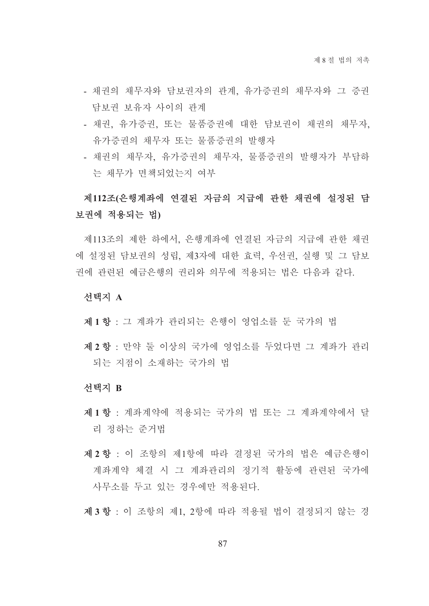- 채권의 채무자와 담보권자의 관계, 유가증권의 채무자와 그 증권 담보권 보유자 사이의 관계
- 채권, 유가증권, 또는 물품증권에 대한 담보권이 채권의 채무자, 유가증권의 채무자 또는 물품증권의 발행자
- 채권의 채무자, 유가증권의 채무자, 물품증권의 발행자가 부담하 는 채무가 면책되었는지 여부

# 제112조(은행계좌에 연결된 자금의 지급에 관한 채권에 설정된 담 보권에 적용되는 법)

제113조의 제한 하에서, 은행계좌에 연결된 자금의 지급에 관한 채권 에 설정된 담보권의 성립. 제3자에 대한 효력. 우선권. 실행 및 그 담보 권에 관련된 예금은행의 권리와 의무에 적용되는 법은 다음과 같다.

#### 서택지 A

- 제1항 : 그 계좌가 관리되는 은행이 영업소를 둔 국가의 법
- 제 2 항 : 만약 둘 이상의 국가에 영업소를 두었다면 그 계좌가 관리 되는 지점이 소재하는 국가의 법

#### 선택지 B

- 제1항 : 계좌계약에 적용되는 국가의 법 또는 그 계좌계약에서 달 리 정하는 준거법
- 제 2 항 : 이 조항의 제1항에 따라 결정된 국가의 법은 예금은행이 계좌계약 체결 시 그 계좌관리의 정기적 활동에 관련된 국가에 사무소를 두고 있는 경우에만 적용되다.

제3항 : 이 조항의 제1, 2항에 따라 적용될 법이 결정되지 않는 경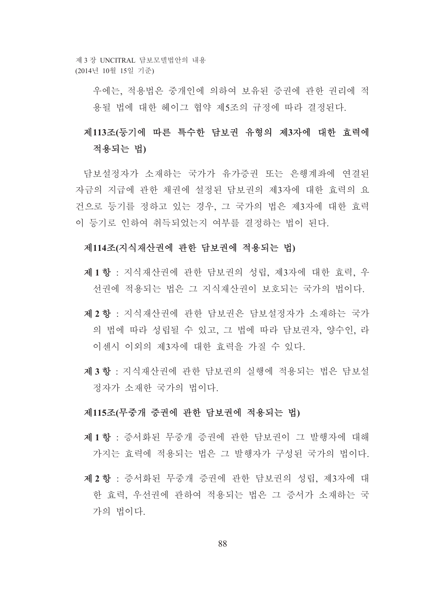제 3 장 UNCITRAL 담보모델법안의 내용 (2014년 10월 15일 기준)

> 우에는 적용법은 중개인에 의하여 보유된 증권에 관한 권리에 적 용될 법에 대한 헤이그 협약 제5조의 규정에 따라 결정되다.

# 제113조(등기에 따른 특수한 담보권 유형의 제3자에 대한 효력에 적용되는 법)

담보설정자가 소재하는 국가가 유가증권 또는 은행계좌에 연결된 자금의 지급에 과한 채권에 설정된 담보권의 제3자에 대한 효력의 요 건으로 등기를 정하고 있는 경우, 그 국가의 법은 제3자에 대한 효력 이 등기로 인하여 취득되었는지 여부를 결정하는 법이 된다.

#### 제114조(지식재산권에 관한 담보권에 적용되는 법)

- 제1항 : 지식재산권에 관한 담보권의 성립, 제3자에 대한 효력, 우 선권에 적용되는 법은 그 지식재산권이 보호되는 국가의 법이다.
- 제 2 항 : 지식재산권에 관한 담보권은 담보설정자가 소재하는 국가 의 법에 따라 성립될 수 있고, 그 법에 따라 담보권자, 양수인, 라 이센시 이외의 제3자에 대한 효력을 가질 수 있다.
- 제3항 : 지식재산권에 관한 담보권의 실행에 적용되는 법은 담보설 정자가 소재한 국가의 법이다.

#### 제115조(무중개 증권에 관한 담보권에 적용되는 법)

- 제1항 : 증서화된 무중개 증권에 관한 담보권이 그 발행자에 대해 가지는 효력에 적용되는 법은 그 발행자가 구성된 국가의 법이다.
- 제 2 항 : 증서화된 무중개 증권에 관한 담보권의 성립, 제3자에 대 한 효력 우선권에 관하여 적용되는 법은 그 증서가 소재하는 국 가의 법이다.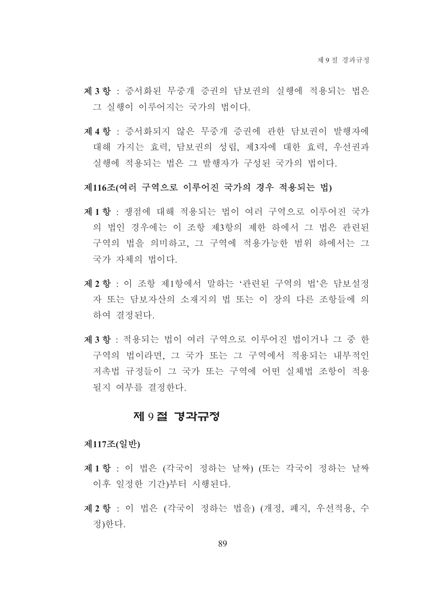- 제3항 : 증서화된 무중개 증권의 담보권의 실행에 적용되는 법은 그 실행이 이루어지는 국가의 법이다.
- 제 4 항 : 증서화되지 않은 무중개 증권에 관한 담보권이 발행자에 대해 가지는 효력, 담보권의 성립, 제3자에 대한 효력, 우선권과 실행에 적용되는 법은 그 발행자가 구성된 국가의 법이다.

#### 제116조(여러 구역으로 이루어지 국가의 경우 적용되는 법)

- 제1항 : 쟁점에 대해 적용되는 법이 여러 구역으로 이루어진 국가 의 법인 경우에는 이 조항 제3항의 제한 하에서 그 법은 관련되 구역의 법을 의미하고, 그 구역에 적용가능한 범위 하에서는 그 국가 자체의 법이다.
- 제 2 항 : 이 조항 제1항에서 말하는 '관련된 구역의 법'은 담보설정 자 또는 담보자산의 소재지의 법 또는 이 장의 다른 조항들에 의 하여 결정된다.
- 제3항 : 적용되는 법이 여러 구역으로 이루어진 법이거나 그 중 한 구역의 법이라면, 그 국가 또는 그 구역에서 적용되는 내부적인 저촉법 규정들이 그 국가 또는 구역에 어떤 실체법 조항이 적용 될지 여부를 결정한다.

### 제 9절 경과규정

#### 제117조(일반)

- 제1항 : 이 법은 (각국이 정하는 날짜) (또는 각국이 정하는 날짜 이후 일정한 기간)부터 시행된다.
- 제 2 항 : 이 법은 (각국이 정하는 법을) (개정, 폐지, 우선적용, 수 정)한다.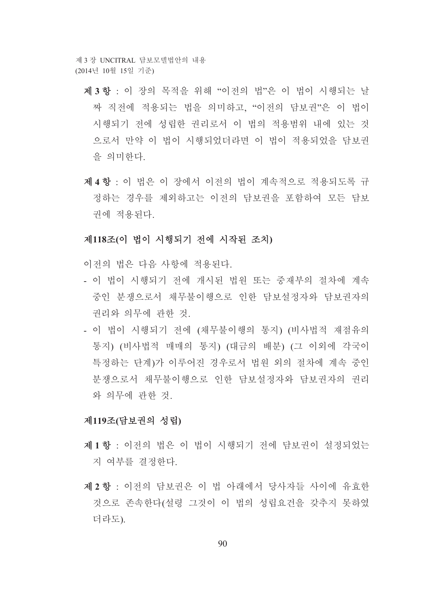제 3 장 INCITRAL 담보모델법안의 내용 (2014년 10월 15일 기준)

- 제3항 : 이 장의 목적을 위해 "이전의 법"은 이 법이 시행되는 날 짜 직전에 적용되는 법을 의미하고, "이전의 담보권"은 이 법이 시행되기 전에 성립한 권리로서 이 법의 적용범위 내에 있는 것 으로서 만약 이 법이 시행되었더라면 이 법이 적용되었을 담보권 을 의미하다.
- 제4항 : 이 법은 이 장에서 이전의 법이 계속적으로 적용되도록 규 정하는 경우를 제외하고는 이전의 담보권을 포함하여 모든 담보 권에 적용된다.

#### 제118조(이 법이 시행되기 전에 시작된 조치)

이전의 법은 다음 사항에 적용되다.

- 이 법이 시행되기 전에 개시된 법워 또는 중재부의 절차에 계속 중인 분쟁으로서 채무불이행으로 인한 담보설정자와 담보권자의 권리와 의무에 관한 것.
- 이 법이 시행되기 전에 (채무불이행의 통지) (비사법적 재점유의 통지) (비사법적 매매의 통지) (대금의 배분) (그 이외에 각국이 특정하는 단계)가 이루어진 경우로서 법원 외의 절차에 계속 중인 분쟁으로서 채무불이행으로 인한 담보설정자와 담보권자의 권리 와 의무에 관한 것.

#### 제119조(담보권의 성립)

- 제1항 · 이전의 법은 이 법이 시행되기 전에 담보권이 설정되었는 지 여부를 결정하다.
- 제 2 항 : 이전의 담보권은 이 법 아래에서 당사자들 사이에 유효한 것으로 존속한다(설령 그것이 이 법의 성립요건을 갖추지 못하였 더라도).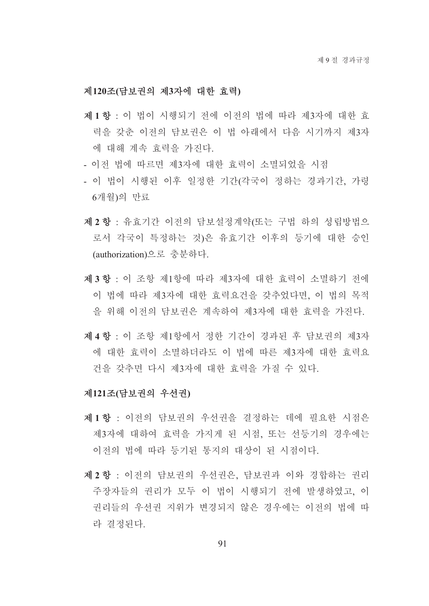#### 제120조(담보권의 제3자에 대한 효력)

- 제1항 : 이 법이 시행되기 전에 이전의 법에 따라 제3자에 대한 효 력을 갖춘 이전의 담보권은 이 법 아래에서 다음 시기까지 제3자 에 대해 계속 효력을 가진다.
- 이전 법에 따르면 제3자에 대한 효력이 소멸되었을 시점
- 이 법이 시행된 이후 일정한 기간(각국이 정하는 경과기간, 가령 6개월)의 만료
- 제 2 항 : 유효기간 이전의 담보설정계약(또는 구법 하의 성립방법으 로서 각국이 특정하는 것)은 유효기간 이후의 등기에 대한 승인 (authorization)으로 중분하다.
- 제3항 : 이 조항 제1항에 따라 제3자에 대한 효력이 소멸하기 전에 이 법에 따라 제3자에 대한 효력요건을 갖추었다면. 이 법의 목적 을 위해 이전의 담보권은 계속하여 제3자에 대한 효력을 가진다.
- 제 4 항 : 이 조항 제1항에서 정한 기간이 경과된 후 담보권의 제3자 에 대한 효력이 소멸하더라도 이 법에 따른 제3자에 대한 효력요 건을 갖추면 다시 제3자에 대한 효력을 가질 수 있다.

#### 제121조(담보권의 우선권)

- 제1항 : 이전의 담보권의 우선권을 결정하는 데에 필요한 시점은 제3자에 대하여 효력을 가지게 된 시점. 또는 선등기의 경우에는 이전의 법에 따라 등기된 통지의 대상이 된 시점이다.
- 제2항 : 이전의 담보권의 우선권은, 담보권과 이와 경합하는 권리 주장자들의 권리가 모두 이 법이 시행되기 전에 발생하였고, 이 권리들의 우선권 지위가 변경되지 않은 경우에는 이전의 법에 따 라 결정된다.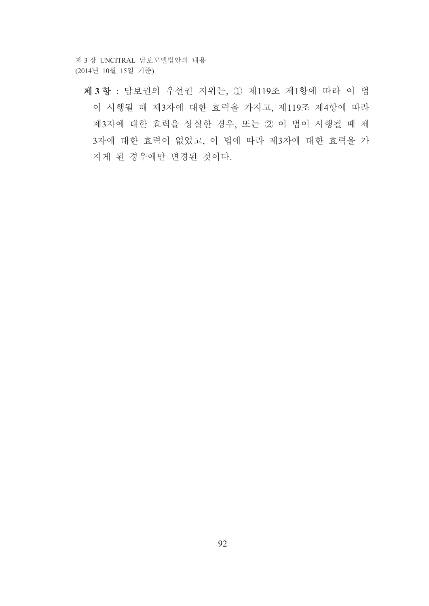제 3 장 UNCITRAL 담보모델법안의 내용 (2014년 10월 15일 기준)

제3항 : 담보권의 우선권 지위는, 1 제119조 제1항에 따라 이 법 이 시행될 때 제3자에 대한 효력을 가지고, 제119조 제4항에 따라 제3자에 대한 효력을 상실한 경우, 또는 2 이 법이 시행될 때 제 3자에 대한 효력이 없었고, 이 법에 따라 제3자에 대한 효력을 가 지게 된 경우에만 변경된 것이다.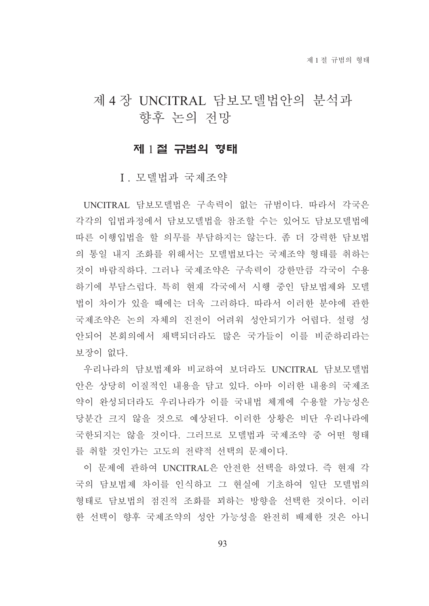# 제 4 장 UNCITRAL 담보모델법안의 분석과 향후 논의 전망

### 제 1절 규범의 형태

I. 모델법과 국제조약

UNCITRAL 담보모델법은 구속력이 없는 규범이다. 따라서 각국은 각각의 입법과정에서 담보모델법을 참조할 수는 있어도 담보모델법에 따른 이행입법을 할 의무를 부담하지는 않는다. 좀 더 강력한 담보법 의 통일 내지 조화를 위해서는 모델법보다는 국제조약 형태를 취하는 것이 바람직하다. 그러나 국제조약은 구속력이 강한만큼 각국이 수용 하기에 부담스럽다. 특히 현재 각국에서 시행 중인 담보법제와 모델 법이 차이가 있을 때에는 더욱 그러하다. 따라서 이러한 부야에 과한 국제조약은 논의 자체의 진전이 어려워 성안되기가 어렵다. 설령 성 안되어 본회의에서 채택되더라도 많은 국가들이 이를 비주하리라는 보장이 없다.

우리나라의 담보법제와 비교하여 보더라도 UNCITRAL 담보모델법 안은 상당히 이질적인 내용을 담고 있다. 아마 이러한 내용의 국제조 약이 완성되더라도 우리나라가 이를 국내법 체계에 수용할 가능성은 당분간 크지 않을 것으로 예상된다. 이러한 상황은 비단 우리나라에 국한되지는 않을 것이다. 그러므로 모델법과 국제조약 중 어떤 형태 를 취할 것인가는 고도의 전략적 선택의 문제이다.

이 문제에 관하여 UNCITRAL은 아저하 서택을 하였다. 즉 현재 각 국의 담보법제 차이를 인식하고 그 현실에 기초하여 일단 모델법의 형태로 담보법의 점진적 조화를 꾀하는 방향을 선택한 것이다. 이러 한 선택이 향후 국제조약의 성안 가능성을 완전히 배제한 것은 아니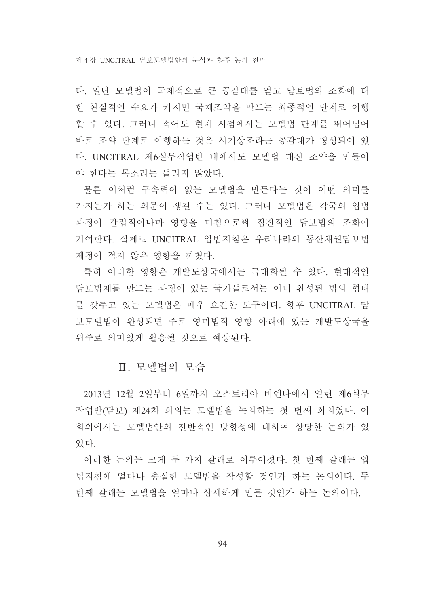다. 일단 모델법이 국제적으로 큰 공감대를 얻고 담보법의 조화에 대 한 현실적인 수요가 커지면 국제조약을 만드는 최종적인 단계로 이행 할 수 있다. 그러나 적어도 현재 시점에서는 모델법 단계를 뛰어넘어 바로 조약 단계로 이행하는 것은 시기상조라는 공감대가 형성되어 있 다. UNCITRAL 제6실무작업반 내에서도 모델법 대신 조약을 만들어 야 한다는 목소리는 들리지 않았다.

물론 이처럼 구속력이 없는 모델법을 만든다는 것이 어떤 의미를 가지는가 하는 의문이 생길 수는 있다. 그러나 모델법은 각국의 입법 과정에 간접적이나마 영향을 미침으로써 점진적인 담보법의 조화에 기여한다. 실제로 UNCITRAL 입법지침은 우리나라의 동산채권담보법 제정에 적지 않은 영향을 끼쳤다.

특히 이러한 영향은 개발도상국에서는 극대화될 수 있다. 현대적인 담보법제를 만드는 과정에 있는 국가들로서는 이미 와성된 법의 형태 를 갖추고 있는 모델법은 매우 요긴한 도구이다. 향후 UNCITRAL 담 보모델법이 완성되면 주로 영미법적 영향 아래에 있는 개발도상국을 위주로 의미있게 활용될 것으로 예상된다.

### Ⅱ. 모델법의 모습

2013년 12월 2일부터 6일까지 오스트리아 비엔나에서 열린 제6실무 작업반(담보) 제24차 회의는 모델법을 논의하는 첫 번째 회의였다. 이 회의에서는 모델법안의 전반적인 방향성에 대하여 상당한 논의가 있 었다.

이러한 논의는 크게 두 가지 갈래로 이루어졌다. 첫 번째 갈래는 입 법지침에 얼마나 충실한 모델법을 작성할 것인가 하는 논의이다. 두 번째 갈래는 모델법을 얼마나 상세하게 만들 것인가 하는 논의이다.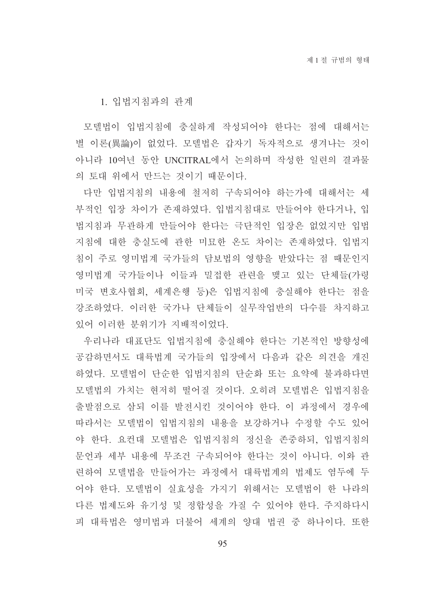1. 입법지침과의 관계

모델법이 입법지침에 충실하게 작성되어야 한다는 점에 대해서는 별 이론(異論)이 없었다. 모델법은 갑자기 독자적으로 생겨나는 것이 아니라 10여년 동안 UNCITRAL에서 논의하며 작성한 일련의 결과물 의 토대 위에서 만드는 것이기 때문이다.

다만 입법지침의 내용에 철저히 구속되어야 하는가에 대해서는 세 부적인 입장 차이가 존재하였다. 입법지침대로 만들어야 한다거나, 입 법지침과 무관하게 만들어야 한다는 극단적인 입장은 없었지만 입법 지침에 대한 충실도에 관한 미묘한 온도 차이는 존재하였다. 입법지 침이 주로 영미법계 국가들의 담보법의 영향을 받았다는 점 때문인지 영미법계 국가들이나 이들과 밀접한 관련을 맺고 있는 단체들(가령 미국 변호사협회, 세계은행 등)은 입법지침에 충실해야 한다는 점을 강조하였다. 이러한 국가나 단체들이 실무작업반의 다수를 차지하고 있어 이러한 분위기가 지배적이었다.

우리나라 대표단도 입법지침에 충실해야 한다는 기본적인 방향성에 공감하면서도 대륙법계 국가들의 입장에서 다음과 같은 의견을 개진 하였다. 모델법이 단순한 입법지침의 단순화 또는 요약에 불과하다면 모델법의 가치는 현저히 떨어질 것이다. 오히려 모델법은 입법지침을 출발점으로 삼되 이를 발전시킨 것이어야 한다. 이 과정에서 경우에 따라서는 모델법이 입법지침의 내용을 보강하거나 수정할 수도 있어 야 한다. 요컨대 모델법은 입법지침의 정신을 존중하되, 입법지침의 문언과 세부 내용에 무조건 구속되어야 한다는 것이 아니다. 이와 관 련하여 모델법을 만들어가는 과정에서 대륙법계의 법제도 염두에 두 어야 한다. 모델법이 실효성을 가지기 위해서는 모델법이 한 나라의 다른 법제도와 유기성 및 정합성을 가질 수 있어야 한다. 주지하다시 피 대륙법은 영미법과 더불어 세계의 양대 법권 중 하나이다. 또한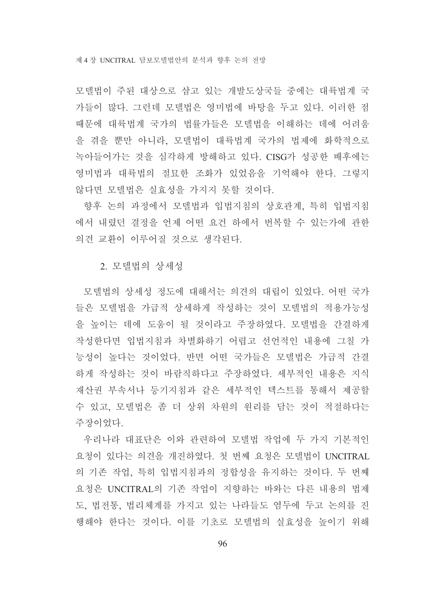모델법이 주된 대상으로 삼고 있는 개발도상국들 중에는 대륙법계 국 가들이 많다. 그런데 모델법은 영미법에 바탕을 두고 있다. 이러한 점 때문에 대륙법계 국가의 법률가들은 모델법을 이해하는 데에 어려움 을 겪을 뿐만 아니라, 모델법이 대륙법계 국가의 법제에 화학적으로 녹아들어가는 것을 심각하게 방해하고 있다. CISG가 성공한 배후에는 영미법과 대륙법의 절묘한 조화가 있었음을 기억해야 한다. 그렇지 않다면 모델법은 실효성을 가지지 못할 것이다.

향후 논의 과정에서 모델법과 입법지침의 상호관계, 특히 입법지침 에서 내렸던 결정을 언제 어떤 요건 하에서 번복할 수 있는가에 관한 의견 교환이 이루어질 것으로 생각된다.

#### 2. 모델법의 상세성

모델법의 상세성 정도에 대해서는 의견의 대립이 있었다. 어떤 국가 들은 모델법을 가급적 상세하게 작성하는 것이 모델법의 적용가능성 을 높이는 데에 도움이 될 것이라고 주장하였다. 모델법을 간결하게 작성한다면 입법지침과 차별화하기 어렵고 선언적인 내용에 그칠 가 능성이 높다는 것이었다. 반면 어떤 국가들은 모델법은 가급적 간결 하게 작성하는 것이 바람직하다고 주장하였다. 세부적인 내용은 지식 재산권 부속서나 등기지침과 같은 세부적인 텍스트를 통해서 제공할 수 있고, 모델법은 좀 더 상위 차원의 원리를 담는 것이 적절하다는 주장이었다.

우리나라 대표단은 이와 관련하여 모델법 작업에 두 가지 기본적인 요청이 있다는 의견을 개진하였다. 첫 번째 요청은 모델법이 UNCITRAL 의 기존 작업, 특히 입법지침과의 정합성을 유지하는 것이다. 두 번째 요청은 UNCITRAL의 기존 작업이 지향하는 바와는 다른 내용의 법제 도, 법전통, 법리체계를 가지고 있는 나라들도 염두에 두고 논의를 진 행해야 한다는 것이다. 이를 기초로 모델법의 실효성을 높이기 위해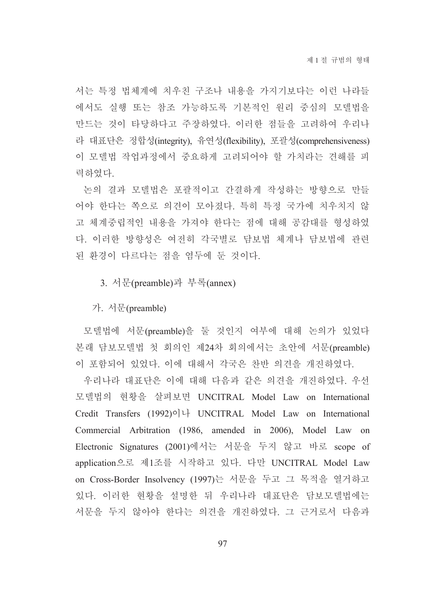서는 특정 법체계에 치우친 구조나 내용을 가지기보다는 이런 나라들 에서도 실행 또는 참조 가능하도록 기본적인 원리 중심의 모델법을 만드는 것이 타당하다고 주장하였다. 이러한 점들을 고려하여 우리나 라 대표단은 정합성(integrity), 유연성(flexibility), 포괄성(comprehensiveness) 이 모델법 작업과정에서 중요하게 고려되어야 할 가치라는 견해를 피 력하였다.

논의 결과 모델법은 포괄적이고 간결하게 작성하는 방향으로 만들 어야 한다는 쪽으로 의견이 모아졌다. 특히 특정 국가에 치우치지 않 고 체계중립적인 내용을 가져야 한다는 점에 대해 공감대를 형성하였 다. 이러한 방향성은 여전히 각국별로 담보법 체계나 담보법에 관련 된 화경이 다르다는 점을 염두에 둔 것이다.

3. 서문(preamble)과 부록(annex)

가. 서문(preamble)

모델법에 서문(preamble)을 둘 것인지 여부에 대해 논의가 있었다 본래 담보모델법 첫 회의인 제24차 회의에서는 초안에 서문(preamble) 이 포함되어 있었다. 이에 대해서 각국은 찬반 의견을 개진하였다.

우리나라 대표단은 이에 대해 다음과 같은 의견을 개진하였다. 우선 모델법의 현황을 살펴보면 UNCITRAL Model Law on International Credit Transfers (1992)이나 UNCITRAL Model Law on International Commercial Arbitration (1986, amended in 2006), Model Law on Electronic Signatures (2001)에서는 서문을 두지 않고 바로 scope of application으로 제1조를 시작하고 있다. 다만 UNCITRAL Model Law on Cross-Border Insolvency (1997)는 서문을 두고 그 목적을 열거하고 있다. 이러한 현황을 설명한 뒤 우리나라 대표단은 담보모델법에는 서문을 두지 않아야 한다는 의견을 개진하였다. 그 근거로서 다음과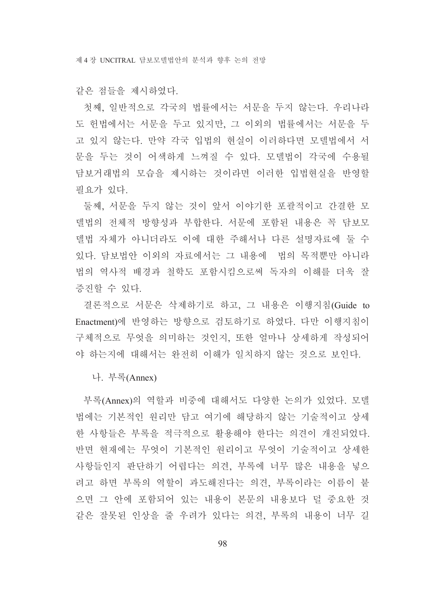같은 점들을 제시하였다.

첫째, 일반적으로 각국의 법률에서는 서문을 두지 않는다. 우리나라 도 헌법에서는 서문을 두고 있지만, 그 이외의 법률에서는 서문을 두 고 있지 않는다. 만약 각국 입법의 현실이 이러하다면 모델법에서 서 문을 두는 것이 어색하게 느껴질 수 있다. 모델법이 각국에 수용될 담보거래법의 모습을 제시하는 것이라면 이러한 입법현실을 반영할 필요가 있다.

둘째, 서문을 두지 않는 것이 앞서 이야기한 포괄적이고 간결한 모 델법의 전체적 방향성과 부합한다. 서문에 포함된 내용은 꼭 담보모 델법 자체가 아니더라도 이에 대한 주해서나 다른 설명자료에 둘 수 있다. 담보법안 이외의 자료에서는 그 내용에 법의 목적뿐만 아니라 법의 역사적 배경과 철학도 포함시킴으로써 독자의 이해를 더욱 잘 증진할 수 있다.

결론적으로 서문은 삭제하기로 하고, 그 내용은 이행지침(Guide to Enactment)에 반영하는 방향으로 검토하기로 하였다. 다만 이행지침이 구체적으로 무엇을 의미하는 것인지. 또한 얼마나 상세하게 작성되어 야 하는지에 대해서는 완전히 이해가 일치하지 않는 것으로 보인다.

나. 부록(Annex)

부록(Annex)의 역할과 비중에 대해서도 다양한 논의가 있었다. 모델 법에는 기본적인 원리만 담고 여기에 해당하지 않는 기술적이고 상세 한 사항들은 부록을 적극적으로 활용해야 한다는 의견이 개진되었다. 반면 현재에는 무엇이 기본적인 원리이고 무엇이 기술적이고 상세한 사항들인지 판단하기 어렵다는 의견, 부록에 너무 많은 내용을 넣으 려고 하면 부록의 역할이 과도해진다는 의견, 부록이라는 이름이 붙 으면 그 안에 포함되어 있는 내용이 본문의 내용보다 덜 중요한 것 같은 잘못된 인상을 줄 우려가 있다는 의견, 부록의 내용이 너무 길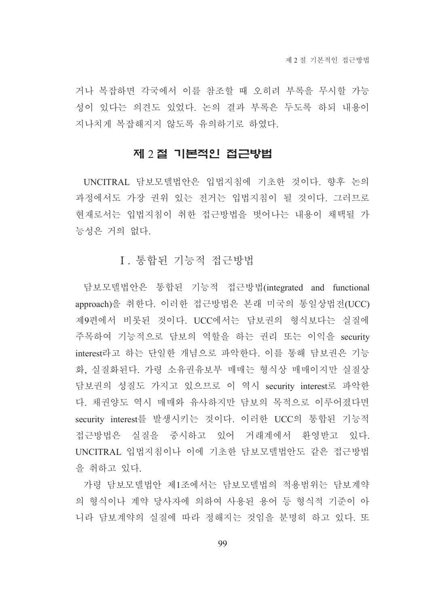거나 복잡하면 각국에서 이를 참조할 때 오히려 부록을 무시할 가능 성이 있다는 의견도 있었다. 논의 결과 부록은 두도록 하되 내용이 지나치게 복잡해지지 않도록 유의하기로 하였다.

### 제 2 절 기본적인 접근방법

UNCITRAL 담보모델법안은 입법지침에 기초한 것이다. 향후 논의 과정에서도 가장 권위 있는 전거는 입법지침이 될 것이다. 그러므로 현재로서는 입법지침이 취한 접근방법을 벗어나는 내용이 채택될 가 능성은 거의 없다.

## I. 통합된 기능적 접근방법

담보모델법안은 통합된 기능적 접근방법(integrated and functional approach)을 취한다. 이러한 접근방법은 본래 미국의 통일상법전(UCC) 제9편에서 비롯된 것이다. UCC에서는 담보권의 형식보다는 실질에 주목하여 기능적으로 담보의 역할을 하는 권리 또는 이익을 security interest라고 하는 단일한 개념으로 파악한다. 이를 통해 담보권은 기능 화, 실질화된다. 가령 소유권유보부 매매는 형식상 매매이지만 실질상 담보권의 성질도 가지고 있으므로 이 역시 security interest로 파악한 다. 채권양도 역시 매매와 유사하지만 담보의 목적으로 이루어졌다면 security interest를 발생시키는 것이다. 이러한 UCC의 통합된 기능적 접근방법은 실질을 중시하고 있어 거래계에서 환영받고 있다. UNCITRAL 입법지침이나 이에 기초한 담보모델법안도 같은 접근방법 을 취하고 있다.

가령 담보모델법안 제1조에서는 담보모델법의 적용범위는 담보계약 의 형식이나 계약 당사자에 의하여 사용된 용어 등 형식적 기준이 아 니라 담보계약의 실질에 따라 정해지는 것임을 분명히 하고 있다. 또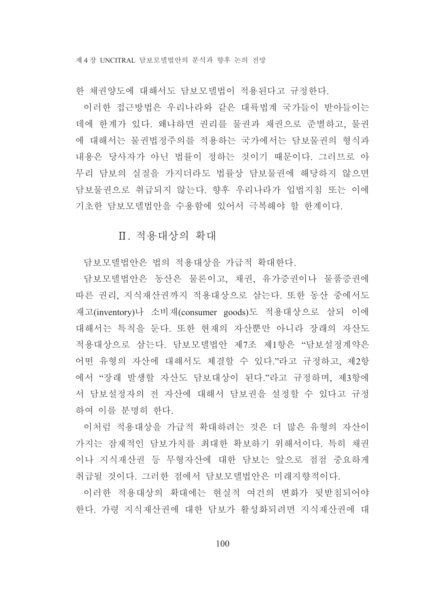한 채권양도에 대해서도 담보모델법이 적용된다고 규정한다.

이러한 접근방법은 우리나라와 같은 대륙법계 국가들이 받아들이는 데에 한계가 있다. 왜냐하면 권리를 물권과 채권으로 준별하고, 물권 에 대해서는 물권법정주의를 적용하는 국가에서는 담보물권의 형식과 내용은 당사자가 아닌 법률이 정하는 것이기 때문이다. 그러므로 아 무리 담보의 실질을 가지더라도 법률상 담보물권에 해당하지 않으면 담보물권으로 취급되지 않는다. 향후 우리나라가 입법지침 또는 이에 기초한 담보모델법안을 수용함에 있어서 극복해야 할 한계이다.

Ⅱ. 적용대상의 확대

담보모델법안은 법의 적용대상을 가급적 확대한다.

담보모델법안은 동산은 물론이고, 채권, 유가증권이나 물품증권에 따른 권리, 지식재산권까지 적용대상으로 삼는다. 또한 동산 중에서도 재고(inventory)나 소비재(consumer goods)도 적용대상으로 삼되 이에 대해서는 특칙을 둔다. 또한 현재의 자산뿐만 아니라 장래의 자산도 적용대상으로 삼는다. 담보모델법안 제7조 제1항은 "담보설정계약은 어떤 유형의 자산에 대해서도 체결할 수 있다."라고 규정하고, 제2항 에서 "장래 발생할 자산도 담보대상이 된다."라고 규정하며, 제3항에 서 담보설정자의 전 자산에 대해서 담보권을 설정할 수 있다고 규정 하여 이를 분명히 한다.

이처럼 적용대상을 가급적 확대하려는 것은 더 많은 유형의 자산이 가지는 잠재적인 담보가치를 최대한 확보하기 위해서이다. 특히 채권 이나 지식재산권 등 무형자산에 대한 담보는 앞으로 점점 중요하게 취급될 것이다. 그러한 점에서 담보모델법안은 미래지향적이다.

이러한 적용대상의 확대에는 현실적 여건의 변화가 뒷받침되어야 한다. 가령 지식재산권에 대한 담보가 활성화되려면 지식재산권에 대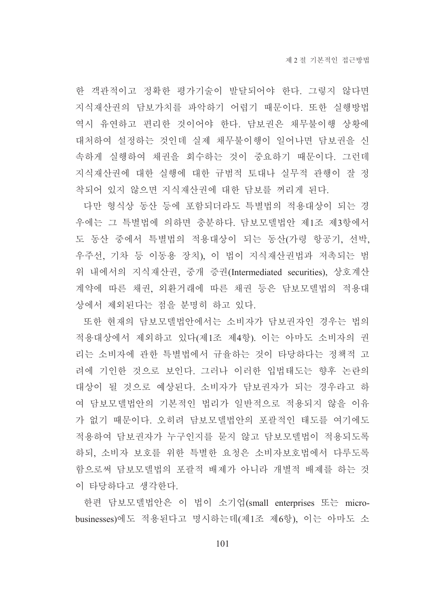한 객관적이고 정확한 평가기술이 발달되어야 한다. 그렇지 않다면 지식재산권의 담보가치를 파악하기 어렵기 때문이다. 또한 실행방법 역시 유연하고 편리한 것이어야 한다. 담보권은 채무불이행 상황에 대처하여 설정하는 것인데 실제 채무불이행이 일어나면 담보권을 신 속하게 실행하여 채권을 회수하는 것이 중요하기 때문이다. 그런데 지식재산권에 대한 실행에 대한 규범적 토대나 실무적 관행이 잘 정 착되어 있지 않으면 지식재산권에 대한 담보를 꺼리게 된다.

다만 형식상 동산 등에 포함되더라도 특별법의 적용대상이 되는 경 우에는 그 특별법에 의하면 충분하다. 담보모델법안 제1조 제3항에서 도 동산 중에서 특별법의 적용대상이 되는 동산(가령 항공기, 선박, 우주선, 기차 등 이동용 장치), 이 법이 지식재산권법과 저촉되는 범 위 내에서의 지식재산권, 중개 증권(Intermediated securities), 상호계산 계약에 따른 채권, 외환거래에 따른 채권 등은 담보모델법의 적용대 상에서 제외된다는 점을 분명히 하고 있다.

또한 현재의 담보모델법안에서는 소비자가 담보권자인 경우는 법의 적용대상에서 제외하고 있다(제1조 제4항). 이는 아마도 소비자의 권 리는 소비자에 관한 특별법에서 규율하는 것이 타당하다는 정책적 고 려에 기인한 것으로 보인다. 그러나 이러한 입법태도는 향후 논란의 대상이 될 것으로 예상된다. 소비자가 담보권자가 되는 경우라고 하 여 담보모델법안의 기본적인 법리가 일반적으로 적용되지 않을 이유 가 없기 때문이다. 오히려 담보모델법안의 포괄적인 태도를 여기에도 적용하여 담보권자가 누구이지를 묻지 않고 담보모델법이 적용되도록 하되, 소비자 보호를 위한 특별한 요청은 소비자보호법에서 다루도록 함으로써 담보모델법의 포괄적 배제가 아니라 개별적 배제를 하는 것 이 타당하다고 생각하다.

한편 담보모델법안은 이 법이 소기업(small enterprises 또는 microbusinesses)에도 적용된다고 명시하는데(제1조 제6항), 이는 아마도 소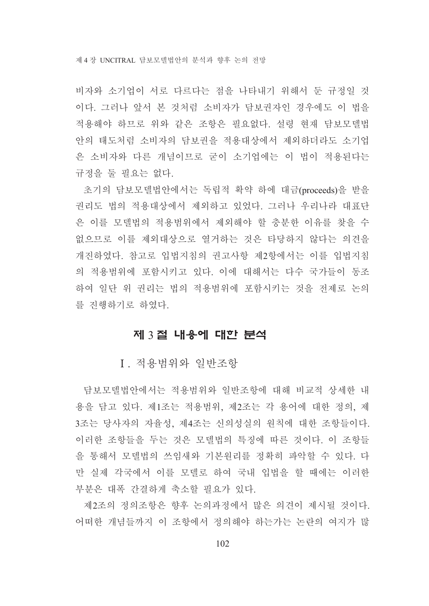비자와 소기업이 서로 다르다는 점을 나타내기 위해서 둔 규정일 것 이다. 그러나 앞서 본 것처럼 소비자가 담보권자인 경우에도 이 법을 적용해야 하므로 위와 같은 조항은 필요없다. 설령 현재 담보모델법 안의 태도처럼 소비자의 담보권을 적용대상에서 제외하더라도 소기업 은 소비자와 다른 개념이므로 굳이 소기업에는 이 법이 적용된다는 규정을 둘 필요는 없다.

초기의 담보모델법안에서는 독립적 확약 하에 대금(proceeds)을 받을 권리도 법의 적용대상에서 제외하고 있었다. 그러나 우리나라 대표단 은 이를 모델법의 적용범위에서 제외해야 할 충분한 이유를 찾을 수 없으므로 이를 제외대상으로 열거하는 것은 타당하지 않다는 의견을 개진하였다. 참고로 입법지침의 권고사항 제2항에서는 이를 입법지침 의 적용범위에 포함시키고 있다. 이에 대해서는 다수 국가들이 동조 하여 일단 위 권리는 법의 적용범위에 포함시키는 것을 전제로 논의 를 진행하기로 하였다.

### 제 3 절 내용에 대한 분석

I. 적용범위와 일반조항

담보모델법안에서는 적용범위와 일반조항에 대해 비교적 상세한 내 용을 담고 있다. 제1조는 적용범위, 제2조는 각 용어에 대한 정의, 제 3조는 당사자의 자율성, 제4조는 신의성실의 원칙에 대한 조항들이다. 이러한 조항들을 두는 것은 모델법의 특징에 따른 것이다. 이 조항들 을 통해서 모델법의 쓰임새와 기본원리를 정확히 파악할 수 있다. 다 만 실제 각국에서 이를 모델로 하여 국내 입법을 할 때에는 이러한 부분은 대폭 간결하게 축소할 필요가 있다.

제2조의 정의조항은 향후 논의과정에서 많은 의견이 제시될 것이다. 어떠한 개념들까지 이 조항에서 정의해야 하는가는 논란의 여지가 많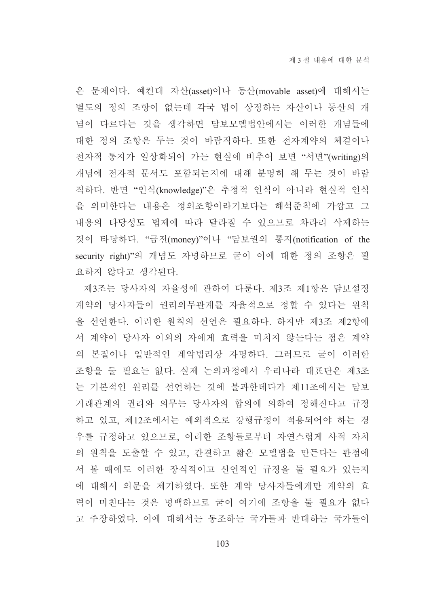은 문제이다. 예컨대 자산(asset)이나 동산(movable asset)에 대해서는 별도의 정의 조항이 없는데 각국 법이 상정하는 자산이나 동산의 개 념이 다르다는 것을 생각하면 담보모델법안에서는 이러한 개념들에 대한 정의 조항은 두는 것이 바람직하다. 또한 전자계약의 체결이나 전자적 통지가 일상화되어 가는 현실에 비추어 보면 "서면"(writing)의 개념에 전자적 문서도 포함되는지에 대해 분명히 해 두는 것이 바람 직하다. 반면 "인식(knowledge)"은 추정적 인식이 아니라 현실적 인식 을 의미한다는 내용은 정의조항이라기보다는 해석준칙에 가깝고 그 내용의 타당성도 법제에 따라 달라질 수 있으므로 차라리 삭제하는 것이 타당하다. "금전(money)"이나 "담보권의 통지(notification of the security right)"의 개념도 자명하므로 굳이 이에 대한 정의 조항은 필 요하지 않다고 생각된다.

제3조는 당사자의 자율성에 관하여 다룬다. 제3조 제1항은 담보설정 계약의 당사자들이 권리의무관계를 자율적으로 정할 수 있다는 원칙 을 선언한다. 이러한 원칙의 선언은 필요하다. 하지만 제3조 제2항에 서 계약이 당사자 이외의 자에게 효력을 미치지 않는다는 점은 계약 의 본질이나 일반적인 계약법리상 자명하다. 그러므로 굳이 이러한 조항을 둘 필요는 없다. 실제 논의과정에서 우리나라 대표단은 제3조 는 기본적인 원리를 선언하는 것에 불과한데다가 제11조에서는 담보 거래관계의 권리와 의무는 당사자의 합의에 의하여 정해진다고 규정 하고 있고, 제12조에서는 예외적으로 강행규정이 적용되어야 하는 경 우를 규정하고 있으므로. 이러한 조항들로부터 자연스럽게 사적 자치 의 원칙을 도출할 수 있고, 간결하고 짧은 모델법을 만든다는 관점에 서 볼 때에도 이러한 장식적이고 선언적인 규정을 둘 필요가 있는지 에 대해서 의문을 제기하였다. 또한 계약 당사자들에게만 계약의 효 력이 미친다는 것은 명백하므로 굳이 여기에 조항을 둘 필요가 없다 고 주장하였다. 이에 대해서는 동조하는 국가들과 반대하는 국가들이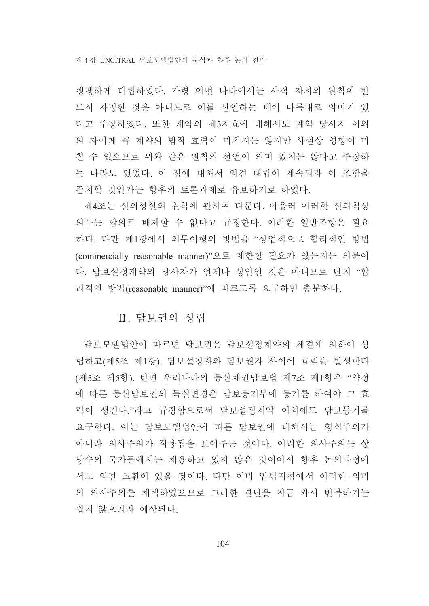팽팽하게 대립하였다. 가령 어떤 나라에서는 사적 자치의 원칙이 반 드시 자명한 것은 아니므로 이를 선언하는 데에 나름대로 의미가 있 다고 주장하였다. 또한 계약의 제3자효에 대해서도 계약 당사자 이외 의 자에게 꼭 계약의 법적 효력이 미치지는 않지만 사실상 영향이 미 칠 수 있으므로 위와 같은 원칙의 선언이 의미 없지는 않다고 주장하 는 나라도 있었다. 이 점에 대해서 의견 대립이 계속되자 이 조항을 존치할 것인가는 향후의 토론과제로 유보하기로 하였다.

제4조는 신의성실의 원칙에 관하여 다룬다. 아울러 이러한 신의칙상 의무는 합의로 배제할 수 없다고 규정한다. 이러한 일반조항은 필요 하다. 다만 제1항에서 의무이행의 방법을 "상업적으로 합리적인 방법 (commercially reasonable manner)"으로 제한할 필요가 있는지는 의문이 다. 담보설정계약의 당사자가 언제나 상인인 것은 아니므로 단지 "합 리적인 방법(reasonable manner)"에 따르도록 요구하면 충분하다.

# Ⅱ. 담보권의 성립

담보모델법안에 따르면 담보권은 담보설정계약의 체결에 의하여 성 립하고(제5조 제1항), 담보설정자와 담보권자 사이에 효력을 발생한다 (제5조 제5항). 반면 우리나라의 동산채권담보법 제7조 제1항은 "약정 에 따른 동산담보권의 득실변경은 담보등기부에 등기를 하여야 그 효 력이 생긴다."라고 규정함으로써 담보설정계약 이외에도 담보등기를 요구한다. 이는 담보모델법안에 따른 담보권에 대해서는 형식주의가 아니라 의사주의가 적용됨을 보여주는 것이다. 이러한 의사주의는 상 당수의 국가들에서는 채용하고 있지 않은 것이어서 향후 논의과정에 서도 의견 교환이 있을 것이다. 다만 이미 입법지침에서 이러한 의미 의 의사주의를 채택하였으므로 그러한 결단을 지금 와서 번복하기는 쉽지 않으리라 예상된다.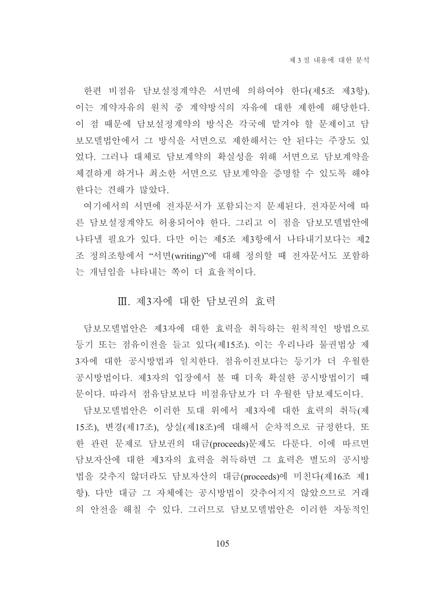한편 비점유 담보설정계약은 서면에 의하여야 한다(제5조 제3항). 이는 계약자유의 원칙 중 계약방식의 자유에 대한 제한에 해당한다. 이 점 때문에 담보설정계약의 방식은 각국에 맡겨야 할 문제이고 담 보모델법안에서 그 방식을 서면으로 제한해서는 안 된다는 주장도 있 었다. 그러나 대체로 담보계약의 확실성을 위해 서면으로 담보계약을 체결하게 하거나 최소한 서면으로 담보계약을 증명할 수 있도록 해야 한다는 견해가 많았다.

여기에서의 서면에 전자문서가 포함되는지 문제된다. 전자문서에 따 른 담보설정계약도 허용되어야 한다. 그리고 이 점을 담보모델법안에 나타낼 필요가 있다. 다만 이는 제5조 제3항에서 나타내기보다는 제2 조 정의조항에서 "서면(writing)"에 대해 정의할 때 전자문서도 포함하 는 개념임을 나타내는 쪽이 더 효율적이다.

### Ⅲ. 제3자에 대한 담보권의 효력

담보모델법안은 제3자에 대한 효력을 취득하는 워칙적인 방법으로 등기 또는 점유이전을 들고 있다(제15조). 이는 우리나라 물권법상 제 3자에 대한 공시방법과 일치한다. 점유이전보다는 등기가 더 우월한 공시방법이다. 제3자의 입장에서 볼 때 더욱 확실한 공시방법이기 때 문이다. 따라서 점유담보보다 비점유담보가 더 우월한 담보제도이다.

담보모델법안은 이러한 토대 위에서 제3자에 대한 효력의 취득(제 15조), 변경(제17조), 상실(제18조)에 대해서 순차적으로 규정한다. 또 한 관련 문제로 담보권의 대금(proceeds)문제도 다룬다. 이에 따르면 담보자산에 대한 제3자의 효력을 취득하면 그 효력은 별도의 공시방 법을 갖추지 않더라도 담보자산의 대금(proceeds)에 미친다(제16조 제1 항). 다만 대금 그 자체에는 공시방법이 갖추어지지 않았으므로 거래 의 안전을 해칠 수 있다. 그러므로 담보모델법안은 이러한 자동적인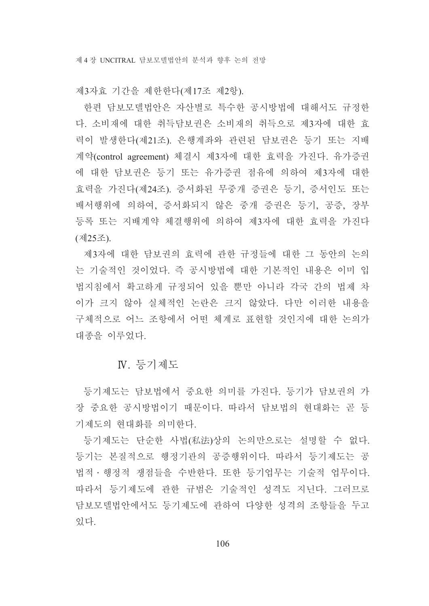제3자효 기간을 제한한다(제17조 제2항).

한편 담보모델법안은 자산별로 특수한 공시방법에 대해서도 규정한 다. 소비재에 대한 취득담보권은 소비재의 취득으로 제3자에 대한 효 력이 발생한다(제21조). 은행계좌와 관련된 담보권은 등기 또는 지배 계약(control agreement) 체결시 제3자에 대한 효력을 가진다. 유가증권 에 대한 담보권은 등기 또는 유가증권 점유에 의하여 제3자에 대한 효력을 가진다(제24조). 증서화된 무중개 증권은 등기, 증서인도 또는 배서행위에 의하여, 증서화되지 않은 중개 증권은 등기, 공증, 장부 등록 또는 지배계약 체결행위에 의하여 제3자에 대한 효력을 가진다 (제25조).

제3자에 대한 담보권의 효력에 관한 규정들에 대한 그 동안의 논의 는 기술적인 것이었다. 즉 공시방법에 대한 기본적인 내용은 이미 입 법지침에서 확고하게 규정되어 있을 뿐만 아니라 각국 간의 법제 차 이가 크지 않아 실체적인 논란은 크지 않았다. 다만 이러한 내용을 구체적으로 어느 조항에서 어떤 체계로 표현할 것인지에 대한 논의가 대종을 이루었다.

### N. 등기제도

등기제도는 담보법에서 중요한 의미를 가진다. 등기가 담보권의 가 장 중요한 공시방법이기 때문이다. 따라서 담보법의 현대화는 곧 등 기제도의 현대화를 의미한다.

등기제도는 단순한 사법(私法)상의 논의만으로는 설명할 수 없다. 등기는 본질적으로 행정기관의 공증행위이다. 따라서 등기제도는 공 법적ㆍ행정적 쟁점들을 수반한다. 또한 등기업무는 기술적 업무이다. 따라서 등기제도에 관한 규범은 기술적인 성격도 지닌다. 그러므로 담보모델법안에서도 등기제도에 관하여 다양한 성격의 조항들을 두고 있다.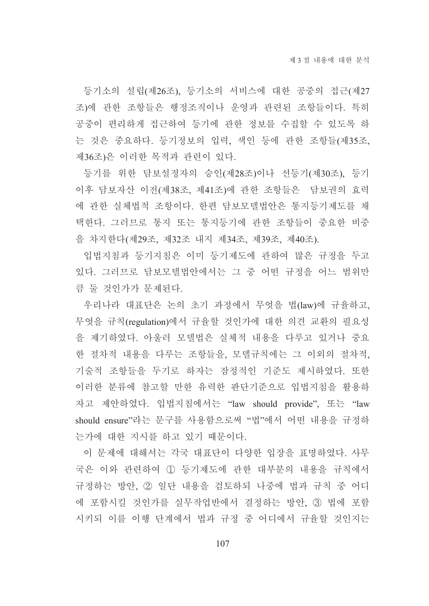등기소의 설립(제26조), 등기소의 서비스에 대한 공중의 접근(제27 조)에 관한 조항들은 행정조직이나 운영과 관련된 조항들이다. 특히 공중이 편리하게 접근하여 등기에 관한 정보를 수집할 수 있도록 하 는 것은 중요하다. 등기정보의 입력, 색인 등에 관한 조항들(제35조, 제36조)은 이러한 목적과 관련이 있다.

등기를 위한 담보설정자의 승인(제28조)이나 선등기(제30조), 등기 이후 담보자산 이전(제38조, 제41조)에 관한 조항들은 담보권의 효력 에 관한 실체법적 조항이다. 한편 담보모델법안은 통지등기제도를 채 택한다. 그러므로 통지 또는 통지등기에 관한 조항들이 중요한 비중 을 차지한다(제29조, 제32조 내지 제34조, 제39조, 제40조).

입법지침과 등기지침은 이미 등기제도에 관하여 많은 규정을 두고 있다. 그러므로 담보모델법안에서는 그 중 어떤 규정을 어느 범위만 큼 둘 것인가가 문제된다.

우리나라 대표단은 논의 초기 과정에서 무엇을 법(law)에 규율하고, 무엇을 규칙(regulation)에서 규율할 것인가에 대한 의견 교환의 필요성 을 제기하였다. 아울러 모델법은 실체적 내용을 다루고 있거나 중요 한 절차적 내용을 다루는 조항들을, 모델규칙에는 그 이외의 절차적, 기술적 조항들을 두기로 하자는 잠정적인 기준도 제시하였다. 또한 이러한 분류에 참고할 만한 유력한 판단기준으로 입법지침을 활용하 자고 제안하였다. 입법지침에서는 "law should provide", 또는 "law should ensure"라는 문구를 사용함으로써 "법"에서 어떤 내용을 규정하 는가에 대한 지시를 하고 있기 때문이다.

이 문제에 대해서는 각국 대표단이 다양한 입장을 표명하였다. 사무 국은 이와 관련하여 ① 등기제도에 관한 대부분의 내용을 규칙에서 규정하는 방안, 2 일단 내용을 검토하되 나중에 법과 규칙 중 어디 에 포함시킬 것이가를 실무작업반에서 결정하는 방안 3 법에 포함 시키되 이를 이행 단계에서 법과 규정 중 어디에서 규율할 것인지는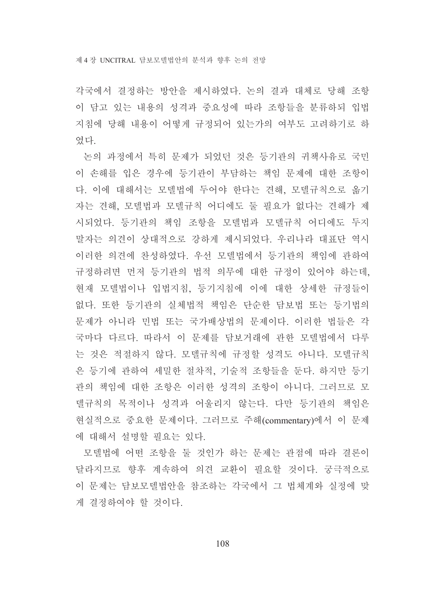각국에서 결정하는 방안을 제시하였다. 논의 결과 대체로 당해 조항 이 담고 있는 내용의 성격과 중요성에 따라 조항들을 분류하되 입법 지침에 당해 내용이 어떻게 규정되어 있는가의 여부도 고려하기로 하 였다.

논의 과정에서 특히 문제가 되었던 것은 등기관의 귀책사유로 국민 이 손해를 입은 경우에 등기관이 부담하는 책임 문제에 대한 조항이 다. 이에 대해서는 모델법에 두어야 한다는 견해, 모델규칙으로 옮기 자는 견해, 모델법과 모델규칙 어디에도 둘 필요가 없다는 견해가 제 시되었다. 등기관의 책임 조항을 모델법과 모델규칙 어디에도 두지 말자는 의견이 상대적으로 강하게 제시되었다. 우리나라 대표단 역시 이러한 의견에 찬성하였다. 우선 모델법에서 등기관의 책임에 관하여 규정하려면 먼저 등기관의 법적 의무에 대한 규정이 있어야 하는데. 현재 모델법이나 입법지침, 등기지침에 이에 대한 상세한 규정들이 없다. 또한 등기관의 실체법적 책임은 단순한 담보법 또는 등기법의 문제가 아니라 민법 또는 국가배상법의 문제이다. 이러한 법들은 각 국마다 다르다. 따라서 이 문제를 닦보거래에 관한 모델법에서 다루 는 것은 적절하지 않다. 모델규칙에 규정할 성격도 아니다. 모델규칙 은 등기에 관하여 세밀한 절차적. 기술적 조항들을 둔다. 하지만 등기 관의 책임에 대한 조항은 이러한 성격의 조항이 아니다. 그러므로 모 델규칙의 목적이나 성격과 어울리지 않는다. 다만 등기관의 책임은 현실적으로 중요한 문제이다. 그러므로 주해(commentarv)에서 이 문제 에 대해서 설명할 필요는 있다.

모델법에 어떤 조항을 둘 것인가 하는 문제는 관점에 따라 결론이 달라지므로 향후 계속하여 의견 교환이 필요할 것이다. 궁극적으로 이 문제는 담보모델법안을 참조하는 각국에서 그 법체계와 실정에 맞 게 결정하여야 할 것이다.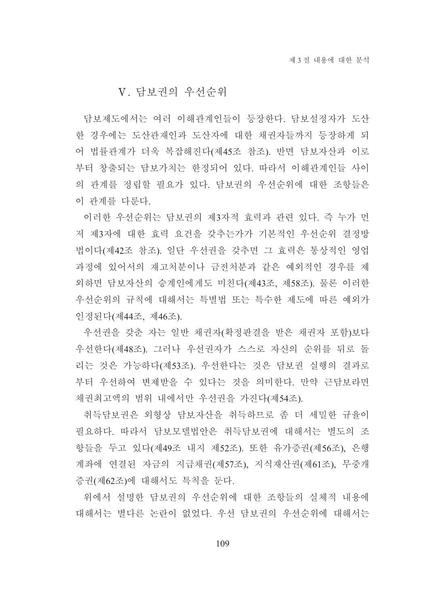### V. 담보권의 우선순위

담보제도에서는 여러 이해관계인들이 등장한다. 담보설정자가 도산 한 경우에는 도산관재인과 도산자에 대한 채권자들까지 등장하게 되 어 법률관계가 더욱 복잡해진다(제45조 참조). 반면 담보자산과 이로 부터 창출되는 담보가치는 한정되어 있다. 따라서 이해관계인들 사이 의 관계를 정립할 필요가 있다. 담보권의 우선순위에 대한 조항들은 이 관계를 다루다.

이러한 우선수위는 담보권의 제3자적 효력과 관련 있다. 즉 누가 먼 저 제3자에 대한 효력 요건을 갖추는가가 기본적인 우선순위 결정방 법이다(제42조 참조) 일단 우선권을 갖추면 그 효력은 통상적인 영업 과정에 있어서의 재고처분이나 금전처분과 같은 예외적인 경우를 제 외하면 담보자산의 승계인에게도 미친다(제43조, 제58조). 물론 이러한 우선순위의 규칙에 대해서는 특별법 또는 특수한 제도에 따른 예외가 인정된다(제44조, 제46조).

우선권을 갖춘 자는 일반 채권자(확정판결을 받은 채권자 포함)보다 우선한다(제48조). 그러나 우선권자가 스스로 자신의 순위를 뒤로 돌 리는 것은 가능하다(제53조). 우선한다는 것은 담보권 실행의 결과로 부터 우선하여 변제받을 수 있다는 것을 의미하다. 만약 근담보라면 채권최고액의 범위 내에서만 우선권을 가진다(제54조).

취득담보권은 외형상 담보자산을 취득하므로 좀 더 세밀한 규율이 필요하다. 따라서 담보모델법안은 취득담보권에 대해서는 별도의 조 항들을 두고 있다(제49조 내지 제52조). 또한 유가증권(제56조). 은행 계좌에 연결된 자금의 지급채권(제57조), 지식재산권(제61조), 무중개 증권(제62조)에 대해서도 특칙을 둔다.

위에서 설명한 담보권의 우선순위에 대한 조항들의 실체적 내용에 대해서는 별다른 논란이 없었다. 우선 담보권의 우선순위에 대해서는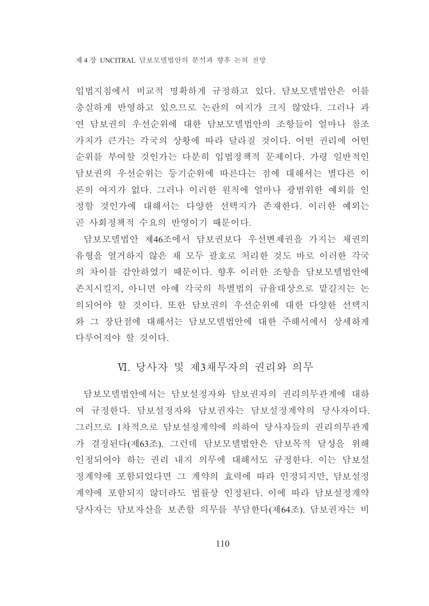입법지침에서 비교적 명확하게 규정하고 있다. 담보모델법안은 이를 충실하게 반영하고 있으므로 논란의 여지가 크지 않았다. 그러나 과 연 담보권의 우선순위에 대한 담보모델법안의 조항들이 얼마나 참조 가치가 큰가는 각국의 상황에 따라 달라질 것이다. 어떤 권리에 어떤 순위를 부여할 것인가는 다분히 입법정책적 문제이다. 가령 일반적인 담보권의 우선순위는 등기순위에 따른다는 점에 대해서는 별다른 이 론의 여지가 없다. 그러나 이러한 원칙에 얼마나 광범위한 예외를 인 정할 것인가에 대해서는 다양한 선택지가 존재한다. 이러한 예외는 곧 사회정책적 수요의 반영이기 때문이다.

담보모델법안 제46조에서 담보권보다 우선변제권을 가지는 채권의 유형을 열거하지 않은 채 모두 괄호로 처리한 것도 바로 이러한 각국 의 차이를 감안하였기 때문이다. 향후 이러한 조항을 담보모델법안에 존치시킬지. 아니면 아예 각국의 특별법의 규율대상으로 맡길지는 논 의되어야 할 것이다. 또한 담보권의 우선순위에 대한 다양한 선택지 와 그 장단점에 대해서는 담보모델법안에 대한 주해서에서 상세하게 다루어져야 할 것이다.

### VI. 당사자 및 제3채무자의 권리와 의무

담보모델법안에서는 담보설정자와 담보권자의 권리의무관계에 대하 여 규정한다. 담보설정자와 담보권자는 담보설정계약의 당사자이다. 그러므로 1차적으로 담보설정계약에 의하여 당사자들의 권리의무관계 가 결정된다(제63조). 그런데 담보모델법안은 담보목적 달성을 위해 인정되어야 하는 권리 내지 의무에 대해서도 규정한다. 이는 담보설 정계약에 포함되었다면 그 계약의 효력에 따라 인정되지만, 담보설정 계약에 포함되지 않더라도 법률상 인정된다. 이에 따라 담보설정계약 당사자는 담보자산을 보존할 의무를 부담한다(제64조). 담보권자는 비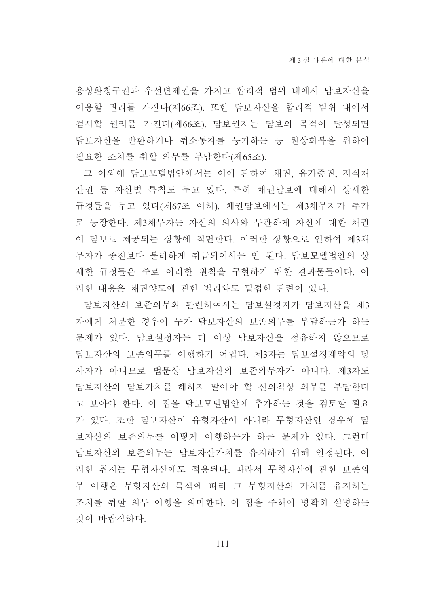용상환청구권과 우선변제권을 가지고 합리적 범위 내에서 담보자산을 이용할 권리를 가진다(제66조). 또한 담보자산을 합리적 범위 내에서 검사할 권리를 가진다(제66조). 담보권자는 담보의 목적이 달성되면 담보자산을 반환하거나 취소통지를 등기하는 등 원상회복을 위하여 필요한 조치를 취할 의무를 부담한다(제65조).

그 이외에 담보모델법안에서는 이에 관하여 채권, 유가증권, 지식재 산권 등 자산별 특칙도 두고 있다. 특히 채권담보에 대해서 상세한 규정들을 두고 있다(제67조 이하). 채권담보에서는 제3채무자가 추가 로 등장한다. 제3채무자는 자신의 의사와 무관하게 자신에 대한 채권 이 담보로 제공되는 상황에 직면한다. 이러한 상황으로 인하여 제3채 무자가 종전보다 불리하게 취급되어서는 안 된다. 담보모델법안의 상 세한 규정들은 주로 이러한 원칙을 구현하기 위한 결과물들이다. 이 러한 내용은 채권양도에 관한 법리와도 밀접한 관련이 있다.

담보자산의 보존의무와 관련하여서는 담보설정자가 담보자산을 제3 자에게 처분한 경우에 누가 담보자산의 보존의무를 부담하는가 하는 문제가 있다. 담보설정자는 더 이상 담보자산을 점유하지 않으므로 담보자산의 보존의무를 이행하기 어렵다. 제3자는 담보설정계약의 당 사자가 아니므로 법문상 담보자산의 보존의무자가 아니다. 제3자도 담보자산의 담보가치를 해하지 말아야 할 신의칙상 의무를 부담한다 고 보아야 한다. 이 점을 담보모델법안에 추가하는 것을 검토할 필요 가 있다. 또한 담보자산이 유형자산이 아니라 무형자산인 경우에 담 보자산의 보존의무를 어떻게 이행하는가 하는 문제가 있다. 그런데 담보자산의 보존의무는 담보자산가치를 유지하기 위해 인정된다. 이 러한 취지는 무형자산에도 적용되다. 따라서 무형자산에 과한 보존의 무 이행은 무형자산의 특색에 따라 그 무형자산의 가치를 유지하는 조치를 취할 의무 이행을 의미한다. 이 점을 주해에 명확히 설명하는 것이 바람직하다.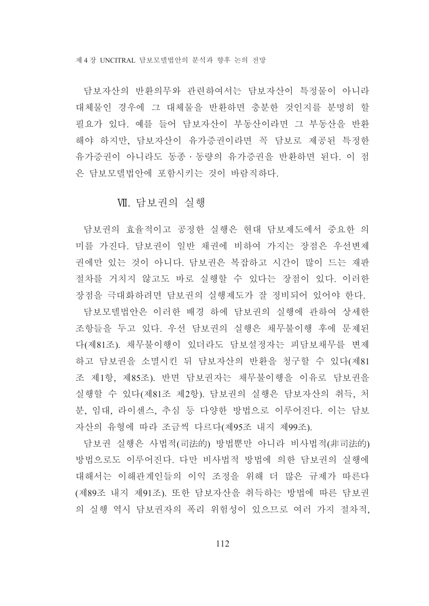담보자산의 반환의무와 관련하여서는 담보자산이 특정물이 아니라 대체물인 경우에 그 대체물을 반환하면 충분한 것인지를 분명히 할 필요가 있다. 예를 들어 담보자산이 부동산이라면 그 부동산을 반환 해야 하지만, 담보자산이 유가증권이라면 꼭 담보로 제공된 특정한 유가증권이 아니라도 동종 · 동량의 유가증권을 반환하면 된다. 이 점 은 담보모델법안에 포함시키는 것이 바람직하다.

### VII. 담보권의 실행

담보권의 효율적이고 공정한 실행은 현대 담보제도에서 중요한 의 미를 가진다. 담보권이 일반 채권에 비하여 가지는 장점은 우선변제 권에만 있는 것이 아니다. 담보권은 복잡하고 시간이 많이 드는 재판 절차를 거치지 않고도 바로 실행할 수 있다는 장점이 있다. 이러한 장점을 극대화하려면 담보권의 실행제도가 잘 정비되어 있어야 하다.

담보모델법안은 이러한 배경 하에 담보권의 실행에 관하여 상세한 조항들을 두고 있다. 우선 담보권의 실행은 채무불이행 후에 문제된 다(제81조). 채무불이행이 있더라도 담보설정자는 피담보채무를 변제 하고 담보권을 소멸시킨 뒤 담보자산의 반환을 청구할 수 있다(제81 조 제1항, 제85조). 반면 담보권자는 채무불이행을 이유로 담보권을 실행할 수 있다(제81조 제2항). 담보권의 실행은 담보자산의 취득, 처 분, 임대, 라이센스, 추심 등 다양한 방법으로 이루어진다. 이는 담보 자산의 유형에 따라 조금씩 다르다(제95조 내지 제99조).

담보권 실행은 사법적(司法的) 방법뿐만 아니라 비사법적(非司法的) 방법으로도 이루어진다. 다만 비사법적 방법에 의한 담보권의 실행에 대해서는 이해관계인들의 이익 조정을 위해 더 많은 규제가 따른다 (제89조 내지 제91조). 또한 담보자산을 취득하는 방법에 따른 담보권 의 실행 역시 담보권자의 폭리 위험성이 있으므로 여러 가지 절차적,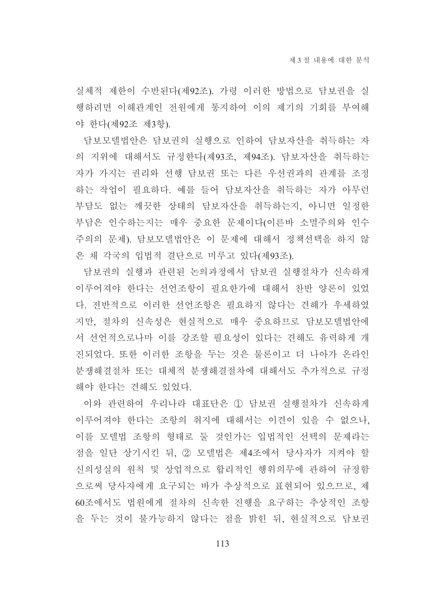실체적 제한이 수반된다(제92조). 가령 이러한 방법으로 담보권을 실 행하려면 이해관계인 전워에게 통지하여 이의 제기의 기회를 부여해 야 한다(제92조 제3항).

담보모델법안은 담보권의 실행으로 인하여 담보자산을 취득하는 자 의 지위에 대해서도 규정한다(제93조, 제94조). 담보자산을 취득하는 자가 가지는 권리와 선행 담보권 또는 다른 우선권과의 관계를 조정 하는 작업이 필요하다. 예를 들어 담보자산을 취득하는 자가 아무런 부담도 없는 깨끗한 상태의 담보자산을 취득하는지, 아니면 일정한 부담은 인수하는지는 매우 중요한 문제이다(이른바 소멸주의와 인수 주의의 문제). 담보모델법안은 이 문제에 대해서 정책선택을 하지 않 은 채 각국의 입법적 결단으로 미루고 있다(제93조).

담보권의 실행과 관련된 논의과정에서 담보권 실행절차가 신속하게 이루어져야 한다는 선언조항이 필요한가에 대해서 찬반 양론이 있었 다. 전반적으로 이러한 선언조항은 필요하지 않다는 견해가 우세하였 지만, 절차의 신속성은 현실적으로 매우 중요하므로 담보모델법안에 서 선언적으로나마 이를 강조할 필요성이 있다는 견해도 유력하게 개 진되었다. 또한 이러한 조항을 두는 것은 물론이고 더 나아가 온라인 분쟁해결절차 또는 대체적 분쟁해결절차에 대해서도 추가적으로 규정 해야 한다는 견해도 있었다.

이와 관련하여 우리나라 대표단은 ① 담보권 실행절차가 신속하게 이루어져야 한다는 조항의 취지에 대해서는 이견이 있을 수 없으나. 이를 모델법 조항의 형태로 둘 것인가는 입법적인 선택의 문제라는 점을 일단 상기시킨 뒤, 2 모델법은 제4조에서 당사자가 지켜야 할 신의성실의 워칙 및 상업적으로 합리적인 행위의무에 과하여 규정함 으로써 당사자에게 요구되는 바가 추상적으로 표현되어 있으므로, 제 60조에서도 법워에게 절차의 신속한 진행을 요구하는 추상적인 조항 을 두는 것이 불가능하지 않다는 점을 밝힌 뒤, 현실적으로 담보권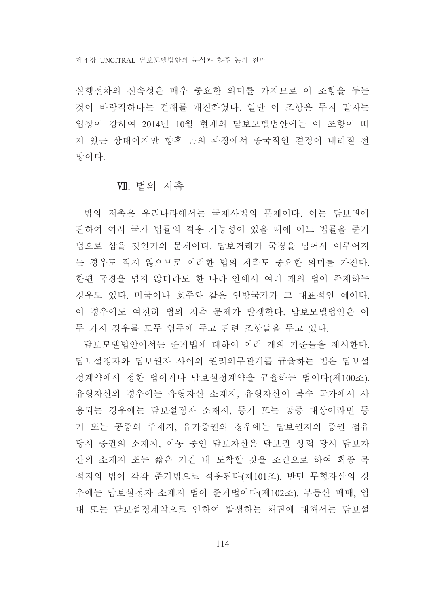실행절차의 신속성은 매우 중요한 의미를 가지므로 이 조항을 두는 것이 바람직하다는 견해를 개진하였다. 일단 이 조항은 두지 말자는 입장이 강하여 2014년 10월 현재의 담보모델법안에는 이 조항이 빠 져 있는 상태이지만 향후 논의 과정에서 종국적인 결정이 내려질 전 망이다

#### Ⅷ. 법의 저촉

법의 저촉은 우리나라에서는 국제사법의 문제이다. 이는 담보권에 관하여 여러 국가 법률의 적용 가능성이 있을 때에 어느 법률을 준거 법으로 삼을 것인가의 문제이다. 담보거래가 국경을 넘어서 이루어지 는 경우도 적지 않으므로 이러한 법의 저촉도 중요한 의미를 가진다. 한편 국경을 넘지 않더라도 한 나라 안에서 여러 개의 법이 존재하는 경우도 있다. 미국이나 호주와 같은 연방국가가 그 대표적인 예이다. 이 경우에도 여전히 법의 저촉 문제가 발생한다. 담보모델법안은 이 두 가지 경우를 모두 염두에 두고 관련 조항들을 두고 있다.

담보모델법안에서는 준거법에 대하여 여러 개의 기준들을 제시한다. 담보설정자와 담보권자 사이의 권리의무관계를 규율하는 법은 담보설 정계약에서 정한 법이거나 담보설정계약을 규율하는 법이다(제100조). 유형자산의 경우에는 유형자산 소재지, 유형자산이 복수 국가에서 사 용되는 경우에는 담보설정자 소재지, 등기 또는 공증 대상이라면 등 기 또는 공증의 주재지, 유가증권의 경우에는 담보권자의 증권 점유 당시 증권의 소재지, 이동 중인 담보자산은 담보권 성립 당시 담보자 산의 소재지 또는 짧은 기간 내 도착할 것을 조건으로 하여 최종 목 적지의 법이 각각 준거법으로 적용된다(제101조). 반면 무형자산의 경 우에는 담보설정자 소재지 법이 준거법이다(제102조). 부동산 매매, 임 대 또는 담보설정계약으로 인하여 발생하는 채권에 대해서는 담보설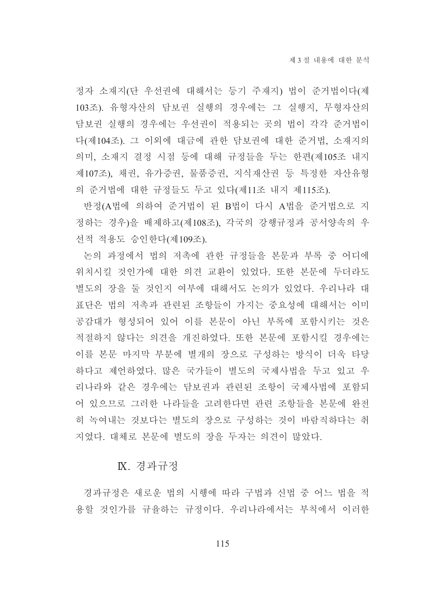정자 소재지(단 우선권에 대해서는 등기 주재지) 법이 준거법이다(제 103조). 유형자산의 담보권 실행의 경우에는 그 실행지, 무형자산의 담보권 실행의 경우에는 우선권이 적용되는 곳의 법이 각각 준거법이 다(제104조). 그 이외에 대금에 관한 담보권에 대한 준거법, 소재지의 의미, 소재지 결정 시점 등에 대해 규정들을 두는 한편(제105조 내지 제107조), 채권, 유가증권, 물품증권, 지식재산권 등 특정한 자산유형 의 준거법에 대한 규정들도 두고 있다(제11조 내지 제115조).

반정(A법에 의하여 준거법이 된 B법이 다시 A법을 준거법으로 지 정하는 경우)을 배제하고(제108조), 각국의 강행규정과 공서양속의 우 선적 적용도 승인한다(제109조).

논의 과정에서 법의 저촉에 관한 규정들을 본문과 부록 중 어디에 위치시킬 것인가에 대한 의견 교환이 있었다. 또한 본문에 두더라도 별도의 장을 둘 것인지 여부에 대해서도 논의가 있었다. 우리나라 대 표단은 법의 저촉과 관련된 조항들이 가지는 중요성에 대해서는 이미 공감대가 형성되어 있어 이를 본문이 아닌 부록에 포함시키는 것은 적절하지 않다는 의견을 개진하였다. 또한 본문에 포함시킬 경우에는 이를 본문 마지막 부분에 별개의 장으로 구성하는 방식이 더욱 타당 하다고 제언하였다. 많은 국가들이 별도의 국제사법을 두고 있고 우 리나라와 같은 경우에는 담보권과 관련된 조항이 국제사법에 포함되 어 있으므로 그러한 나라들을 고려한다면 관련 조항들을 본문에 완전 히 녹여내는 것보다는 별도의 장으로 구성하는 것이 바람직하다는 취 지였다. 대체로 본문에 별도의 장을 두자는 의견이 많았다.

#### IX. 경과규정

경과규정은 새로운 법의 시행에 따라 구법과 신법 중 어느 법을 적 용할 것인가를 규율하는 규정이다. 우리나라에서는 부칙에서 이러한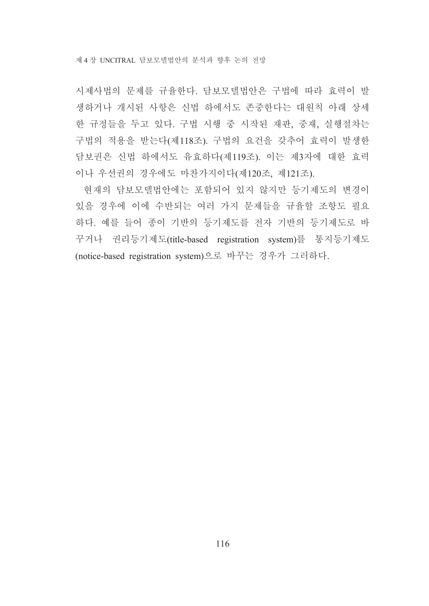시제사법의 문제를 규율한다. 담보모델법안은 구법에 따라 효력이 발 생하거나 개시된 사항은 신법 하에서도 존중한다는 대원칙 아래 상세 한 규정들을 두고 있다. 구법 시행 중 시작된 재판, 중재, 실행절차는 구법의 적용을 받는다(제118조). 구법의 요건을 갖추어 효력이 발생한 담보권은 신법 하에서도 유효하다(제119조). 이는 제3자에 대한 효력 이나 우선권의 경우에도 마찬가지이다(제120조, 제121조).

현재의 담보모델법안에는 포함되어 있지 않지만 등기제도의 변경이 있을 경우에 이에 수반되는 여러 가지 문제들을 규율할 조항도 필요 하다. 예를 들어 종이 기반의 등기제도를 전자 기반의 등기제도로 바 꾸거나 권리등기제도(title-based registration system)를 통지등기제도 (notice-based registration system)으로 바꾸는 경우가 그러하다.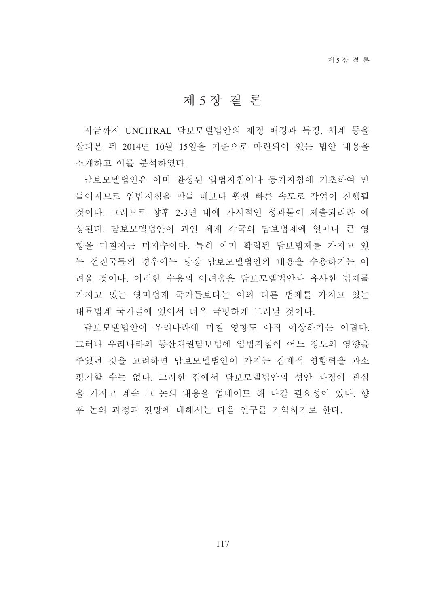## 제 5 장 결 론

지금까지 UNCITRAL 담보모델법안의 제정 배경과 특징, 체계 등을 살펴본 뒤 2014년 10월 15일을 기주으로 마려되어 있는 법안 내용을 소개하고 이를 부석하였다.

담보모델법안은 이미 완성된 입법지침이나 등기지침에 기초하여 만 들어지므로 입법지침을 만들 때보다 훨씬 빠른 속도로 작업이 진행될 것이다. 그러므로 향후 2-3년 내에 가시적인 성과물이 제출되리라 예 상된다. 담보모델법안이 과연 세계 각국의 담보법제에 얼마나 큰 영 향을 미칠지는 미지수이다. 특히 이미 확립된 담보법제를 가지고 있 는 선진국들의 경우에는 당장 담보모델법안의 내용을 수용하기는 어 려울 것이다. 이러한 수용의 어려움은 담보모델법안과 유사한 법제를 가지고 있는 영미법계 국가들보다는 이와 다른 법제를 가지고 있는 대륙법계 국가들에 있어서 더욱 극명하게 드러날 것이다.

담보모델법안이 우리나라에 미칠 영향도 아직 예상하기는 어렵다. 그러나 우리나라의 동산채권담보법에 입법지침이 어느 정도의 영향을 주었던 것을 고려하면 담보모델법안이 가지는 잠재적 영향력을 과소 평가할 수는 없다. 그러한 점에서 담보모델법안의 성안 과정에 관심 을 가지고 계속 그 논의 내용을 업데이트 해 나갈 필요성이 있다. 향 후 논의 과정과 전망에 대해서는 다음 연구를 기약하기로 한다.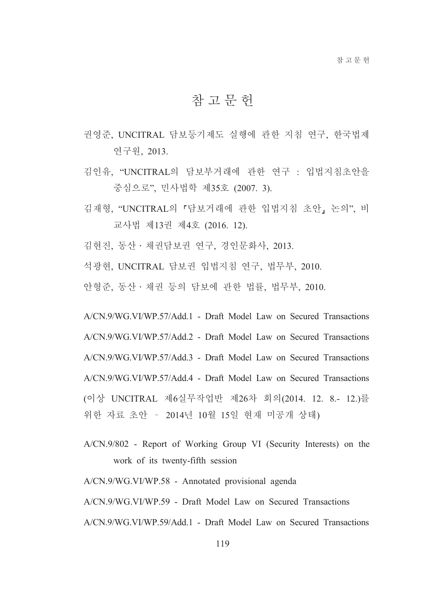# 참고문헌

- 권영준, UNCITRAL 담보등기제도 실행에 관한 지침 연구, 한국법제 연구원, 2013.
- 김인유. "UNCITRAL의 담보부거래에 관한 연구 : 입법지침초안을 중심으로", 민사법학 제35호 (2007. 3).
- 김재형, "UNCITRAL의 「담보거래에 관한 입법지침 초안」 논의", 비 교사법 제13권 제4호 (2016. 12).
- 김현진, 동산 · 채권담보권 연구, 경인문화사, 2013.
- 석광현, UNCITRAL 담보권 입법지침 연구, 법무부, 2010.
- 안형준, 동산·채권 등의 담보에 관한 법률, 법무부, 2010.

A/CN.9/WG.VI/WP.57/Add.1 - Draft Model Law on Secured Transactions A/CN.9/WG.VI/WP.57/Add.2 - Draft Model Law on Secured Transactions A/CN.9/WG.VI/WP.57/Add.3 - Draft Model Law on Secured Transactions A/CN.9/WG.VI/WP.57/Add.4 - Draft Model Law on Secured Transactions (이상 UNCITRAL 제6실무작업반 제26차 회의(2014. 12. 8.- 12.)를 위한 자료 초안 - 2014년 10월 15일 현재 미공개 상태)

A/CN.9/802 - Report of Working Group VI (Security Interests) on the work of its twenty-fifth session

A/CN.9/WG.VI/WP.58 - Annotated provisional agenda

A/CN.9/WG.VI/WP.59 - Draft Model Law on Secured Transactions

A/CN.9/WG.VI/WP.59/Add.1 - Draft Model Law on Secured Transactions